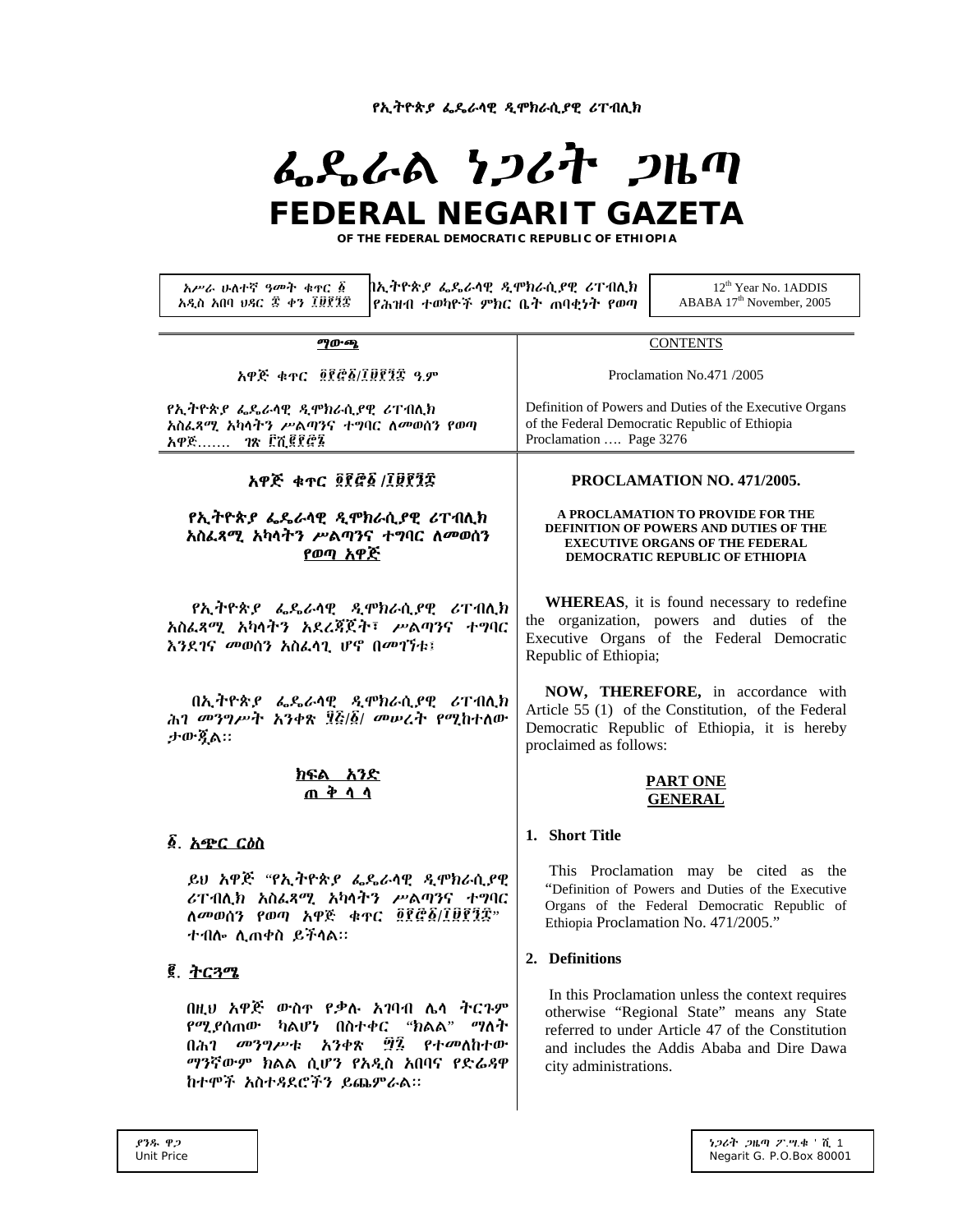የኢትዮጵያ ፌዴራሳዊ ዲሞክራሲያዊ ሪፐብሊክ

# ふらんぬ とつびれ クルの FEDERAL NEGARIT GAZETA

OF THE FEDERAL DEMOCRATIC REPUBLIC OF ETHIOPIA

አሥራ ሁለተኛ ዓመት ቁዋር ፩ በኢትዮጵያ ፌዴራሳዊ ዲሞክራሲያዊ ሪፐብሊክ 12<sup>th</sup> Year No. 1ADDIS አዲስ አበባ ህጻር ቀን ፲፱፻፺፰ ABABA 17<sup>th</sup> November, 2005 |የሕዝብ ተወካዮች ምክር ቤት ጠባቂነት የወጣ ማውጫ **CONTENTS** አዋጅ ቁጥር ፬፻፸፩/፲፱፻፺፰ ዓ.ም Proclamation No.471 /2005 የኢትዮጵያ ፌዴራሳዊ ዲሞክራሲያዊ ሪፐብሊክ Definition of Powers and Duties of the Executive Organs አስፌጻሚ አካሳትን ሥልጣንና ተግባር ለመወሰን የወጣ of the Federal Democratic Republic of Ethiopia ገጽ ፫ሺ፪፻፸፮ Proclamation .... Page 3276 አዋጅ....... አዋጅ ቁጥር ፬፻፸፩ /፲፱፻፺፰ PROCLAMATION NO. 471/2005. A PROCLAMATION TO PROVIDE FOR THE *የኢትዮጵያ ፌዴራ*ሳዊ *ዲሞክራሲያ*ዊ ሪፐብሊክ DEFINITION OF POWERS AND DUTIES OF THE አስፌጻሚ አካሳትን ሥልጣንና ተግባር ለመወሰን **EXECUTIVE ORGANS OF THE FEDERAL** <u>የወጣ አዋጅ</u> **DEMOCRATIC REPUBLIC OF ETHIOPIA WHEREAS**, it is found necessary to redefine *የኢትዮጵያ ፌ*ዴራሳዊ *ዲሞክ*ራሲያዊ ሪፐብሊክ the organization, powers and duties of the አስፌጻሚ አካላትን አደረጃጀት፣ ሥልጣንና ተግባር Executive Organs of the Federal Democratic እንደገና መወሰን አስፌሳጊ ሆኖ በመገኘቱ፤ Republic of Ethiopia; NOW, THEREFORE, in accordance with በኢትዮጵያ ፌዴራሳዊ ዲሞክራሲያዊ ሪፐብሊክ Article 55 (1) of the Constitution, of the Federal ሕገ መንግሥት አንቀጽ ፶፭/፩/ መሠረት የሚከተለው Democratic Republic of Ethiopia, it is hereby ታውዷል። proclaimed as follows: ክፍል አንድ **PART ONE** ጠቅላላ **GENERAL** 1. Short Title <u>δ</u> አጭር ርስስ This Proclamation may be cited as the ይህ አዋጅ "የኢትዮጵያ ፌዴራሳዊ ዲሞክራሲያዊ "Definition of Powers and Duties of the Executive ሪፐብሊክ አስፌጻሚ አካላትን ሥልጣንና ተግባር Organs of the Federal Democratic Republic of ለመወሰን የወጣ አዋጅ ቁጥር ፬፻፸፩/፲፱፻፺፰" Ethiopia Proclamation No. 471/2005." ተብሎ ሊጠቀስ ይችሳል። 2. Definitions **፪. ትርጓሜ** In this Proclamation unless the context requires በዚህ አዋጅ ውስዋ የቃሉ አገባብ ሌላ ትርጉም otherwise "Regional State" means any State የሚያሰጠው ካልሆነ በስተቀር "ክልል" ማለት referred to under Article 47 of the Constitution *መንግሥ*ቱ አንቀጽ ፵፯ *የተመ*ለከተው በሕገ and includes the Addis Ababa and Dire Dawa ማንኛውም ክልል ሲሆን የአዲስ አበባና የድሬዳዋ city administrations. ከተሞች አስተዳደሮችን ይጨምራል።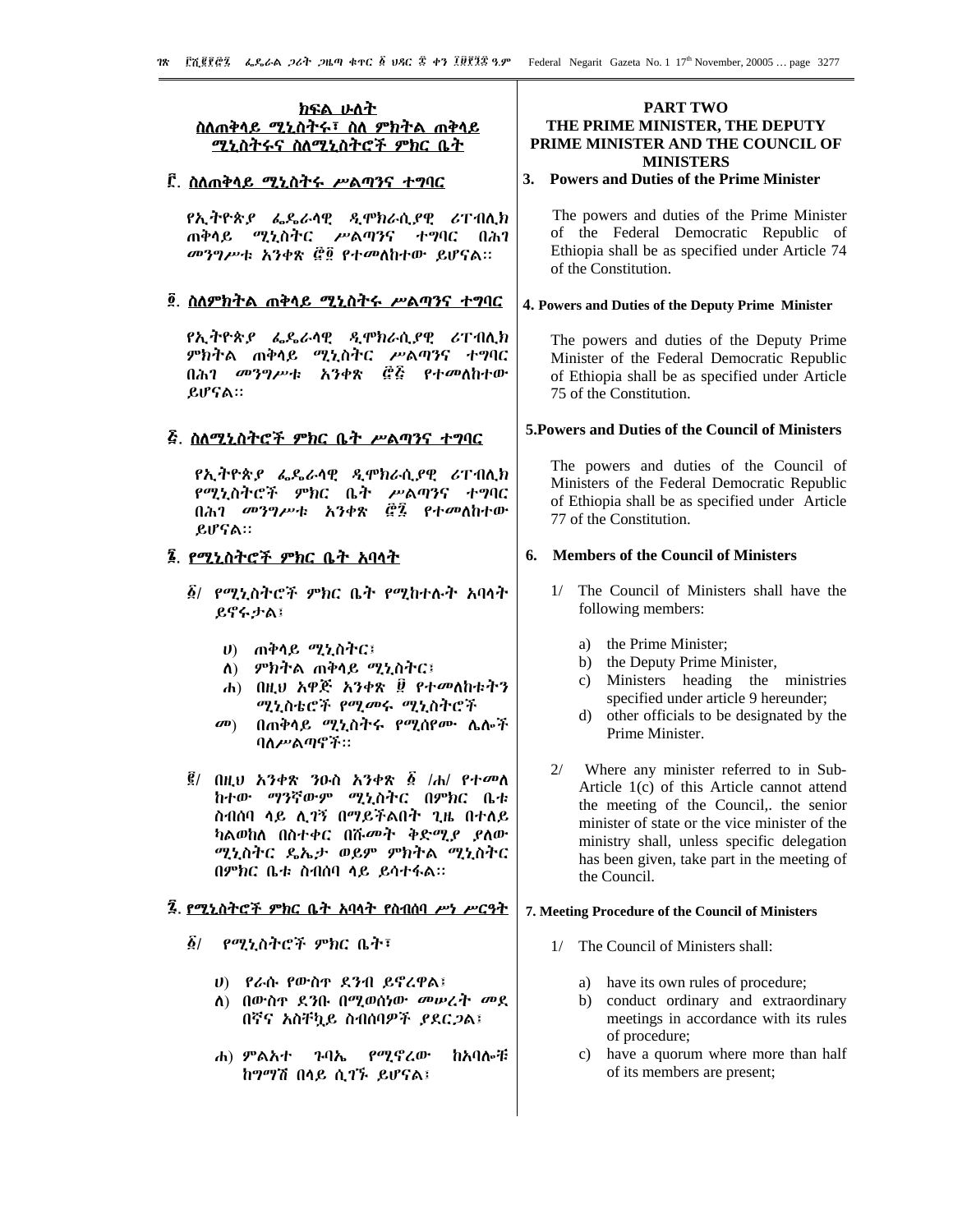# <u>ክፍል ሁለት</u> <u>ስለጠቅሳይ ሚኒስትሩ፣ ስለ ምክትል ጠቅሳይ</u> ሚኒስትሩና ስለሚኒስትሮች ምክር ቤት

# <u> ፫. ስለጠቅላይ ሚኒስትሩ ሥልጣንና ተግባር</u>

የኢትዮጵያ ፌዴራሳዊ ዲሞክራሲያዊ ሪፐብሊክ ጠቅሳይ *ሚኒ*ስትር ሥልጣንና ተግባር በሕገ መንግሥቱ አንቀጽ ፸፬ የተመለከተው ይሆናል።

# ፬. ስለምክትል ጠቅላይ ሚኒስትሩ ሥልጣንና ተግባር

የኢትዮጵያ ፌዴራሳዊ ዲሞክራሲያዊ ሪፐብሊክ *ምክት*ል ጠቅሳይ ሚኒስትር ሥልጣንና ተግባር በሕ*ገ መንግሥ*ቱ አንቀጽ *፸*?፭ የተመለከተው ይሆናል።

# 

የኢትዮጵያ ፌዴራሳዊ ዲሞክራሲያዊ ሪፐብሊክ የሚኒስትሮች ምክር ቤት ሥልጣንና ተግባር በሕገ መንግሥቱ አንቀጽ *@፝*፯ *የተመ*ለከተው ይሆናል።

# ፮. የሚኒስትሮች ምክር ቤት አባሳት

- ፩/ የሚኒስትሮች ምክር ቤት የሚከተሉት አባላት ይኖሩታል፤
	- ሀ) ጠቅሳይ *ሚኒስትር*፤
	- ለ) ምክትል ጠቅሳይ ሚኒስትር፤
	- ሐ) በዚህ አዋጅ አንቀጽ ፱ የተመለከቱትን ሚኒስቴሮች የሚመሩ ሚኒስትሮች
	- $\mathbf{a}$ በጠቅሳይ ሚኒስትሩ የሚሰየሙ ሌሎች ባለሥልጣኖች።
- ፪/ በዚህ አንቀጽ ንዑስ አንቀጽ ፩ /ሐ/ የተመለ ከተው ማንኛውም ሚኒስትር በምክር ቤቱ ስብሰባ ሳይ ሊገኝ በማይችልበት ጊዜ በተለይ ካልወከለ በስተቀር በሹመት ቅድሚያ ያለው ሚኒስትር ዴኤታ ወይም ምክትል ሚኒስትር በምክር ቤቱ ስብሰባ ላይ ይሳተፋል።

# 3. የሚኒስትሮች ምክር ቤት አባላት የስብሰባ ሥነ ሥርዓት

- ፩/ የሚኒስትሮች ምክር ቤት፣
	- ሀ) የራሱ የውስዋ ደንብ ይኖረዋል፤
	- ለ) በውስዋ ደንቡ በሚወሰነው መሠረት መደ በኛና አስቸኳይ ስብሰባዎች ያደርጋል፤
	- የማኖረው ሐ) ምልአተ ንባኤ ከአባሎቹ ከማማሽ በሳይ ሲገኙ ይሆናል፤

# **PART TWO** THE PRIME MINISTER, THE DEPUTY PRIME MINISTER AND THE COUNCIL OF **MINISTERS**

# 3. Powers and Duties of the Prime Minister

The powers and duties of the Prime Minister of the Federal Democratic Republic of Ethiopia shall be as specified under Article 74 of the Constitution.

# 4. Powers and Duties of the Deputy Prime Minister

The powers and duties of the Deputy Prime Minister of the Federal Democratic Republic of Ethiopia shall be as specified under Article 75 of the Constitution.

# 5. Powers and Duties of the Council of Ministers

The powers and duties of the Council of Ministers of the Federal Democratic Republic of Ethiopia shall be as specified under Article 77 of the Constitution

## 6. Members of the Council of Ministers

- 1/ The Council of Ministers shall have the following members:
	- a) the Prime Minister;
	- b) the Deputy Prime Minister,
	- c) Ministers heading the ministries specified under article 9 hereunder;
	- d) other officials to be designated by the Prime Minister.
- $2/$ Where any minister referred to in Sub-Article 1(c) of this Article cannot attend the meeting of the Council, the senior minister of state or the vice minister of the ministry shall, unless specific delegation has been given, take part in the meeting of the Council.

# 7. Meeting Procedure of the Council of Ministers

- 1/ The Council of Ministers shall:
	- a) have its own rules of procedure;
	- b) conduct ordinary and extraordinary meetings in accordance with its rules of procedure;
	- $c)$ have a quorum where more than half of its members are present;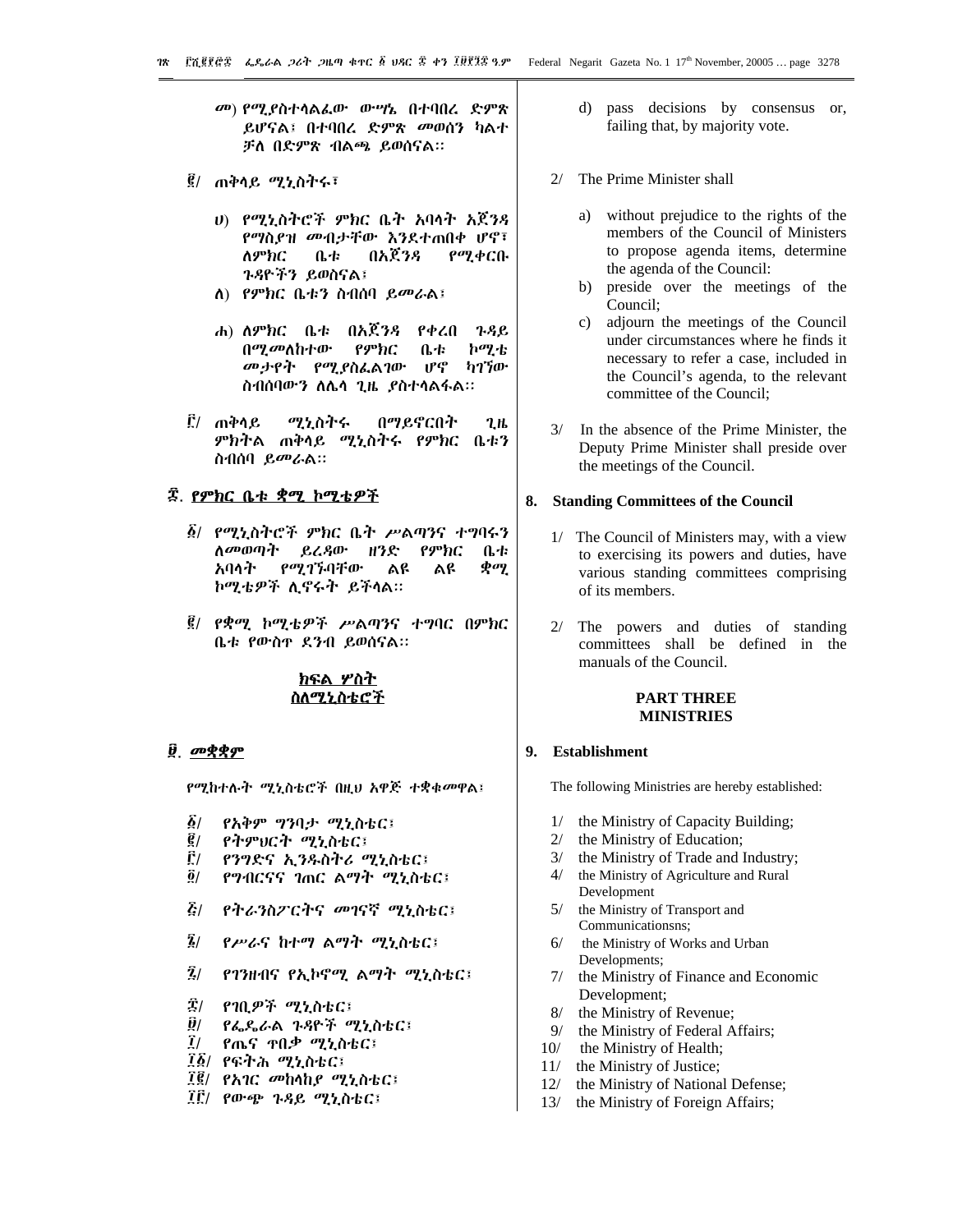- መ) የሚያስተሳልፌው ውሣኔ በተባበረ ድምጽ ይሆናል፤ በተባበረ ድምጽ መወሰን ካልተ ቻለ በድምጽ ብልጫ ይወሰናል።
- ፪/ ጠቅሳይ ሚኒስትሩ፣
	- υ) የሚኒስትሮች ምክር ቤት አባሳት አጀንዳ የማስያዝ መብታቸው እንደተጠበቀ ሆኖ፣ ለምክር ቤቱ በአጀንዳ የሚቀርቡ ጉዳዮችን ይወስናል፤
	- ለ) የምክር ቤቱን ስብሰባ ይመራል፤
	- ሐ) ለምክር ቤቱ በአጀንዳ የቀረበ **7.8 P.** በሚመለከተው የምክር ቤቱ ኮሚቴ መታየት የሚያስፌልገው ሆኖ ካገኘው ስብሰባውን ለሌሳ ጊዜ ያስተሳልፋል።
- ፫/ ጠቅሳይ በማይኖርበት ሚኒስትሩ  $2H$ ምክትል ጠቅሳይ ሚኒስትሩ የምክር ቤቱን ስብሰባ ይመራል።

# ፰. <u>የምክር ቤቱ ቋሚ ኮሚቴዎች</u>

- *፩/ የሚኒ*ስትሮች *ምክ*ር ቤት ሥልጣንና ተግባሩን ለ*መ*ወጣት ይረዳው ዘንድ የምክር 0.4 አባላት የሚገኙባቸው ልዩ  $\phi$ ay ልዩ ኮሚቴዎች ሊኖሩት ይችላል።
- ፪/ *የቋሚ* ኮሚቴዎች ሥልጣንና ተግባር በምክር ቤቱ የውስዋ ደንብ ይወሰናል።

# ክፍል ሦስት ስለ*ሚኒ*ስቴሮች

# ፱ መቋቋም

የሚከተሉት ሚኒስቴሮች በዚህ አዋጅ ተቋቁመዋል፤

- $\delta/$ *የአቅም ግን*ባ*ታ ሚኒ*ስቴር፤
- ĝ/ የትምህርት ሚኒስቴር፤
- Ê/ የንግድና ኢንዱስትሪ ሚኒስቴር፤
- $\ddot{\bm{\theta}}$ / የግብርናና ገጠር ልማት ሚኒስቴር፤
- $\mathbf{Z}/$ የትራንስፖርትና *መገ*ናኛ ሚኒስቴር፤
- $\bar{\mathbf{z}}$ / የሥራና ከተማ ልማት ሚኒስቴር፤
- $\bar{\mathbf{z}}_l$ የገንዘብና የኢኮኖሚ ልማት ሚኒስቴር፤
- *፰/ የገቢዎች ሚኒስቴር*፤
- ĝ/ የፌዴራል ጉዳዮች ሚኒስቴር፤
- $\tilde{l}$ የጤና **ዋበ**ቃ ሚኒስቴር፤
- ፲፩/ የፍትሕ ሚኒስቴር፤
- ፲፪/ የአገር መከላከያ ሚኒስቴር፤
- ፲፫/ *የ*ውጭ ጉዳይ ሚኒስቴር፤
- d) pass decisions by consensus or, failing that, by majority vote.
- 2/ The Prime Minister shall
	- without prejudice to the rights of the a) members of the Council of Ministers to propose agenda items, determine the agenda of the Council:
	- b) preside over the meetings of the Council:
	- adjourn the meetings of the Council  $c)$ under circumstances where he finds it necessary to refer a case, included in the Council's agenda, to the relevant committee of the Council;
- 3/ In the absence of the Prime Minister, the Deputy Prime Minister shall preside over the meetings of the Council.

#### 8. Standing Committees of the Council

- 1/ The Council of Ministers may, with a view to exercising its powers and duties, have various standing committees comprising of its members.
- 2/ The powers and duties of standing committees shall be defined in the manuals of the Council.

#### **PART THREE MINISTRIES**

## 9. Establishment

The following Ministries are hereby established:

- $1/$ the Ministry of Capacity Building;
- $2/$ the Ministry of Education;
- 3/ the Ministry of Trade and Industry;
- $4/$ the Ministry of Agriculture and Rural Development
- $5/$ the Ministry of Transport and Communicationsns;
- $6/$ the Ministry of Works and Urban Developments;
- 7/ the Ministry of Finance and Economic Development;
- $8/$ the Ministry of Revenue;
- $9/$ the Ministry of Federal Affairs;
- $10/$ the Ministry of Health;
- $11/$ the Ministry of Justice;
- $12/$ the Ministry of National Defense;
- $13/$ the Ministry of Foreign Affairs;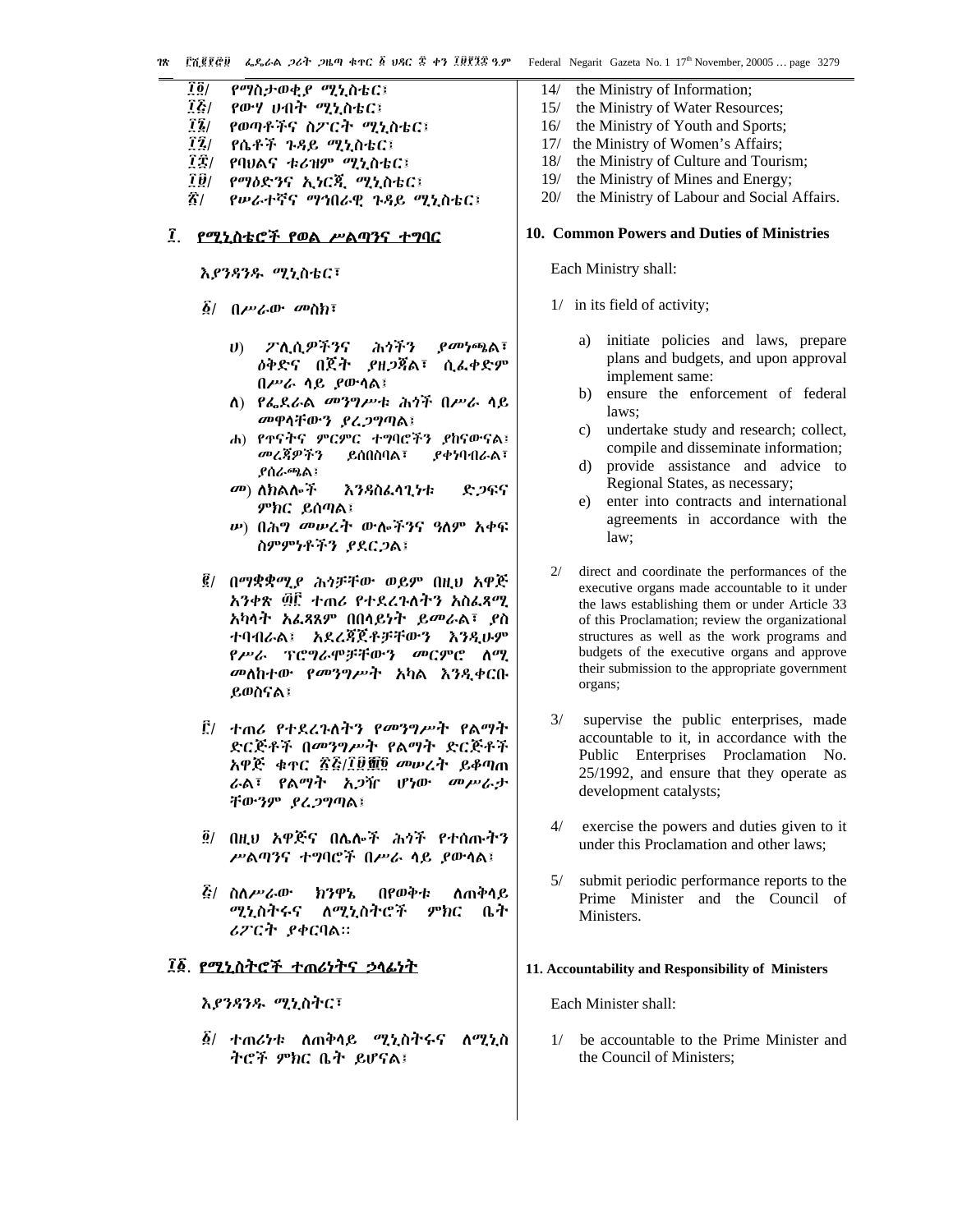- $\overline{1}\overline{0}$ የማስታወቂ*ያ ሚኒ*ስቴር፤  $\vec{l}$ የውሃ ሀብት ሚኒስቴር፤  $\vec{1}\vec{2}/$ የወጣቶችና ስፖርት ሚኒስቴር፤
- 
- <u>77 /</u> የሴቶች *ጉዳይ ሚኒ*ስቴር፤
- ፲፰/ የባህልና ቱሪዝም ሚኒስቴር፤
- ÎÛ/ የማዕድንና ኢነርጂ ሚኒስቴር፤
- $\mathbf{\hat{A}}$ / የሥራተኛና ማኅበራዊ ጉዳይ ሚኒስቴር፤

# ፤ የሚኒስቴሮች የወል ሥልጣንና ተግባር

እያንጻንዱ ሚኒስቴር፣

- $\vec{\Omega}$ /  $0\nu$  and  $\vec{\Omega}$  and  $\vec{\Omega}$  is a set of  $\vec{\Omega}$  is a set of  $\vec{\Omega}$  is a set of  $\vec{\Omega}$  is a set of  $\vec{\Omega}$  is a set of  $\vec{\Omega}$  is a set of  $\vec{\Omega}$  is a set of  $\vec{\Omega}$  is a set of  $\vec{\Omega}$  is a set of  $\vec{\Omega}$  is
	- ፖሊሲዎችንና ふうぞう  $\rho$ መነጫል፣  $\mathbf{U}$ *ለቅድና* በጀት *ያዘጋ*ጃል፣ ሲፈቀድም በሥራ ሳይ ያውሳል፤
	- ለ) የፌደራል መንግሥቱ ሕጎች በሥራ ሳይ መዋሳቸውን ያረጋግጣል፤
	- ሐ) የተናትና ምርምር ተግባሮችን ያከናውናል፤ መረጃዎችን ይሰበስባል፣ *ያቀነ***ባ**ብራል፣ **ያሰራጫል፤**
	- *መ*) ለክልሎች እንዳስፌሳጊነቱ ድጋፍና ምክር ይሰጣል፤
	- *w***) በሕ***ግ መሠ***ረት ውሎችንና ዓለም አቀፍ** ስምምነቶችን ያደርጋል፤
- ፪/ በማቋቋሚያ ሕጎቻቸው ወይም በዚህ አዋጅ አንቀጽ ፴፫ ተጠሪ የተደረጉለትን አስፌጻሚ አካሳት አፌጻጸም በበሳይነት ይመራል፣ ያስ ተባብራል፤ አደረጃጀቶቻቸውን እንዲሁም የሥራ ፕሮግራሞቻቸውን መርምሮ ለሚ መለከተው የመንግሥት አካል እንዲቀርቡ ይወስናል፤
- <u>ຼີຕ</u> ተጠራ የተደረጉለትን የመንግሥት የልማት ድርጅቶች በመንግሥት የልማት ድርጅቶች አዋጅ ቁዋር ፳፭/፲፱፻፬ መሥረት ይቆጣጠ ራል፣ የልማት አ*ጋ*ዥ ሆነው መሥራታ ቸውንም ያረጋግጣል፤
- ፬/ በዚህ አዋጅና በሌሎች ሕጎች የተሰጡትን ሥልጣንና ተግባሮች በሥራ ሳይ ያውሳል፤
- $E/$  ስለሥራው ክንዋኔ በየወቅቱ ለጠቅሳይ ሚኒስትሩና ለሚኒስትሮች ምክር ቤት ሪፖርት ያቀርባል።

# ፲፩. የሚኒስትሮች ተጠሪነትና ኃላፊነት

እያንዳንዱ ሚኒስትር፣

*፩/ ተጠሪነ*ቱ ለጠቅሳይ ሚኒስትሩና ለሚኒስ ትሮች ምክር ቤት ይሆናል፤

- $14/$ the Ministry of Information;
- $15/$ the Ministry of Water Resources;
- $16/$ the Ministry of Youth and Sports;
- 17/ the Ministry of Women's Affairs;
- the Ministry of Culture and Tourism;  $18/$
- $19/$ the Ministry of Mines and Energy;
- $20/$ the Ministry of Labour and Social Affairs.

#### 10. Common Powers and Duties of Ministries

Each Ministry shall:

- 1/ in its field of activity;
	- initiate policies and laws, prepare a) plans and budgets, and upon approval implement same:
	- $b)$ ensure the enforcement of federal laws:
	- $c)$ undertake study and research; collect, compile and disseminate information:
	- d) provide assistance and advice to Regional States, as necessary;
	- enter into contracts and international  $e)$ agreements in accordance with the law;
- direct and coordinate the performances of the  $2/$ executive organs made accountable to it under the laws establishing them or under Article 33 of this Proclamation; review the organizational structures as well as the work programs and budgets of the executive organs and approve their submission to the appropriate government organs;
- supervise the public enterprises, made  $3/$ accountable to it, in accordance with the Public Enterprises Proclamation No. 25/1992, and ensure that they operate as development catalysts;
- $\Delta/$ exercise the powers and duties given to it under this Proclamation and other laws:
- $5/$ submit periodic performance reports to the Prime Minister and the Council of Ministers.

#### 11. Accountability and Responsibility of Ministers

Each Minister shall:

1/ be accountable to the Prime Minister and the Council of Ministers: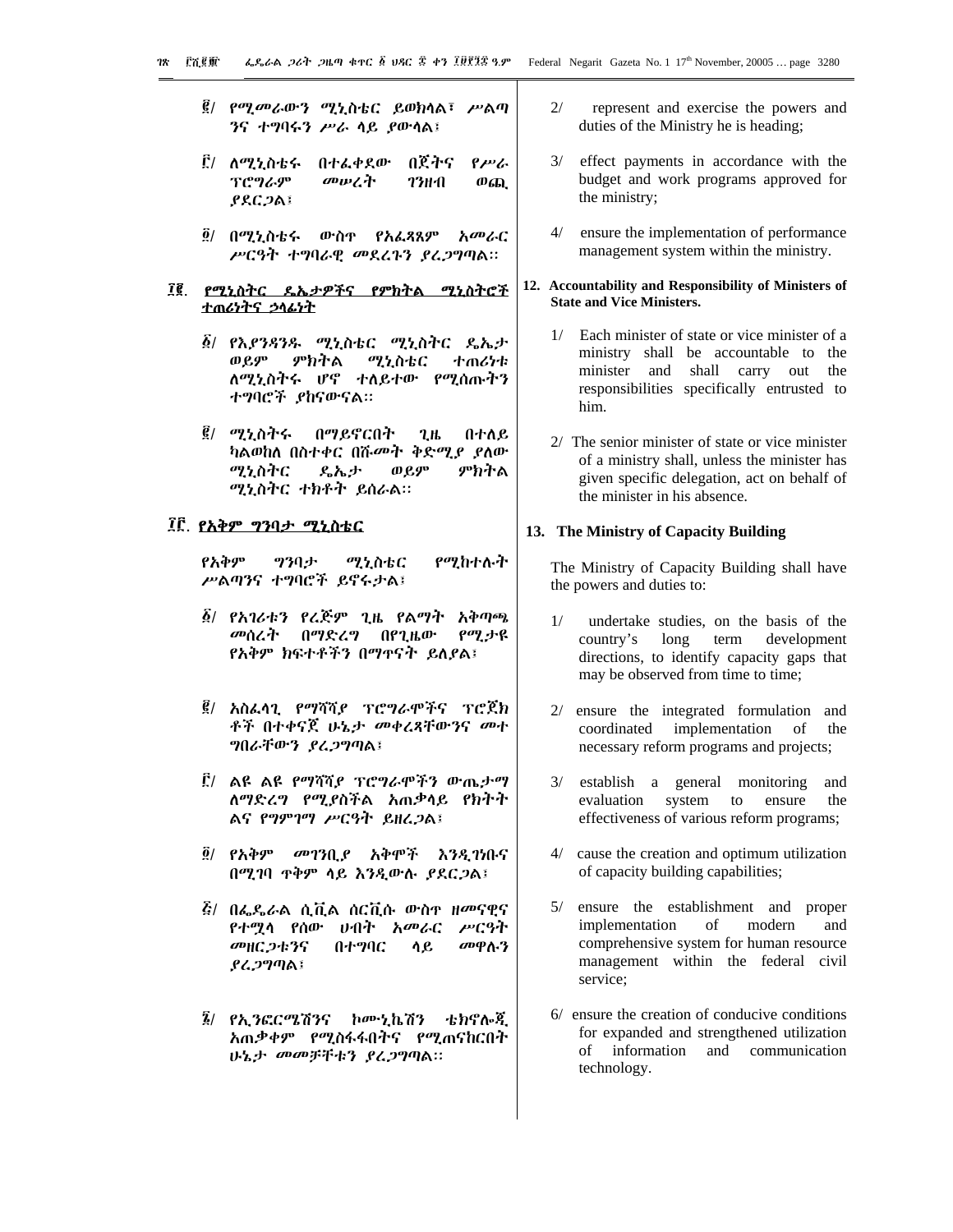- *፪/ የሚመራ*ውን ሚኒስቴር ይወክላል፣ ሥልጣ ንና ተግባሩን ሥራ ሳይ ያውሳል፤
- ፫/ ለሚኒስቴሩ በተፌቀደው በጀትና  $\rho_{\mu\nu}$ ፕሮግራም መሠረት **73HA**  $\omega_{6D}$  $PACDAI$
- ፬/ በሚኒስቴሩ ውስ**ዋ የአ**ፌጻጸም *አመ*ራር ሥርዓት ተግባራዊ መደረጉን ያረጋግጣል።

## ፲፪. የሚኒስትር ዴኤታዎችና የምክትል ሚኒስትሮች <u>ተጠሪነትና ኃላፊነት</u>

- *፩/ የእያንጻንዱ ሚኒ*ስቴር ሚኒስትር ዴኤታ ወይም ምክትል ሚኒስቴር ተጠሪካቱ ለሚኒስትሩ ሆኖ ተለይተው የሚሰጡትን ተግባሮች ያከናውናል።
- *፪/ ሚኒ*ስትሩ በማይኖርበት  $2.1<sub>b</sub>$ በተለይ ካልወከለ በስተቀር በሹመት ቅድሚያ ያለው ምክትል ሚኒስትር **ዲኤታ** ወይም ሚኒስትር ተክቶት ይሰራል።

# ፲፫. የአቅም ግንባታ ሚኒስቴር

የአቅም ツንባታ ሚኒስቴር የሚከተሉት ሥልጣንና ተግባሮች ይኖሩታል፤

- ፩/ የአገሪቱን የረጅም ጊዜ የልማት አቅጣጫ መሰረት በማድረግ በየጊዜው የሚታዩ የአቅም ክፍተቶችን በማዋናት ይለያል፤
- *፪*/ አስፌሳጊ የማሻሻ*ያ* ፕሮግራሞችና ፕሮጀክ ቶች በተቀናጀ ሁኔታ መቀረጻቸውንና መተ ግበራቸውን ያረጋግጣል፤
- ፫/ ልዩ ልዩ የማሻሻ*ያ* ፕሮግራሞችን ውጤታማ ለማድረግ የሚያስችል አጠቃሳይ የክትት ልና የግምገማ ሥርዓት ይዘረጋል፤
- ፬/ የአቅም መገንቢያ አቅሞች እንዲገነቡና በሚገባ ዋቅም ሳይ እንዲውሉ ያደርጋል፤
- *ξι በፌ*ዴራል ሲቪል ሰርቪሱ ውስዋ ዘመናዊና *የተማሳ የ*ሰው *ህብት አመራ*ር ሥርዓት መዘር ጋቱንና መዋሉን በተማባር ሳይ ያሬጋግጣል፤
- ቴክኖሎጂ *፮/ የኢንፎርሜ*ሽንና ኮሙኒኬሽን አጠቃቀም የሚስፋፋበትና የሚጠናከርበት ሁኔታ መመቻቸቱን ያረጋግጣል።
- $2/$ represent and exercise the powers and duties of the Ministry he is heading;
- $3/$ effect payments in accordance with the budget and work programs approved for the ministry;
- ensure the implementation of performance  $4/$ management system within the ministry.

#### 12. Accountability and Responsibility of Ministers of **State and Vice Ministers.**

- 1/ Each minister of state or vice minister of a ministry shall be accountable to the minister and shall carry out the responsibilities specifically entrusted to him.
- 2/ The senior minister of state or vice minister of a ministry shall, unless the minister has given specific delegation, act on behalf of the minister in his absence.

#### 13. The Ministry of Capacity Building

The Ministry of Capacity Building shall have the powers and duties to:

- $1/$ undertake studies, on the basis of the country's long term development directions, to identify capacity gaps that may be observed from time to time;
- ensure the integrated formulation and coordinated implementation of the necessary reform programs and projects;
- $3/$ establish a general monitoring and evaluation system to ensure the effectiveness of various reform programs;
- cause the creation and optimum utilization of capacity building capabilities;
- 5/ ensure the establishment and proper implementation  $\sigma$ modern and comprehensive system for human resource management within the federal civil service:
- 6/ ensure the creation of conducive conditions for expanded and strengthened utilization of information and communication technology.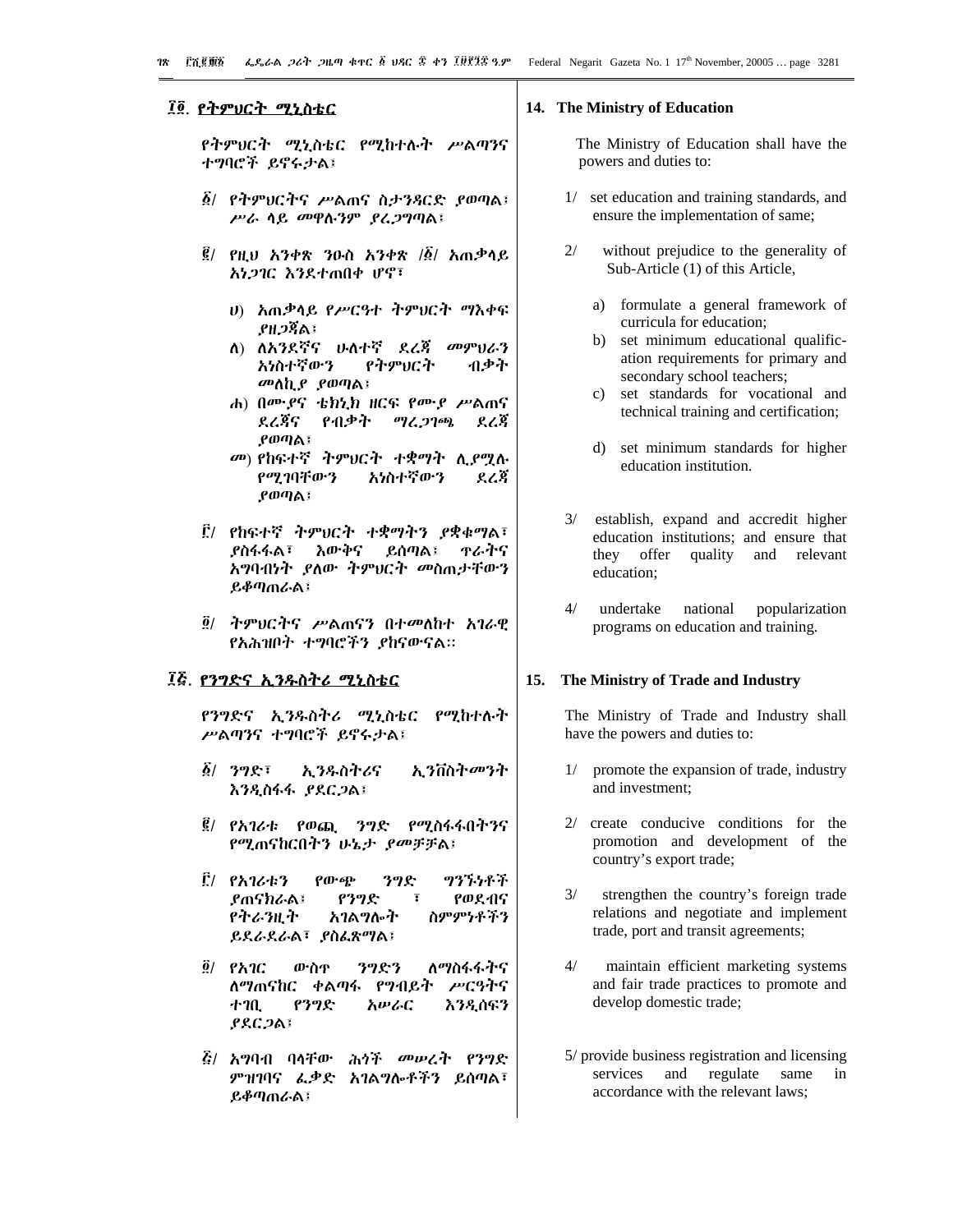# ፲፬. የትምህርት ሚኒስቴር

የትምህርት ሚኒስቴር የሚከተሉት ሥልጣንና ተግባሮች ይኖሩታል፤

- ፩/ የትምህርትና ሥልጠና ስታንጻርድ ያወጣል፤ ሥራ ሳይ መዋሉንም ያፈጋግጣል፤
- $\vec{g}$ / የዚህ አንቀጽ ንዑስ አንቀጽ / $\vec{g}$ / አጠቃላይ አነጋገር እንደተጠበቀ ሆኖ፣
	- ሀ) አጠቃላይ የሥርዓተ ትምሀርት ማእቀፍ ያዘጋጀል፤
	- መምህራን ለ) ለአንደኛና ሁለተኛ ደረጃ አነስተኛውን የትምህርት ብቃት መለኪያ ያወጣል፤
	- ሐ) በሙያና ቴክኒክ ዘርፍ የሙያ ሥልጠና የብቃት ደረጃና ማረ ጋገጫ ደረጃ  $\rho$ ወጣል፤
	- መ) የከፍተኛ ትምህርት ተቋማት ሊያማሉ የሚገባቸውን አነስተኛውን ደረጃ **ያወጣል፤**
- ፫/ የከፍተኛ ትምህርት ተቋማትን *ያ*ቋቁማል፣ **ያስፋፋል፣ እውቅና** ይሰጣል፤ <u>ዋራትና</u> አግባብነት ያለው ትምህርት መስጠታቸውን ይቆጣጠራል፤
- <u>፬/ ተምህርትና ሥልጠናን በተመለከተ አገራዊ</u> የአሕዝቦት ተግባሮችን ያከናውናል።

# ፲፭. የንግድና ኢንዱስትሪ ሚኒስቴር

የንግድና ኢንዱስትሪ ሚኒስቴር የሚከተሉት ሥልጣንና ተግባሮች ይኖሩታል፤

- $\vec{\Delta}$ /  $\gamma$ %} ኢንዱስትሪና ኢንቨስት*መን*ት እንዲስፋፋ ያደርጋል፤
- *፪/ የአገሪቱ የወጪ ንግድ* <u>የሚስፋፋበትንና</u> የሚጠናከርበትን ሁኔ*ታ ያመቻቻ*ል፤
- ፫/ የአገሪቱን  $\rho_0 \cdot \epsilon_P$ ንግድ ツクブウヂブ **ያ**ጠናክራል፤ የወደብና የንግድ  $\overline{\mathbf{r}}$ የትራንዚት አገልግሎት ስምምነቶችን ይደራደራል፣ ያስፈጽማል፤
- $\tilde{g}$ / የአገር ንግድን ለማስፋፋትና ውስዋ ለማጠናከር ቀልጣፋ የግብይት ሥርዓትና የንግድ አሥራር እንዲሰፍን ナフル **PRC2A1**
- *ξι አግ*ባብ ባሳቸው *ሕጎች መሠረት የንግ*ድ ምዝገባና ፌቃድ አገልግሎቶችን ይሰጣል፣ ይቆጣጠራል፤

## 14. The Ministry of Education

The Ministry of Education shall have the powers and duties to:

- $1/$ set education and training standards, and ensure the implementation of same;
- $2/$ without prejudice to the generality of Sub-Article (1) of this Article,
	- a) formulate a general framework of curricula for education;
	- b) set minimum educational qualification requirements for primary and secondary school teachers;
	- set standards for vocational and  $c)$ technical training and certification;
	- d) set minimum standards for higher education institution.
- $3/$ establish, expand and accredit higher education institutions; and ensure that they offer quality and relevant education:
- $\Delta/$ undertake national popularization programs on education and training.

#### 15. The Ministry of Trade and Industry

The Ministry of Trade and Industry shall have the powers and duties to:

- promote the expansion of trade, industry  $1/$ and investment:
- 2/ create conducive conditions for the promotion and development of the country's export trade;
- $3/$ strengthen the country's foreign trade relations and negotiate and implement trade, port and transit agreements;
- $4/$ maintain efficient marketing systems and fair trade practices to promote and develop domestic trade;
- 5/ provide business registration and licensing services and regulate same in accordance with the relevant laws;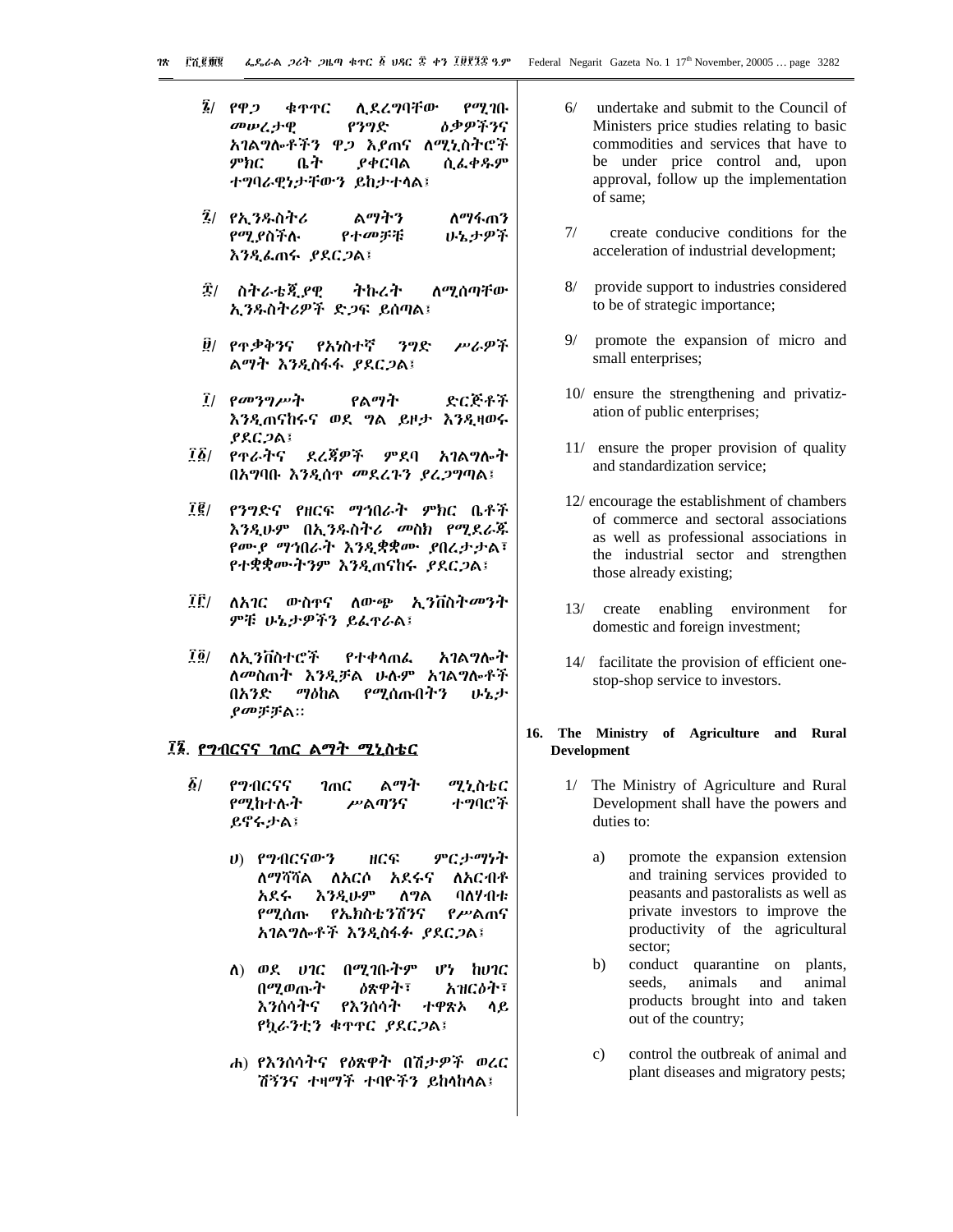ቁዋዋር **የሚገቡ** ፮/ የዋጋ ሊደረግባቸው መሠረታዊ የንግድ **ዕ**ቃዎችንና አገልግሎቶችን ዋጋ እያጠና ለሚኒስትሮች ምክር ቤት ያቀርባል ሲፌቀዱም ተግባራዊነታቸውን ይከታተሳል፤

- *፯*/ *የኢን*ዱስትሪ ልማትን ለማፋጠን የሚያስችሉ いとナዎች የተመቻቹ እንዲፌጠሩ ያደርጋል፤
- ፰/ ስትራቴጂያዊ ትኩረት ለ*ሚ*ሰጣቸው ኢንዱስትሪዎች ድጋፍ ይሰጣል፤
- ፱/ የጥቃቅንና የአነስተኛ ንግድ ሥራዎች ልማት እንዲስፋፋ ያደርጋል፤
- $\vec{l}$ / የመንግሥት የልማት ድርጅቶች እንዲጠናከሩና ወደ ግል ይዞታ እንዲዛወሩ  $PACDA$
- ፲፩/ የተራትና ደረጃዎች ምደባ አገልግሎት በአግባቡ እንዲሰዋ መደረጉን ደረጋግጣል፤
- ፲፪/ የንግድና የዘርፍ ማኅበራት ምክር ቤቶች እንዲሁም በኢንዱስትሪ መስክ የሚደራጁ የሙያ ማኅበራት እንዲቋቋሙ ያበረታታል፣ የተቋቋሙትንም እንዲጠናከሩ ያደርጋል፤
- $\vec{I}\,\vec{\Gamma}/$ ለአገር ውስኖና ለውጭ ኢንቨስትመንት *ምቹ ሁኔታዎችን ይሌ*ኖራል፤
- 7 ö / ለአ ንቨስተሮች የተቀሳጠራ አገልግሎት ለመስጠት እንዲቻል ሁሉም አገልግሎቶች ማዕከል የሚሰጡበትን በአንድ ひとよ ያመቻቻል።

#### ፲፮. <u>የግብርናና ገጠር ልማት ሚኒስቴር</u>

- ልማት  $\delta/$ የማብሮናና  $2mC$ ሚኒስቴር የሚከተሉት ሥልጣንና ተግባሮች ይኖሩታል፤
	- ምርታማነት ሀ) የግብርናውን HCG ለማሻሻል ለአርሶ አደሩና ለአርብቶ አደሩ **እንዲሁም** ሰግል ባለሃብቱ የሚሰጡ የኤክስቴንሽንና የሥልጠና አገልግሎቶች እንዲስፋፉ ያደርጋል፤
	- ለ) ወደ ሀገር በሚገቡትም  $0<sup>2</sup>$  hvnc ዕጽዋት፣ አዝርዕት፣ በሚወጡት እንሰሳትና የእንሰሳት ተዋጽኦ ሳይ የካራንቲን ቁጥኖር ያደርጋል፤
	- ሐ) የእንሰሳትና የዕጽዋት በሽታዎች ወረር ሽኝንና ተዛማች ተባዮችን ይከላከላል፤
- $6/$ undertake and submit to the Council of Ministers price studies relating to basic commodities and services that have to be under price control and, upon approval, follow up the implementation of same;
- $7/$ create conducive conditions for the acceleration of industrial development;
- $8/$ provide support to industries considered to be of strategic importance;
- $Q/$ promote the expansion of micro and small enterprises;
- 10/ ensure the strengthening and privatization of public enterprises;
- 11/ ensure the proper provision of quality and standardization service:
- 12/ encourage the establishment of chambers of commerce and sectoral associations as well as professional associations in the industrial sector and strengthen those already existing;
- 13/ create enabling environment for domestic and foreign investment;
- 14/ facilitate the provision of efficient onestop-shop service to investors.

### 16. The Ministry of Agriculture and Rural Development

- The Ministry of Agriculture and Rural  $1/$ Development shall have the powers and duties to:
	- promote the expansion extension a) and training services provided to peasants and pastoralists as well as private investors to improve the productivity of the agricultural sector;
	- conduct quarantine on plants,  $h)$ seeds. animals and animal products brought into and taken out of the country;
	- $\mathbf{c})$ control the outbreak of animal and plant diseases and migratory pests;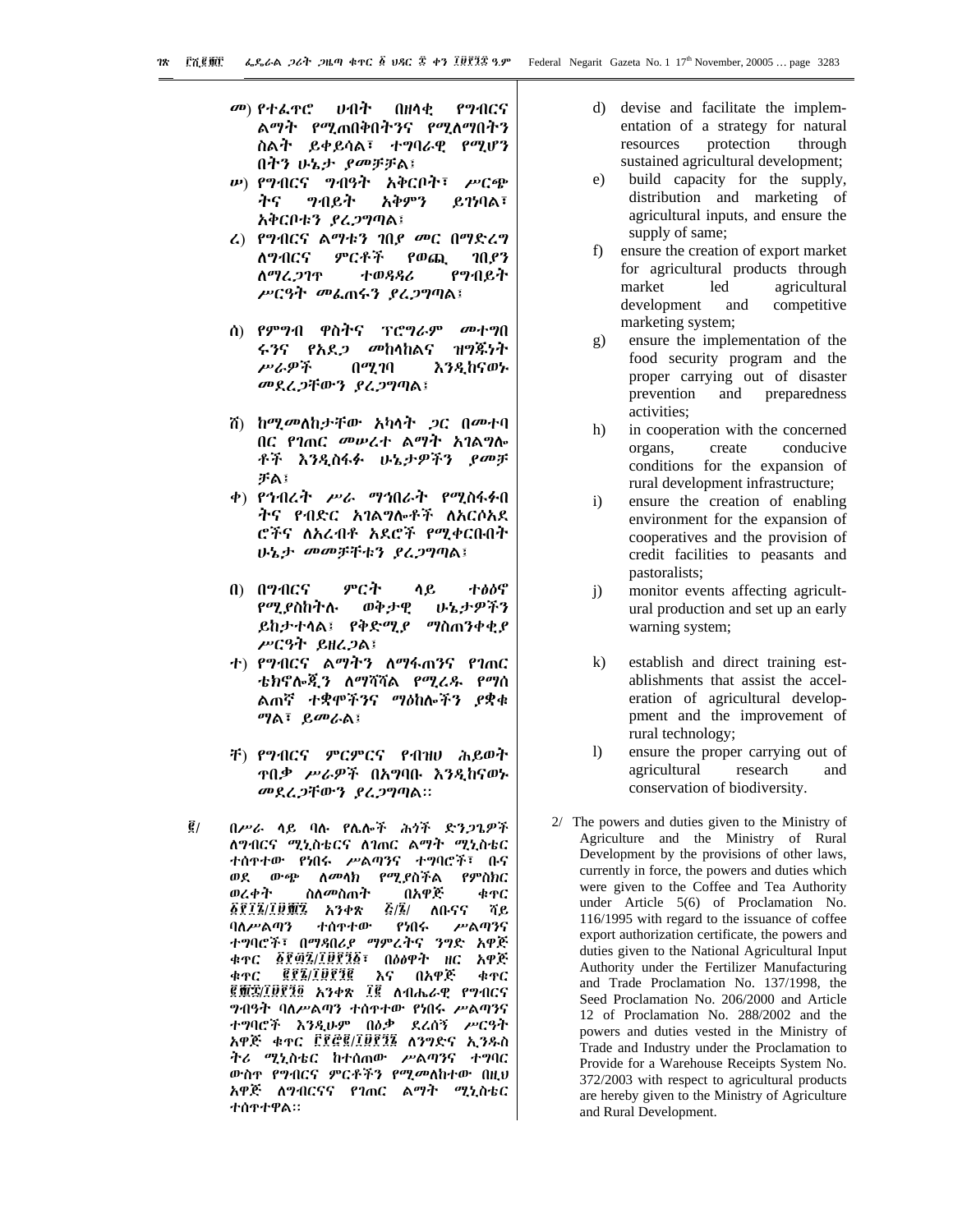- የማብርና መ) የተፌዋሮ ひイイト  $0H$ ሳቂ ልማት የሚጠበቅበትንና የሚለማበትን ስልት ይቀይሳል፣ ተግባራዊ የሚሆን በትን ሁኔታ ያመቻቻል፤
- ሥ) የ*ግብርና ግብዓት አቅርቦት፣ ሥርጭ* ትና *ግ*ብይት አቅምን  $6759$ ል፣ አቅርቦቱን ያሬጋግጣል፤
- ሬ) የግብርና ልማቱን ገበያ መር በማድረግ ምርቶች የወጪ ለማብርና  $70.93$ ስማሬ.ጋገጥ ተወዳዳሪ የንብይት ሥርዓት መልጠሩን ያረ*ጋግ*ጣል፤
- ሰ) የምግብ ዋስትና ፕሮግራም መተግበ ሩንና የአደ*ጋ መ*ከላከልና ዝግጁነት ሥራዎች  $0<sup>q</sup>2<sup>q</sup>$ እንዲከናወኑ መደረጋቸውን ያረጋግጣል፤
- ሽ) ከሚመለከታቸው አካላት *ጋ*ር በመተባ በር የገጠር መሠረተ ልማት አገልግሎ ቶች እንዲስፋፉ ሁኔታዎችን ያመቻ チム
- ቀ) የኅብረት ሥራ ማኅበራት የሚስፋፉበ ትና የብድር አገልግሎቶች ለአርሶአደ ሮችና ለአረብቶ አደሮች የሚቀርቡበት ሁኔታ መመቻቸቱን ያረጋግጣል፤
- $(1)$   $(12)$ ምርት ተፅዕኖ ሳይ *የሚያ*ስከትሉ ወቅታዊ いとナዎችን ይከታተሳል፤ የቅድሚያ ማስጠንቀቂያ ሥርዓት ይዘረጋል፤
- ተ) የግብርና ልማትን ለማፋጠንና የገጠር ቴክኖሎጂን ለማሻሻል የሚረዱ የማሰ ልጠኛ ተቋሞችንና ማዕከሎችን ያቋቁ *ግ*ል፣ ይመራል፤
- ች) የግብርና ምርምርና የብዝሀ ሕይወት **ዋበቃ ሥራዎች በአ**ማባቡ እንዲከናወኑ መደረጋቸውን ያረጋግጣል።
- $\vec{g}_I$ በሥራ ላይ ባሉ የሌሎች ሕጎች ድንጋጌዎች ለግብርና ሚኒስቴርና ለገጠር ልማት ሚኒስቴር ተሰዋተው የነበሩ ሥልጣንና ተግባሮች፣ ቡና ወደ ውጭ ለመሳክ የሚያስችል የምስክር ስለ*መ*ስጠት በአዋጅ ወረቀት ቁጥር **&RI&/IQMA \*\*\*\*** *ξ/፮/ ለቡናና* ሻይ ባለሥልጣን ተሰዋተው የነበሩ ሥልጣንና ተግባሮች፣ በማዳበሪያ ማምረትና ንግድ አዋጅ ቁጥር ፩፻፴፯/፲፱፻፺፩፣ በዕፅዋት ዘር አዋጅ **GRA/IDRIG** በአዋጅ ቁዋር እና ቁዋር ፪页空/፲፱፻፺፬ አንቀጽ ፲፪ ለብሔራዊ የግብርና *ግ*ብዓት ባለሥልጣን ተሰዋተው የነበሩ ሥልጣንና ተግባሮች እንዲሁም በዕቃ ደረሰኝ ሥርዓት አዋጅ ቁተር ፫፻፸፪/፲፱፻፺፮ ለንግድና ኢንዱስ ትሪ ሚኒስቴር ከተሰጠው ሥልጣንና ተግባር ውስዋ የግብርና ምርቶችን የሚመለከተው በዚህ አዋጅ ለማብርናና የገጠር ልማት ሚኒስቴር ተሰዋተዋል።
- d) devise and facilitate the implementation of a strategy for natural resources protection through sustained agricultural development;
- $e)$ build capacity for the supply, distribution and marketing of agricultural inputs, and ensure the supply of same;
- ensure the creation of export market f)  $\overline{a}$ for agricultural products through market led agricultural competitive development and marketing system;
- ensure the implementation of the  $\mathfrak{g}$ ) food security program and the proper carrying out of disaster prevention and preparedness activities:
- h) in cooperation with the concerned organs. create conducive conditions for the expansion of rural development infrastructure;
- ensure the creation of enabling  $\mathbf{i}$ environment for the expansion of cooperatives and the provision of credit facilities to peasants and pastoralists;
- monitor events affecting agricult- $\ddot{1}$ ural production and set up an early warning system;
- establish and direct training est- $\bf k$ ) ablishments that assist the acceleration of agricultural developpment and the improvement of rural technology;
- $\overline{1}$ ensure the proper carrying out of agricultural research and conservation of biodiversity.
- 2/ The powers and duties given to the Ministry of Agriculture and the Ministry of Rural Development by the provisions of other laws, currently in force, the powers and duties which were given to the Coffee and Tea Authority under Article 5(6) of Proclamation No. 116/1995 with regard to the issuance of coffee export authorization certificate, the powers and duties given to the National Agricultural Input Authority under the Fertilizer Manufacturing and Trade Proclamation No. 137/1998, the Seed Proclamation No. 206/2000 and Article 12 of Proclamation No. 288/2002 and the powers and duties vested in the Ministry of Trade and Industry under the Proclamation to Provide for a Warehouse Receipts System No. 372/2003 with respect to agricultural products are hereby given to the Ministry of Agriculture and Rural Development.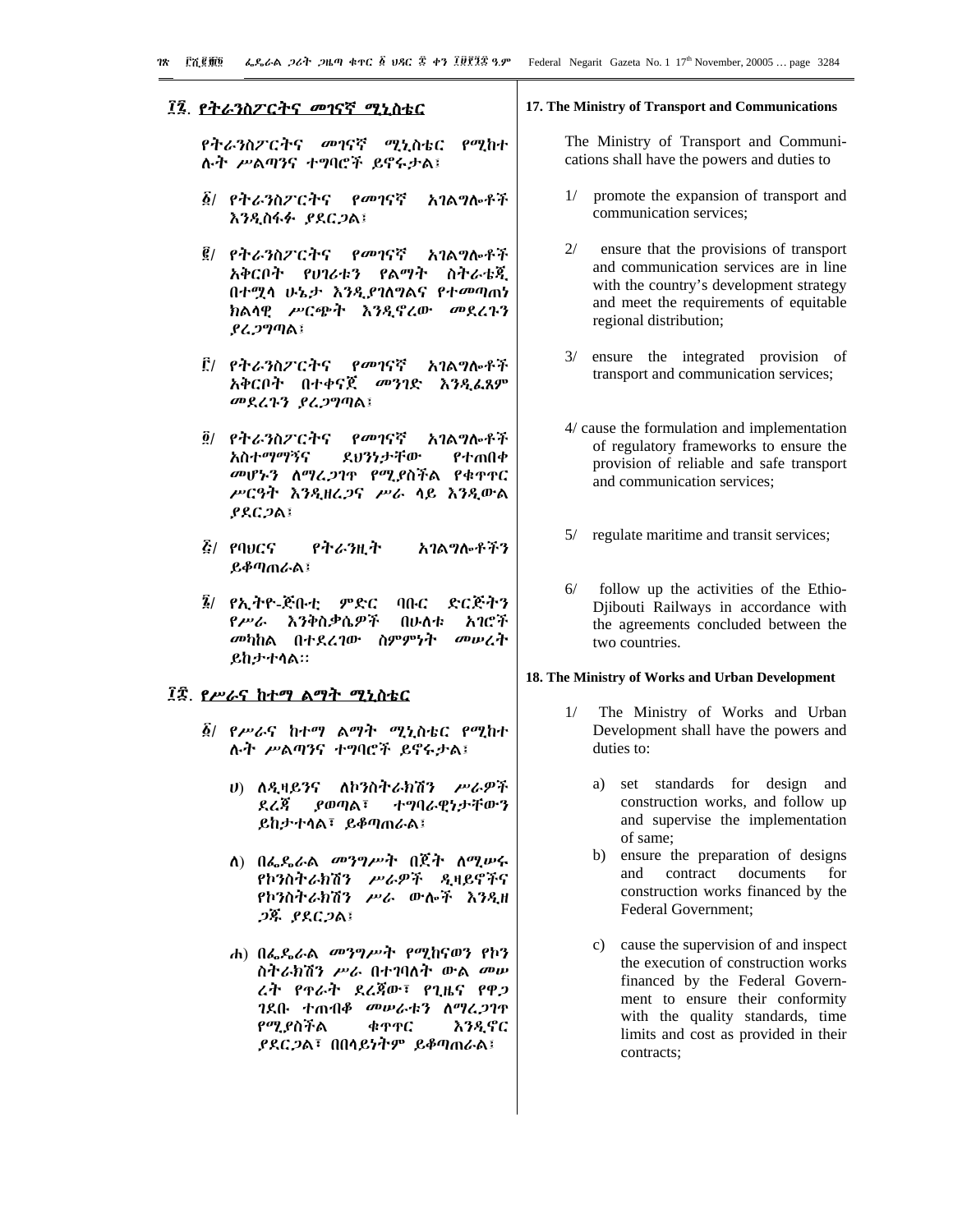# ፲፯. የትራንስፖርትና መገናኛ ሚኒስቴር

የትራንስፖርትና መገናኛ ሚኒስቴር የሚከተ ሉት ሥልጣንና ተግባሮች ይኖሩታል፤

- ፩/ የትራንስፖርትና *የመገ*ናኛ አገልግሎቶች እንዲስፋፉ ያደርጋል፤
- ፪/ የትራንስፖርትና የመገናኛ አገልግሎቶች ስትራቴጂ አቅርቦት የሀገሪቱን የልማት በተሟሳ ሁኔታ እንዲያገለግልና የተመጣጠነ ክልሳዊ ሥርጭት እንዲኖረው መደረጉን ያሬጋግጣል፤
- ፫/ *የትራንስፖርትና* የመገናኛ አገልግሎቶች አቅርቦት በተቀናጀ መንገድ እንዲፌጸም መደረጉን ያረጋግባል፤
- ፬/ የትራንስፖርትና የመገናኛ አገልግሎቶች አስተማማኝና ደህንነታቸው የተጠበቀ መሆኑን ለማረጋገጥ የሚያስችል የቁጥር ሥርዓት እንዲዘሬጋና ሥራ ሳይ እንዲውል  $PACDA$
- *ξι* εσυςς የትራንዚት አገልግሎቶችን ይቆጣጠራል፤
- *፮/ የኢት*ዮ-ጅቡቲ *ምድር* ባቡር ድርጅትን በሁለቱ አገሮች የሥራ እንቅስቃሴዎች መካከል በተደረገው ስምምነት መሠረት **ይከታተሳል።**

# ፲፰. *የሥራ*ና ከተማ ልማት ሚኒስቴር

- *፩/ የሥራ*ና ከተማ ልማት ሚኒስቴር የሚከተ ሉት ሥልጣንና ተግባሮች ይኖሩታል፤
	- ሀ) ለዲዛይንና ለኮንስትራክሽን ሥራዎች ያወጣል፣ ተግባራዊነታቸውን ደረጃ ይከታተሳል፣ ይቆጣጠራል፤
	- ለ) በፌዴራል *መንግሥት* በጀት ለሚሥሩ የኮንስትራክሽን ሥራዎች ዲዛይኖችና የኮንስትራክሽን ሥራ ውሎች እንዲዘ ጋጁ ያደርጋል፤
	- ሐ) በፌዴራል መንግሥት የሚከናወን የኮን ስትራክሽን ሥራ በተገባለት ውል መሥ ረት የተራት ደረጀው፣ የጊዜና የዋጋ ገደቡ ተጠብቆ *መ*ሥራቱን ስማረ*ጋ*ገዋ የሚያስችል ቁዋዋር እንዲኖር *ያደርጋ*ል፣ በበሳይነትም ይቆጣጠራል፤

#### 17. The Ministry of Transport and Communications

The Ministry of Transport and Communications shall have the powers and duties to

- promote the expansion of transport and  $1/$ communication services;
- $2/$ ensure that the provisions of transport and communication services are in line with the country's development strategy and meet the requirements of equitable regional distribution;
- $3/$ ensure the integrated provision of transport and communication services;
- 4/ cause the formulation and implementation of regulatory frameworks to ensure the provision of reliable and safe transport and communication services;
- 5/ regulate maritime and transit services;
- $6/$ follow up the activities of the Ethio-Djibouti Railways in accordance with the agreements concluded between the two countries.

#### 18. The Ministry of Works and Urban Development

- The Ministry of Works and Urban  $1/$ Development shall have the powers and duties to:
	- $a)$ set standards for design and construction works, and follow up and supervise the implementation of same;
	- $b)$ ensure the preparation of designs and contract documents for construction works financed by the Federal Government;
	- c) cause the supervision of and inspect the execution of construction works financed by the Federal Government to ensure their conformity with the quality standards, time limits and cost as provided in their contracts;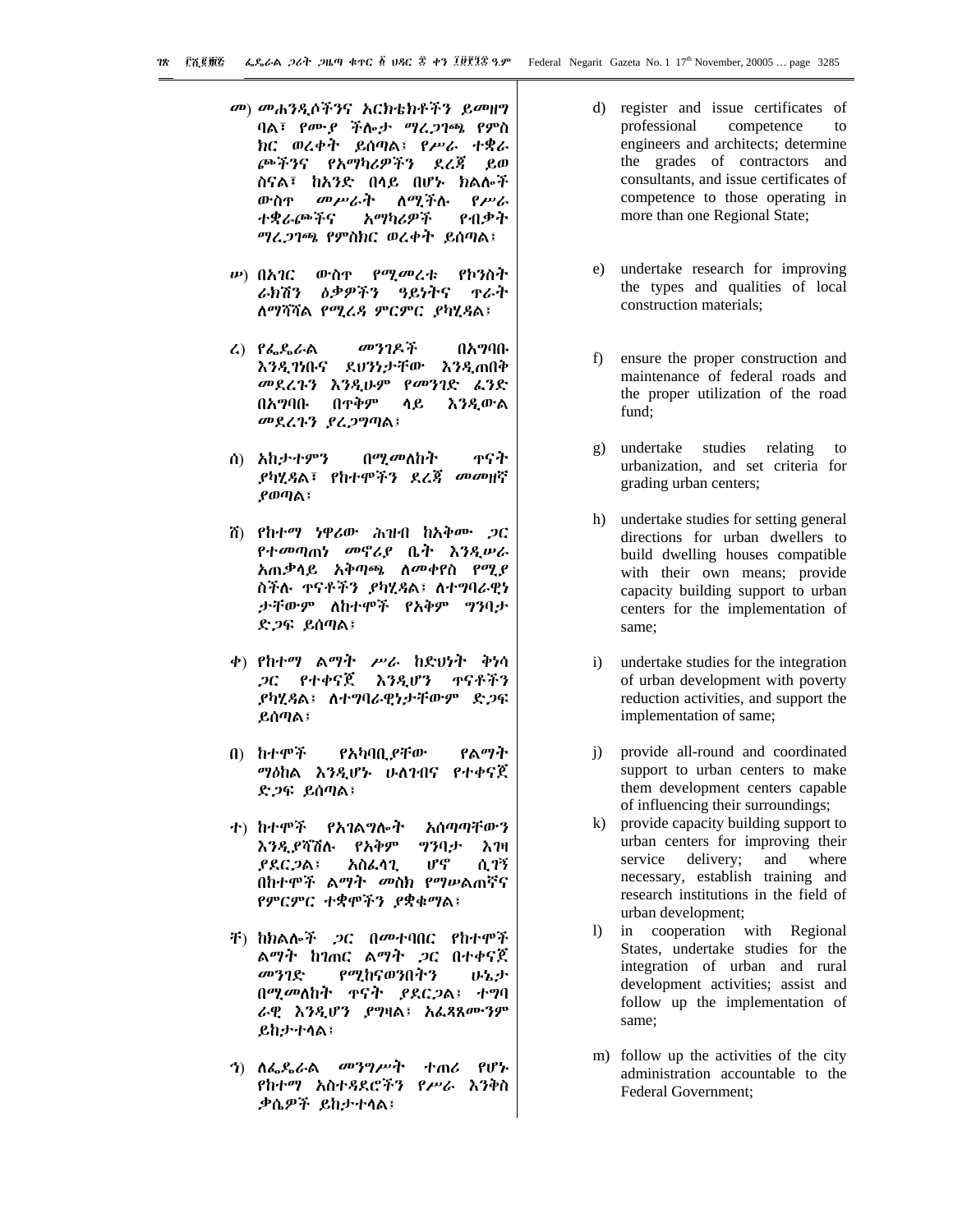- መ) መሐንዲሶችንና አርክቴክቶችን ይመዘግ ባል፣ የሙያ ችሎታ ማረጋገጫ የምስ ክር ወረቀት ይሰጣል፤ የሥራ ተቋራ ጮችንና የአማካሪዎችን ደረጃ ይወ ስናል፣ ከአንድ በላይ በሆኑ ክልሎች ለሚችሉ ውስዋ መሥራት  $\rho_{\mu\nu}$ ተቋራጮችና አማካሪዎች የብቃት *ግረጋገጫ የምስክር ወረቀት ይ*ሰጣል፤
- የሚመረቱ የኮንስት  $\n *u*$ ) በአገር ውስዋ ጥራት ራክሽን ዕቃዎችን ዓይነትና ለማሻሻል የሚረዳ ምርምር ያካሂዳል፤
- $L$ )  $P_{\alpha}$  $P_{\alpha}$  $C_{\alpha}$ መንገዶች በአማባቡ እንዲገነቡና ደህንነታቸው እንዲጠበቅ መደረጉን እንዲሁም የመንገድ ፌንድ በአማባቡ በዋቅም እንዲውል ሳይ መደረጉን ያረጋግጣል፤
- ጥናት ሰ) አከታተምን በ*ሚመ*ለከት *ያካሂጻ*ል፣ የከተሞችን ደረ*ጃ መመ*ዘኛ ያወጣል፤
- ሽ) የከተማ ነዋሪው ሕዝብ ከአቅሙ *ጋ*ር የተመጣጠነ መኖሪያ ቤት እንዲሠራ አጠቃሳይ አቅጣጫ ለ*መ*ቀየስ የሚ*ያ* ስችሉ ተናቶችን ያካሂጻል፤ ለተግባራዊነ ታቸውም ለከተሞች የአቅም ግንባታ ድ*ጋ*ፍ ይሰጣል፤
- ቀ) የከተማ ልማት ሥራ ከድህነት ቅነሳ *ጋ*ር የተቀናጀ እንዲሆን ዋናቶችን *ያካሂጻ*ል፤ ለተግባራዊነታቸውም ድ*ጋ*ፍ ይሰጣል፤
- የልማት በ) ከተሞች የአካባቢ ያቸው ማዕከል እንዲሆኑ ሁለገብና የተቀናጀ ድ*ጋ*ፍ ይሰጣል፤
- ナ) カナヂ芥 **የአገል**ግሎት አሰጣጣቸውን እንዲያሻሽሉ የአቅም ツクリナ አንዛ լ/հ ሲገኝ **ያደር ጋል፤** አስፌሳጊ በከተሞች ልማት መስክ የማሥልጠኛና የምርምር ተቋሞችን ያቋቁማል፤
- ቸ) ከክልሎች ጋር በመተባበር የከተሞች ልማት ከገጠር ልማት *ጋ*ር በተቀናጀ የሚከናወንበትን መንገድ いっよ በሚመለከት ዋናት ያደርጋል፤ ተግባ ራዊ እንዲሆን ያግዛል፤ አፌጻጸሙንም **ይከታተሳል፤**
- ጎ) ለፌዲራል መንግሥት ተጠሪ የሆኑ የከተማ አስተዳደሮችን የሥራ እንቅስ ቃሴዎች ይከታተሳል፤
- d) register and issue certificates of competence professional  $f<sub>O</sub>$ engineers and architects; determine the grades of contractors and consultants, and issue certificates of competence to those operating in more than one Regional State;
- e) undertake research for improving the types and qualities of local construction materials:
- ensure the proper construction and  $f$ maintenance of federal roads and the proper utilization of the road fund:
- g) undertake studies relating to urbanization, and set criteria for grading urban centers;
- h) undertake studies for setting general directions for urban dwellers to build dwelling houses compatible with their own means; provide capacity building support to urban centers for the implementation of same;
- undertake studies for the integration  $i)$ of urban development with poverty reduction activities, and support the implementation of same;
- provide all-round and coordinated  $i)$ support to urban centers to make them development centers capable of influencing their surroundings;
- provide capacity building support to  $\bf k$ ) urban centers for improving their service delivery; and where necessary, establish training and research institutions in the field of urban development;
- in cooperation with Regional  $\mathbf{D}$ States, undertake studies for the integration of urban and rural development activities; assist and follow up the implementation of same;
- m) follow up the activities of the city administration accountable to the **Federal Government:**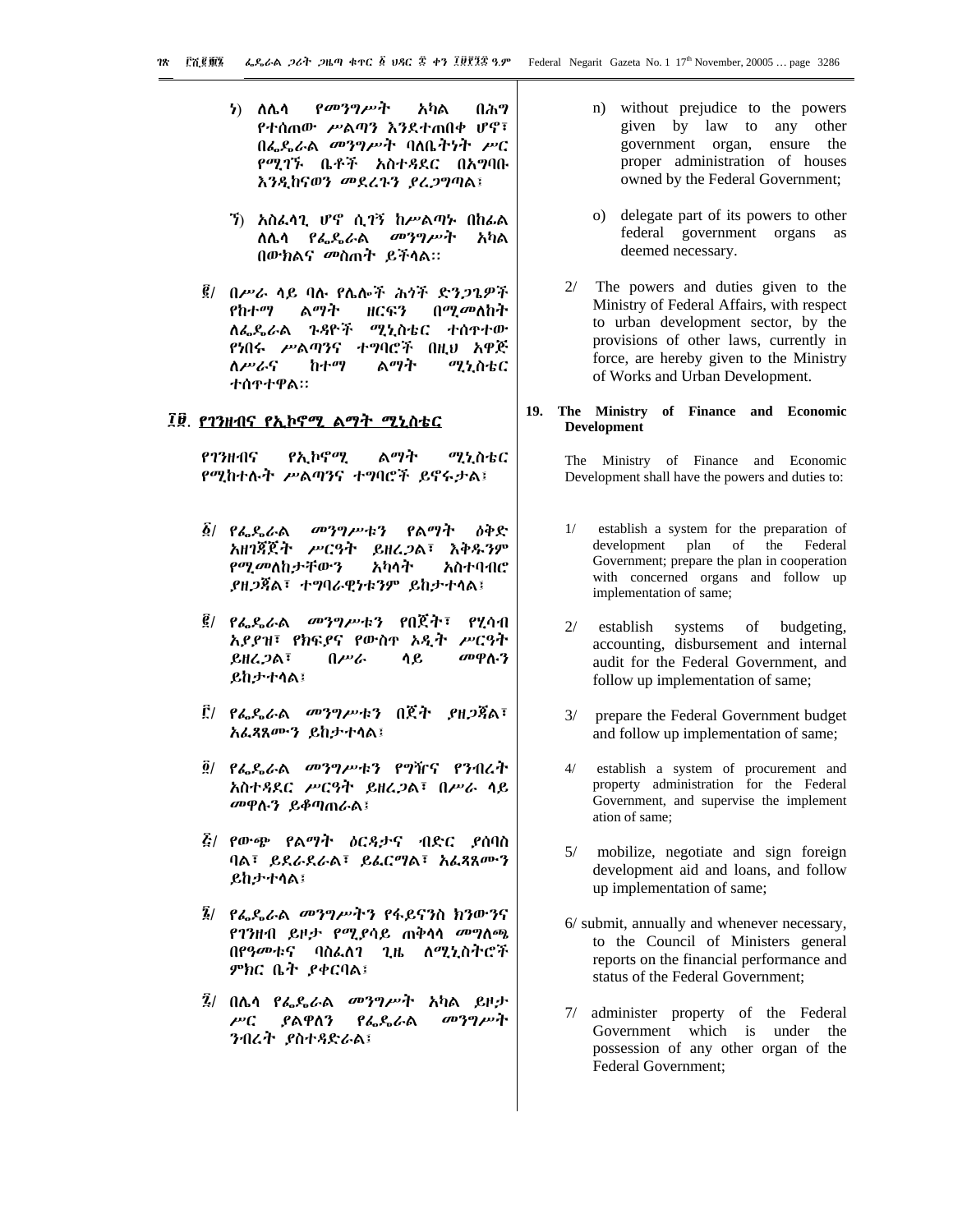- የመንግሥት ን) ለሌሳ አካል በሕግ የተሰጠው ሥልጣን እንደተጠበቀ ሆኖ፣ በፌዴራል መንግሥት ባለቤትነት ሥር የሚገኙ ቤቶች አስተዳደር በአግባቡ እንዲከናወን መደረጉን ያረጋግጣል፤
- ን) አስፌሳጊ ሆኖ ሲገኝ ከሥልጣኑ በከፌል ለሴሳ *የፌ*ዱራል *መንግሥት* አካል በውክልና መስጠት ይችላል።
- ፪/ በሥራ ሳይ ባሉ የሌሎች ሕጎች ድንጋጌዎች የከተማ ልማት በ*ሚመ*ለከት ዘርፍን ለፌዴራል ጉዳዮች ሚኒስቴር ተሰዋተው የነበሩ ሥልጣንና ተግባሮች በዚህ አዋጅ ለሥራና ከተማ ልማት ሚኒስቴር ተሰዋተዋል።

#### ፲፱. የገንዘብና የኢኮኖሚ ልማት ሚኒስቴር

ልማት 6738415 የኢኮኖሚ ሚኒስቴር የሚከተሉት ሥልጣንና ተግባሮች ይኖሩታል፤

- $\tilde{B}$ / የፌዲራል *መንግሥቱን የልማት* **ስቅድ** አዘገጃጀት ሥርዓት ይዘረጋል፣ እቅዱንም የሚመለከታቸውን አካላት አስተባብሮ **ያዘጋጃል፣ ተግባራዊነቱንም ይከታተሳል፤**
- *፪/ የፌ*ዴራል *መንግሥቱን* የበጀት፣ የሂሳብ አደደዝ፣ የክፍደና የውስዋ አዲት ሥርዓት ይዘረጋል፣ በሥራ ሳይ መዋሉን **ይከታተሳል፤**
- ፫/ የፌዴራል *መንግሥ*ቱን በጀት *ያ*ዘ*ጋ*ጃል፣ አፌጻጸሙን ይከታተሳል፤
- ፬/ የፌዴራል መንግሥቱን የግዥና የንብረት አስተጻደር ሥርዓት ይዘረጋል፣ በሥራ ሳይ መዋሉን ይቆጣጠራል፤
- *ξι የ*ውጭ የልማት *ስ*ር*ጻታ*ና ብድር *ያ*ሰባስ ባል፣ ይደራደራል፣ ይፌርማል፣ አፌጻጸሙን **ይከታተሳል፤**
- *፤፟/ የፌ*ዴራል *መንግሥትን* የፋይናንስ ክንውንና የገንዘብ ይዞ*ታ የሚያ*ሳይ ጠቅሳሳ *መግ*ስጫ በየዓመቱና ባስፌለገ ጊዜ ለሚኒስትሮች ምክር ቤት ያቀርባል፤
- $\tilde{R}$ / በሌሳ የፌዴራል መንግሥት አካል ይዞታ  $\mu$ <sup>C</sup> ያልዋለን የፌዴራል መንግሥት ንብረት ያስተዳድራል፤
- n) without prejudice to the powers given by law to any other government organ, ensure the proper administration of houses owned by the Federal Government;
- o) delegate part of its powers to other federal government organs as deemed necessary.
- $2/$ The powers and duties given to the Ministry of Federal Affairs, with respect to urban development sector, by the provisions of other laws, currently in force, are hereby given to the Ministry of Works and Urban Development.

#### $19.$ The Ministry of Finance and Economic **Development**

The Ministry of Finance and Economic Development shall have the powers and duties to:

- $1/$ establish a system for the preparation of development plan of the Federal Government; prepare the plan in cooperation with concerned organs and follow up implementation of same;
- $2/$ establish systems of budgeting. accounting, disbursement and internal audit for the Federal Government, and follow up implementation of same;
- $3/$ prepare the Federal Government budget and follow up implementation of same;
- $\frac{4}{ }$ establish a system of procurement and property administration for the Federal Government, and supervise the implement ation of same:
- $5/$ mobilize, negotiate and sign foreign development aid and loans, and follow up implementation of same;
- 6/ submit, annually and whenever necessary, to the Council of Ministers general reports on the financial performance and status of the Federal Government;
- $7/$ administer property of the Federal Government which is under the possession of any other organ of the Federal Government;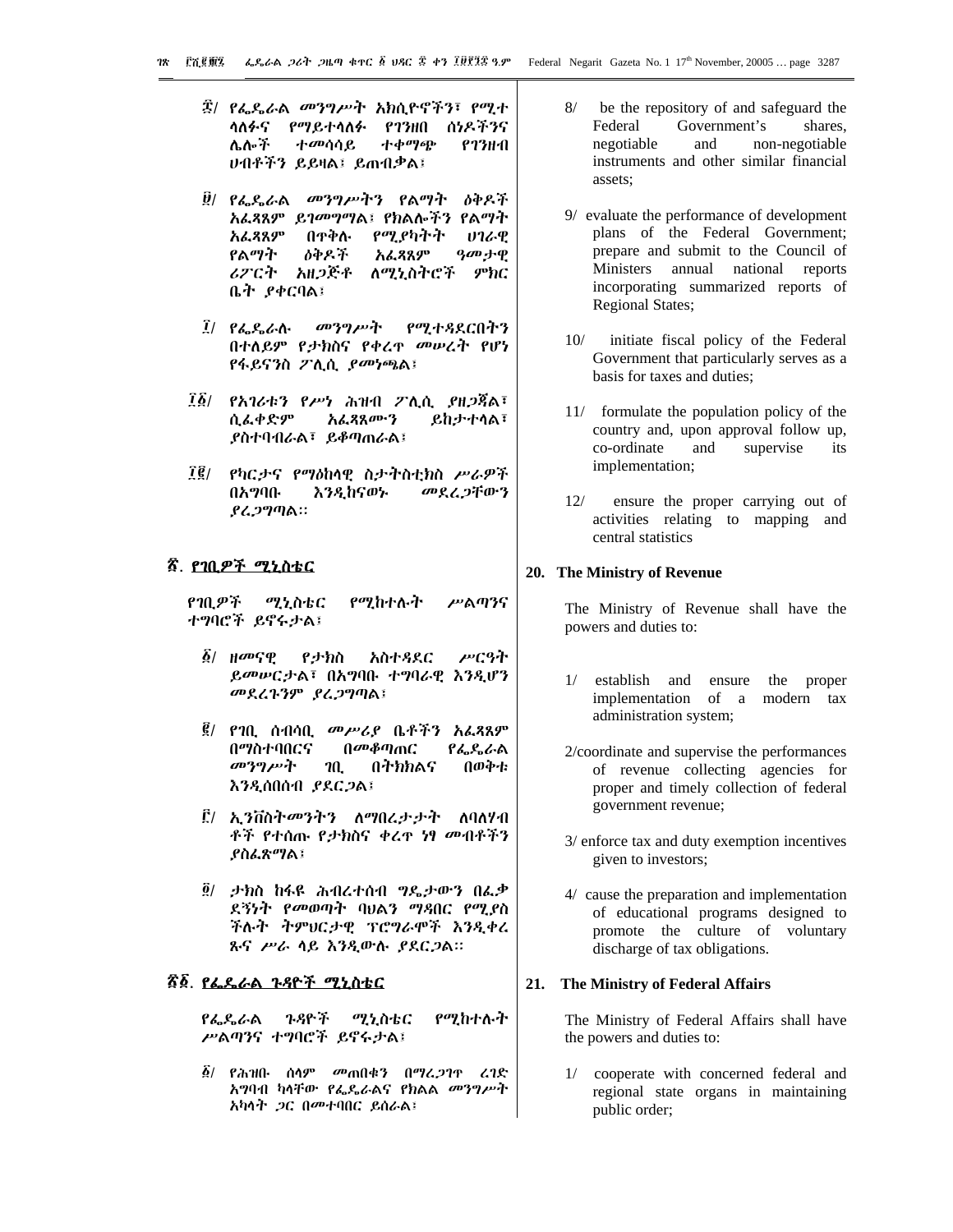- ፰/ *የፌ*ዴራል *መንግሥ*ት አክሲዮኖችን፣ የሚተ ሳለፉና የማይተሳለፉ የገንዘበ ሰነዶችንና ሌሎች ተመሳሳይ ተቀማጭ  $P23H-0$ ሀብቶችን ይይዛል፤ ይጠብቃል፤
- ፱/ የፌዴራል መንግሥትን የልማት ዕቅዶች አፌጻጸም ይገመግማል፤ የክልሎችን የልማት አፌጻጸም የሚያካትት በዋቅሉ **UI&Q** የልማት めやみ予 አፌጻጸም *ዓመ* ታዋ ለሚኒስትሮች ሪፖርት አዘጋጅቶ ምክር ቤት ያቀርባል፤
- $\vec{l}$   $\vec{l}$   $\vec{l}$   $\vec{r}$   $\vec{r}$   $\vec{r}$   $\vec{r}$   $\vec{r}$   $\vec{r}$   $\vec{r}$   $\vec{r}$   $\vec{r}$   $\vec{r}$   $\vec{r}$   $\vec{r}$   $\vec{r}$   $\vec{r}$   $\vec{r}$   $\vec{r}$   $\vec{r}$   $\vec{r}$   $\vec{r}$   $\vec{r}$   $\vec{r}$   $\vec{r}$   $\vec{r}$   $\vec{r}$   $\vec{r}$  መንግሥት የሚተዳደርበትን በተለይም የታክስና የቀረዋ መሥረት የሆነ የፋይናንስ ፖሊሲ *ያመነጫ*ል፤
- ፲፩/ የአገሪቱን የሥነ ሕዝብ ፖሊሲ ያዘጋጃል፣ ሲፌቀድም አፌጻጸሙን **ይከታተሳል፣ ይስተባብራል፣ ይቆጣጠራል፤**
- ፲፪/ የካርታና የማዕከላዊ ስታትስቲክስ ሥራዎች መደረጋቸውን በአማባቡ እንዲከናወኑ ያሬ*ጋግ*ጣል።

# <u>ኛ. የገቢዎች ሚኒስቴር</u>

የገቢዎች የሚከተሉት ሥልጣንና ሚኒስቴር ተግባሮች ይኖሩታል፤

- *፩/ ዘመ*ናዊ የታክስ አስተዳደር ሥርዓት ይመሥርታል፣ በአግባቡ ተግባራዊ እንዲሆን መደረጉንም ያረጋግጣል፤
- *፪/ የገ*ቢ ሰብሳቢ *መሥሪያ* ቤቶችን አፈጻጸም በማስተባበርና በመቆጣጠር የፌዴራል መንግሥት **በትክክልና** በወቅቱ  $20<sub>1</sub>$ እንዲሰበሰብ ያደርጋል፤
- ፫/ ኢ*ን*ቨስት*መን*ትን ለማበረታታት ለባለሃብ ቶች የተሰጡ የታክስና ቀረዋ ነፃ መብቶችን **ያስፌጽ**ማል፤
- $\tilde{g}$ / ታክስ ከፋዩ ሕብረተሰብ ግዴታውን በፌቃ ደኝነት የመወጣት ባህልን ማዳበር የሚያስ ችሉት ትምህርታዊ ፕሮግራሞች እንዲቀረ ጹና ሥራ ሳይ እንዲውሉ ያደርጋል።

# *ኛ፩. የፌዴራ*ል *ጉጻ*ዮች ሚኒስቴር

የፌዴራል ጉዳዮች ሚኒስቴር የሚከተሉት ሥልጣንና ተግባሮች ይኖሩታል፤

 $\tilde{\mathcal{B}}$ / የሕዝቡ ሰሳም መጠበቁን በማረጋገዋ ረገድ አግባብ ካሳቸው የፌዴራልና የክልል መንግሥት አካሳት *ጋ*ር በመተባበር ይሰራል፤

- $8/$ be the repository of and safeguard the Federal Government's shares. negotiable and non-negotiable instruments and other similar financial assets:
- 9/ evaluate the performance of development plans of the Federal Government; prepare and submit to the Council of Ministers annual national reports incorporating summarized reports of **Regional States:**
- $10/$ initiate fiscal policy of the Federal Government that particularly serves as a basis for taxes and duties;
- 11/ formulate the population policy of the country and, upon approval follow up, co-ordinate and supervise its implementation;
- $12/$ ensure the proper carrying out of activities relating to mapping and central statistics

## 20. The Ministry of Revenue

The Ministry of Revenue shall have the powers and duties to:

- 1/ establish and ensure the proper implementation of a modern tax administration system;
- 2/coordinate and supervise the performances of revenue collecting agencies for proper and timely collection of federal government revenue;
- 3/ enforce tax and duty exemption incentives given to investors;
- 4/ cause the preparation and implementation of educational programs designed to promote the culture of voluntary discharge of tax obligations.

#### 21. The Ministry of Federal Affairs

The Ministry of Federal Affairs shall have the powers and duties to:

 $1/$ cooperate with concerned federal and regional state organs in maintaining public order;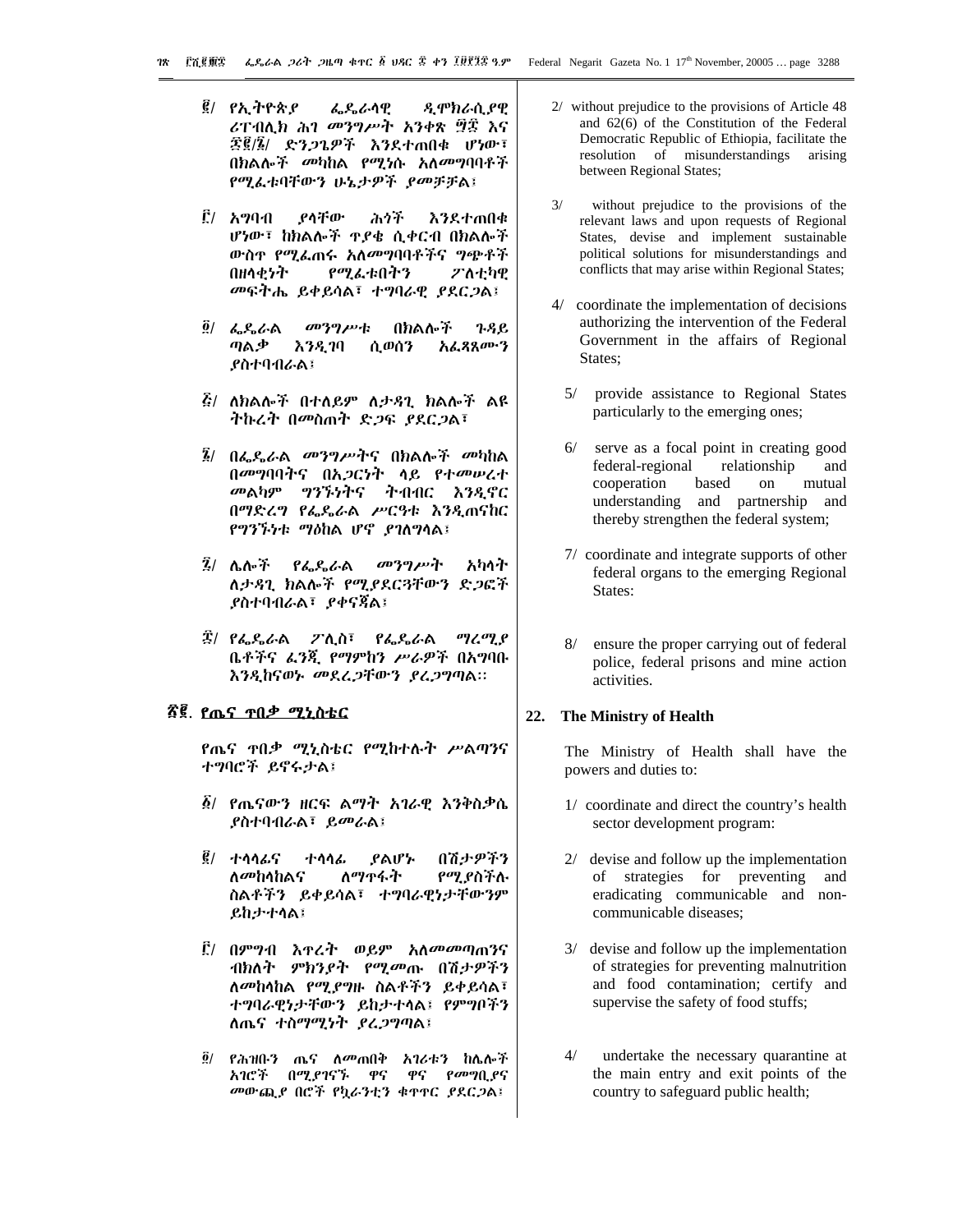- ዲሞክራሲያዊ ፪/ የኢትዮጵያ ፌዴራሳዊ ሪፐብሊክ ሕገ መንግሥት አንቀጽ ፵፰ እና *雲)) ድንጋጌዎች እን*ደተጠበቁ ሆነው፣ በክልሎች መካከል የሚነሱ አለመግባባቶች የሚፌቱባቸውን ሁኔታዎች ያመቻቻል፤
- $\mathbf{f}'$ / አማባብ የሳቸው ふうチ እንደተጠበቁ ሆነው፣ ከክልሎች ዋያቄ ሲቀርብ በክልሎች ውስዋ የሚፌጠሩ አለመግባባቶችና ግጭቶች በዘሳቂነት የሚፌቱበትን ፖለቲካዊ መፍትሔ ይቀይሳል፣ ተግባራዊ ያደርጋል፤
- $\hat{g}/4.86$ መንግሥቱ በክልሎች ጉዳይ አፌጻጸሙን ጣልቃ ሲወሰን እንዲገባ ያስተባብራል፤
- *ξι ለክ*ልሎች በተለይም ለ*ታጻጊ ክ*ልሎች ልዩ ትኩረት በመስጠት ድጋፍ ደደርጋል፣
- $\tilde{\mathbf{k}}$ / በፌዲራል መንግሥትና በክልሎች መካከል በመግባባትና በአ*ጋ*ርነት ላይ የተመሠረተ መልካም ግንኙነትና ተብብር እንዲኖር በማድረግ የፌዴራል ሥርዓቱ እንዲጠናከር የግንኙነቱ ማዕከል ሆኖ ያገለግሳል፤
- $\bar{2}$ / ሌሎች የፌዴራል መንግሥት አካላት ለታዳጊ ክልሎች የሚያደርጓቸውን ድጋፎች ያስተባብራል፣ ያቀናጀል፤
- ፰/ የፌዴራል ፖሊስ፣ የፌዴራል ግረሚያ ቤቶችና ፈንጂ የማምከን ሥራዎች በአግባቡ እንዲከናወኑ መደረጋቸውን ያረጋግጣል።

# <u>ኛጀ. የሔና ተበቃ ሚኒስቴር</u>

*የ*ጤና ተበ*ቃ ሚኒ*ስቴር የሚከተሉት ሥልጣንና ተግባሮች ይኖሩታል፤

- *፩/ የ*ጤናውን ዘርፍ ልማት *አገ*ራዊ እንቅስቃሴ **ያስተባብራል፣ ይመራል፤**
- $\tilde{g}$ / ተሳሳፊና 介オナダネタ ተሳሳፊ ያልሆ፦ ለመከላከልና ለማዋፋት የሚያስችሉ ስልቶችን ይቀይሳል፣ ተግባራዊነታቸውንም ይከታተሳል፤
- ፫/ በምግብ እ**ዋ**ረት ወይም አለ*መመ*ጣጠንና ብክለት ምክንያት የሚመጡ በሽታዎችን ለመከላከል የሚያግዙ ስልቶችን ይቀይሳል፣ ተግባራዊነታቸውን ይከታተሳል፤ የምግቦችን ለጤና ተስማሚነት ያሬጋግጣል፤
- ፬/ የሕዝቡን ጤና ለ*መ*ጠበቅ አገሪቱን ከሌሎች አገሮች በሚያገናኙ ዋና ዋና የመግቢያና መውጪያ በሮች የኳራንቲን ቁዋዋር ያደርጋል፤
- 2/ without prejudice to the provisions of Article 48 and 62(6) of the Constitution of the Federal Democratic Republic of Ethiopia, facilitate the resolution of misunderstandings arising between Regional States;
- $3/$ without prejudice to the provisions of the relevant laws and upon requests of Regional States, devise and implement sustainable political solutions for misunderstandings and conflicts that may arise within Regional States;
- 4/ coordinate the implementation of decisions authorizing the intervention of the Federal Government in the affairs of Regional States:
	- provide assistance to Regional States  $5/$ particularly to the emerging ones;
	- $6/$ serve as a focal point in creating good federal-regional relationship and cooperation based on mutual understanding and partnership and thereby strengthen the federal system;
	- 7/ coordinate and integrate supports of other federal organs to the emerging Regional States:
	- ensure the proper carrying out of federal 8/ police, federal prisons and mine action activities.

#### 22. The Ministry of Health

The Ministry of Health shall have the powers and duties to:

- 1/ coordinate and direct the country's health sector development program:
- $2/$  devise and follow up the implementation of strategies for preventing and eradicating communicable and noncommunicable diseases;
- 3/ devise and follow up the implementation of strategies for preventing malnutrition and food contamination; certify and supervise the safety of food stuffs;
- $4/$ undertake the necessary quarantine at the main entry and exit points of the country to safeguard public health;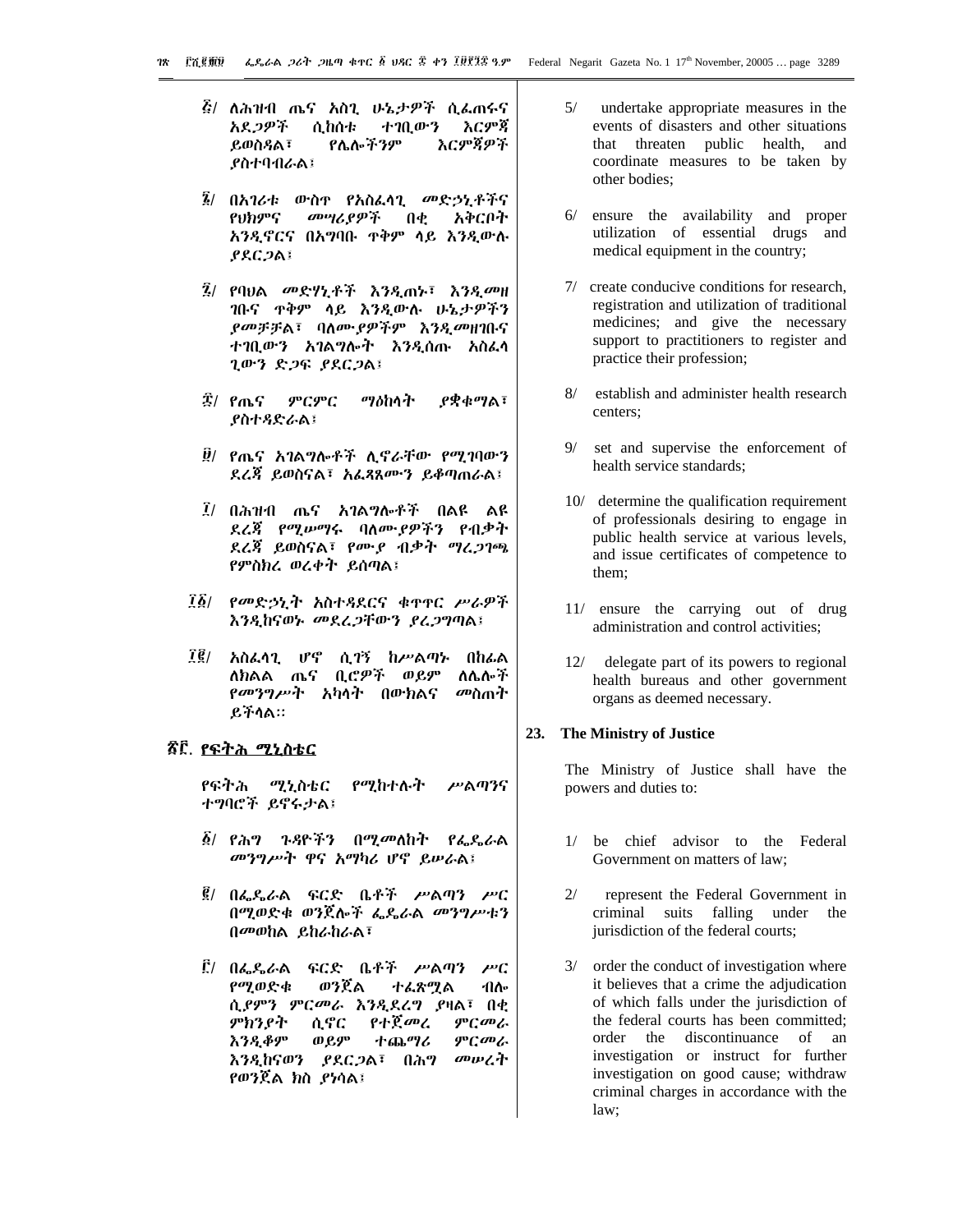- *ξι* ለሕዝብ ጤና አስጊ ሁኔ*ታዎች* ሲፌጠሩና አደ*ጋዎች* ሲከሰቱ ተገቢውን እርምጃ እርምጀዎች ይወስዳል፣ የሌሎችንም **ያስተባብራል፤**
- *፮/* በአገሪቱ ውስዋ የአስፌሳጊ *መ*ድኃኒቶችና መሣሪያዎች የህክምና  $\mathbf{d} \cdot \mathbf{d}$ አቅርቦት አንዲኖርና በአግባቡ ጥቅም ሳይ እንዲውሉ  $PACDA$
- ፯/ የባህል መድሃኒቶች እንዲጠኑ፣ እንዲመዘ ገቡና ዋቅም ላይ እንዲውሉ ሁኔታዎችን ያመቻቻል፣ ባለሙያዎችም እንዲመዘገቡና ተገቢውን አገልግሎት እንዲሰጡ አስፌሳ ጊውን ድጋፍ ያደርጋል፤
- ፰/ የጤና ምርምር ማዕከሳት ያቋቁማል፣ **ያስተጻድራል፤**
- *፱*/ *የ*ጤና አገልግሎቶች ሊኖራቸው *የሚገ*ባውን ደረጃ ይወስናል፣ አፌጻጸሙን ይቆጣጠራል፤
- *፲*/ በሕዝብ ጤና አገል**ግሎቶች በል**ዩ ልዩ ደረጃ የሚሥማሩ ባለሙያዎችን የብቃት ደረጃ ይወስናል፣ የሙያ ብቃት ማረጋገጫ የምስክሬ ወረቀት ይሰጣል፤
- ፲፩/ የመድኃኒት አስተጻደርና ቁጥኖር ሥራዎች እንዲከናወኑ መደረጋቸውን ያረጋግጣል፤
- $\vec{r}$  (  $\vec{g}$  / አስፌሳጊ ሆኖ ሲገኝ ከሥልጣኑ በከፌል ለክልል ጤና ቢሮዎች ወይም ለሌሎች *የመንግሥት አካ*ላት በውክልና *መ*ስጠት ይችሳል።

# <u> ኛ፫. የፍትሕ ሚኒስቴር</u>

የፍትሕ ሚኒስቴር የሚከተሉት ሥልጣንና ተግባሮች ይኖሩታል፤

- ፩/ የሕግ ጉዳዮችን በሚ*መ*ለከት የፌዴራል መንግሥት ዋና አማካሪ ሆኖ ይሥራል፤
- *፪*/ በፌዴራል ፍርድ ቤቶች ሥልጣን ሥር በሚወድቁ ወንጀሎች ፌዴራል *መንግሥ*ቱን  $0$ <sup>*m* $0$ </sub>ha  $0$ <sub>*khabas*</sup></sub>
- ፫/ በፌዴራል ፍርድ ቤቶች ሥል**ጣ**ን  $\mu$ <sup>c</sup> ወንጀል የሚወድቁ ተፌጽሚል ብሎ ሲያምን ምርመራ እንዲደረግ ያዛል፣ በቂ የተጀመረ ምርመራ ምክንያት ሲኖር **እንዲቆም** ወይም ተጨማሪ ምርመራ እንዲከናወን ያደርጋል፣ በሕግ መሠረት የወንጀል ክስ ያነሳል፤
- $5/$ undertake appropriate measures in the events of disasters and other situations that threaten public health, and coordinate measures to be taken by other bodies;
- ensure the availability and proper  $6/$ utilization of essential drugs and medical equipment in the country;
- 7/ create conducive conditions for research, registration and utilization of traditional medicines; and give the necessary support to practitioners to register and practice their profession;
- $8/$ establish and administer health research centers:
- $9/$ set and supervise the enforcement of health service standards:
- 10/ determine the qualification requirement of professionals desiring to engage in public health service at various levels, and issue certificates of competence to them:
- 11/ ensure the carrying out of drug administration and control activities:
- 12/ delegate part of its powers to regional health bureaus and other government organs as deemed necessary.

#### 23. The Ministry of Justice

The Ministry of Justice shall have the powers and duties to:

- 1/ be chief advisor to the Federal Government on matters of law;
- $2/$ represent the Federal Government in criminal suits falling under the jurisdiction of the federal courts;
- $3/$ order the conduct of investigation where it believes that a crime the adjudication of which falls under the jurisdiction of the federal courts has been committed; order the discontinuance of an investigation or instruct for further investigation on good cause; withdraw criminal charges in accordance with the law: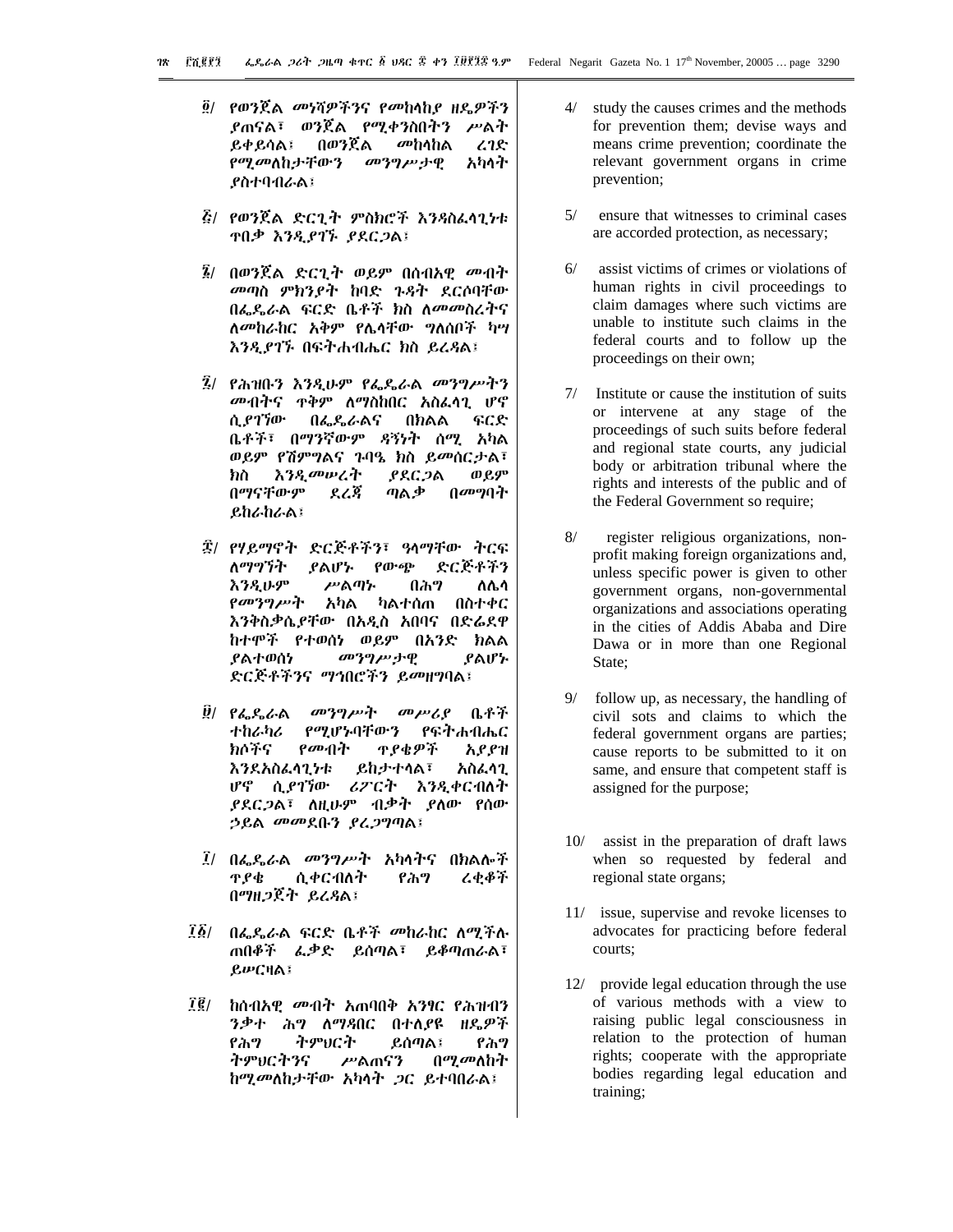፬/ የወንጀል መነሻዎችንና የመከላከያ ዘዴዎችን *ያ*ጠናል፣ ወንጀል የሚቀንስበትን ሥልት በወንጀል *መ*ከላከል ይቀይሳል፤  $22$ *የሚመ*ለከታቸውን *መንግሥታ*ዊ አካላት ያስተባብራል፤

- ፭/ የወንጀል ድርጊት ምስክሮች እንዳስፌሳጊ*ነ*ቱ **TIP እንዲያገኙ ያደርጋል**፤
- *፯*/ በወንጀል ድርጊት ወይም በሰብአዊ *መ*ብት መጣስ ምክንያት ከባድ ጉዳት ደርሶባቸው በፌዴራል ፍርድ ቤቶች ክስ ለመመስረትና ለመከራከር አቅም የሌላቸው ግለሰቦች ካሣ እንዲያገኙ በፍትሐብሔር ክስ ይረዳል፤
- ፯/ የሕዝቡን እንዲሁም የፌዴራል መንግሥትን መብትና ተቅም ለማስከበር አስፌሳጊ ሆኖ ሲ የገኘው በፌዴራልና በክልል ፍርድ ቤቶች፣ በማንኛውም ዳኝነት ሰሚ አካል ወይም የሽምግልና ጉባዔ ክስ ይመሰርታል፣ እንዲመሠረት *ያደርጋ*ል ወይም ክስ በማናቸውም ደረጃ ጣልቃ በመግባት ይከራከራል፤
- ፰/ የሃይማኖት ድርጅቶችን፣ ዓላማቸው ትርፍ ለማግኘት ያልሆኑ  $\rho_0 \cdot \rho_0$ ድርጅቶችን ሥልጣኍ **እንዲሁም** በሕግ ለሌሳ የመንግሥት አካል ካልተሰጠ በስተቀር እንቅስቃሴይቸው በአዲስ አበባና በድሬደዋ ከተሞች የተወሰነ ወይም በአንድ ክልል ያልተወሰነ መንግሥታዊ ያልሆኑ ድርጅቶችንና ማኅበሮችን ይመዘግባል፤
- *፱*/ የፌዴራል መንግሥት መሥሪያ ቤቶች የማሆኑባቸውን ተከራካሪ የፍትሐብሔር የመብት ክሶችና <u> ዋያቄዎች</u> አያያዝ **ይከታተሳል፣** እንደአስፌሳጊነቱ አስፌሳጊ ሆኖ ሲ*ያገኘ*ው ሪፖርት እንዲቀርብለት ያደር*ጋ*ል፣ ለዚሁም ብቃት ያለው የሰው ኃይል መመደቡን ያፈጋግጣል፤
- ፲/ በፌዴራል *መንግሥት* አካሳትና በክልሎች ሲቀርብለት የሕግ てきやう ዋ የቁ በማዘ*ጋ*ጀት ይረዳል፤
- ፲፩/ በፌዴራል ፍርድ ቤቶች መከራከር ለሚችሉ ጠበቆች ፌቃድ ይሰጣል፣ ይቆጣጠራል፣ ይሥርዛል፤
- $\vec{l}$   $\vec{\ell}$  / ከሰብአዊ *መብት* አጠባበቅ አንፃር የሕዝብን ንቃተ ሕግ ለማዳበር በተለያዩ ዘዴዎች የሕግ ትምህርት ይሰጣል፤ የሕግ ትምህርትንና ሥልጠናን በ*ሚመ*ለከት ከሚመለከታቸው አካሳት ጋር ይተባበራል፤
- $4/$ study the causes crimes and the methods for prevention them; devise ways and means crime prevention; coordinate the relevant government organs in crime prevention;
- $5/$ ensure that witnesses to criminal cases are accorded protection, as necessary;
- $6/$ assist victims of crimes or violations of human rights in civil proceedings to claim damages where such victims are unable to institute such claims in the federal courts and to follow up the proceedings on their own;
- $7/$ Institute or cause the institution of suits or intervene at any stage of the proceedings of such suits before federal and regional state courts, any judicial body or arbitration tribunal where the rights and interests of the public and of the Federal Government so require;
- $8/$ register religious organizations, nonprofit making foreign organizations and, unless specific power is given to other government organs, non-governmental organizations and associations operating in the cities of Addis Ababa and Dire Dawa or in more than one Regional State:
- $9/$ follow up, as necessary, the handling of civil sots and claims to which the federal government organs are parties; cause reports to be submitted to it on same, and ensure that competent staff is assigned for the purpose;
- $10/$  assist in the preparation of draft laws when so requested by federal and regional state organs;
- 11/ issue, supervise and revoke licenses to advocates for practicing before federal courts;
- 12/ provide legal education through the use of various methods with a view to raising public legal consciousness in relation to the protection of human rights; cooperate with the appropriate bodies regarding legal education and training;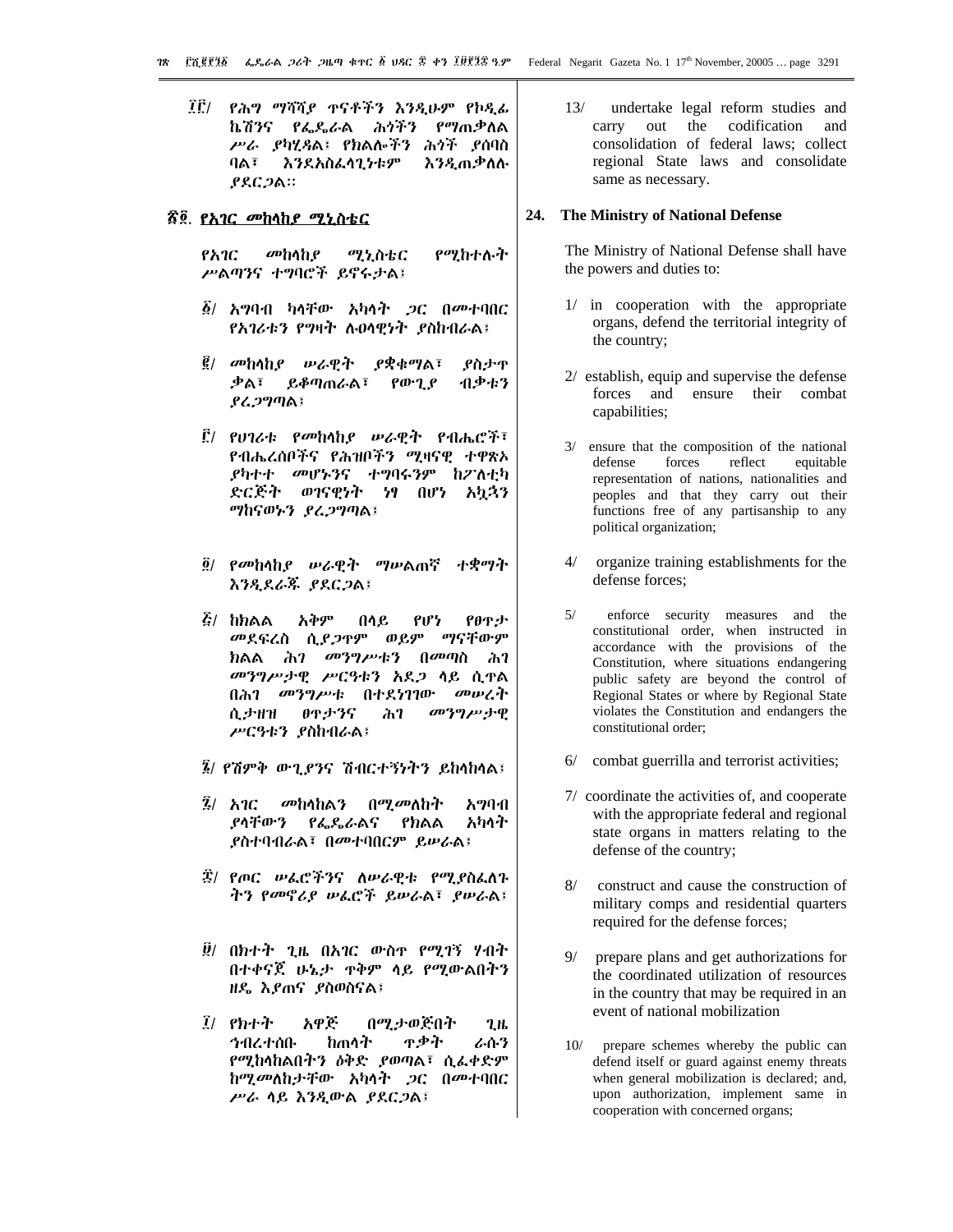ኬሽንና *የፌ*ዱራል ሕ*ጎችን የግ*ጠቃለል ሥራ ያካሂዳል፤ የክልሎችን ሕጎች ያሰባስ  $9A\bar{3}$ እንደአስፌሳጊነቱም **እንዲ**ጠቃሰሉ  $PAC2A$ 

#### <u>ኛ፬. የአገር መከላከያ ሚኒስቴር</u>

የአገር መከላከያ ሚኒስቴር የሚከተሉት ሥልጣንና ተግባሮች ይኖሩታል፤

- ፩/ አግባብ ካላቸው አካላት *ጋ*ር በመተባበር *የአገሪቱን የግ*ዛት ሉዐሳዊነት *ያ*ስከብራል፤
- $\vec{g}$ / መከላከያ ሥራዊት  $P$ ቋቁማል፣ ያስታዋ ቃል፣ ይቆጣጠራል፣  $\rho \omega \cdot \gamma \rho$ ብቃቱን ያሬጋግጣል፤
- ፫/ የሀገሪቱ የመከሳከ*ያ ሡ*ራዊት የብሔሮች፣ የብሔረሰቦችና የሕዝቦችን ሚዛናዊ ተዋጽኦ *ያካተተ መሆኑን*ና ተግባሩንም ከፖለቲካ ድርጅት ወገናዊነት ንፃ በሆነ አካኋን ማከናወኑን ያሬ*ጋግ*ጣል፤
- ፬/ የመከላከያ ሥራዊት ማሥልጠኛ ተቋማት እንዲደራጁ ያደርጋል፤
- $E/$  hhaa አቅም በሳይ **PIP'T** የፀዋታ መደፍረስ ሲ*ያጋ*ዋም ወይም ማናቸውም ክልል ሕገ መንግሥቱን በ*መጣ*ስ ሕገ መንግሥታዊ ሥርዓቱን አደጋ ሳይ ሲዋል በሕገ መንግሥቱ በተደነገገው መሠረት θዋታንና ሲታዘዝ  $\lambda$ መንግሥታዊ ሥርዓቱን ያስከብራል፤
- *፮/ የሽምቅ ውጊያን*ና ሽብርተኝነትን ይከላከላል፤
- $\bar{2}$ / አገር መከሳከልን በ*ሚመ*ለከት አማባብ ያሳቸውን አካላት የፌዴራልና የክልል ያስተባብራል፣ በመተባበርም ይሥራል፤
- ፰/ የጦር ሠፌሮችንና ለሠራዊቱ የሚያስፌለጉ ትን የመኖሪያ ሠራሮች ይሠራል፣ ያሠራል፤
- ፱/ በክተት ጊዜ በአገር ውስዋ የሚገኝ ሃብት በተቀናጀ ሁኔታ ዋቅም ሳይ የሚውልበትን ዘዴ እደጠና ደስወስናል፤
- $I/$   $Rh + I$ አዋጅ በሚታወጅበት  $2.1<sub>b</sub>$ ከጠሳት ዋቃት ኅብረተሰቡ ራሱን የሚከላከልበትን ዕቅድ ያወጣል፣ ሲፌቀድም ከሚመለከታቸው አካሳት *ጋ*ር በመተባበር ሥራ ሳይ እንዲውል ያደርጋል፤

 $13/$ undertake legal reform studies and out the codification and carry consolidation of federal laws; collect regional State laws and consolidate same as necessary.

#### 24. The Ministry of National Defense

The Ministry of National Defense shall have the powers and duties to:

- 1/ in cooperation with the appropriate organs, defend the territorial integrity of the country;
- 2/ establish, equip and supervise the defense forces and ensure their combat capabilities;
- $3/$ ensure that the composition of the national defense forces reflect equitable representation of nations, nationalities and peoples and that they carry out their functions free of any partisanship to any political organization;
- $\Delta/$ organize training establishments for the defense forces;
- $5/$ enforce security measures and the constitutional order, when instructed in accordance with the provisions of the Constitution, where situations endangering public safety are beyond the control of Regional States or where by Regional State violates the Constitution and endangers the constitutional order;
- combat guerrilla and terrorist activities;  $6/$
- 7/ coordinate the activities of, and cooperate with the appropriate federal and regional state organs in matters relating to the defense of the country;
- $8/$ construct and cause the construction of military comps and residential quarters required for the defense forces;
- prepare plans and get authorizations for the coordinated utilization of resources in the country that may be required in an event of national mobilization
- $10/$ prepare schemes whereby the public can defend itself or guard against enemy threats when general mobilization is declared; and, upon authorization, implement same in cooperation with concerned organs;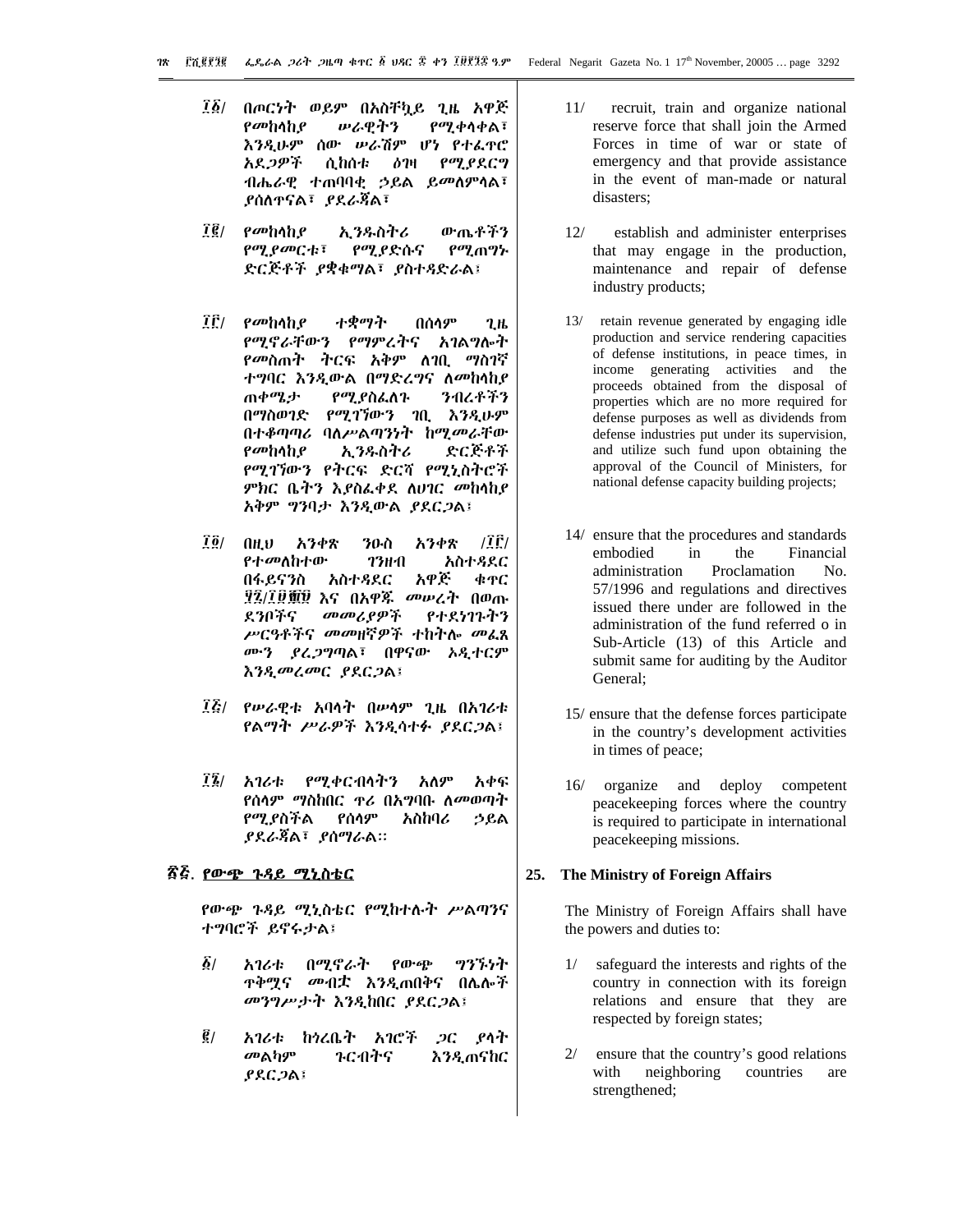- ፲፩/ በጦርነት ወይም በአስቸኳይ ጊዜ አዋጅ የመከሳከያ ሥራዊትን የሚቀሳቀል፣ እንዲሁም ሰው ሥራሽም ሆነ የተፌዋሮ አደ*ጋዎች* ሲከሰቱ <u>ዕንዛ</u> **POLSSC9** ብሔራዊ ተጠባባቂ ኃይል ይ*መ*ስምሳል፣ ያሰለተናል፣ ያደራጃል፣
- <u> 10 |</u> ውጤቶችን የመከሳከያ ኢንዱስትሪ *የሚያመርቱ*፣ *የሚያ*ድሱና የሚጠግኍ ድርጅቶች ያቋቁማል፣ ያስተዳድራል፣
- $\vec{I}$ [ $\vec{E}$ /  $\rho$   $\vec{v}$   $\uparrow$   $\rho$ ተቋማት በሰሳም  $2<sub>th</sub>$ አገልግሎት የሚኖራቸውን የማምረትና *የመ*ስጠተ ተርፍ አቅም ለገቢ ማስገኛ ተግባር እንዲውል በማድረግና ለመከላከያ ጠቀሜታ የሚያስፌለጉ ንብረቶችን በማስወገድ የሚገኘውን ገቢ እንዲሁም በተቆጣጣሪ ባለሥልጣንነት ከሚመራቸው የመከላከያ ኢንዱስትሪ ድርጅቶች የሚገኘውን የትርፍ ድርሻ የሚኒስትሮች *ምክ*ር ቤትን እያስፌቀደ ለሀገር *መ*ከላከያ አቅም ግንባታ እንዲውል ያደር*ጋ*ል፤
- 7 ö / አንቀጽ  $T$  $\tilde{r}$  $(1)$ አንቀጽ ንዑስ የተመለከተው አስተዳደር **73HA** በፋይናንስ አስተዳደር አዋጅ **4TC** ፶፯/፲፱፹፱ እና በአዋጁ *መ*ሥራት በወጡ መመሪያዎች የተደነገጉትን ደንቦችና ሥርዓቶችና መመዘኛዎች ተከትሎ መፌጺ ሙን ያረጋግጣል፣ በዋናው አዲተርም እንዲመረመር ያደርጋል፤
- *፲፭/ የሡራዊቱ አ*ባሳት በሥሳም ጊዜ በአገሪቱ የልማት *ሥራዎች እንዲ*ሳተፉ *ያ*ደር*ጋ*ል፤
- $12/$   $\lambda$ 164 የሚቀርብሳትን አለም አቀፍ የሰላም ማስከበር *ፕሪ* በአግባቡ ለ*መ*ወጣት የሚያስችል የሰሳም አስከባሪ ኃይል *ያደራጃ*ል፣ *ያ*ሰማራል።

# <u>ኛጅ. የውጭ ጉዳይ ሚኒስቴር</u>

የውጭ ጉዳይ ሚኒስቴር የሚከተሉት ሥልጣንና ተግባሮች ይኖሩታል፤

- $\delta/$ ふりんた በሚኖራት  $\rho_0 \cdot \rho_0$ ツグブッヤ ጥቅሟና *መብ*ቷ እንዲጠበቅና በሌሎች መንግሥታት እንዲከበር ያደርጋል፤
- $\vec{g}_I$ አገሪቱ ከነረቤት አገሮች *ጋ*ር ያሳት መልካም ንርብትና እንዲጠናከር ያደር ጋል፤
- $11/$ recruit, train and organize national reserve force that shall join the Armed Forces in time of war or state of emergency and that provide assistance in the event of man-made or natural disasters:
- $12/$ establish and administer enterprises that may engage in the production, maintenance and repair of defense industry products;
- 13/ retain revenue generated by engaging idle production and service rendering capacities of defense institutions, in peace times, in income generating activities and the proceeds obtained from the disposal of properties which are no more required for defense purposes as well as dividends from defense industries put under its supervision, and utilize such fund upon obtaining the approval of the Council of Ministers, for national defense capacity building projects;
- 14/ ensure that the procedures and standards embodied in the Financial administration Proclamation  $N_{\Omega}$ 57/1996 and regulations and directives issued there under are followed in the administration of the fund referred o in Sub-Article (13) of this Article and submit same for auditing by the Auditor General:
- 15/ ensure that the defense forces participate in the country's development activities in times of peace;
- 16/ organize and deploy competent peacekeeping forces where the country is required to participate in international peacekeeping missions.

#### 25. The Ministry of Foreign Affairs

The Ministry of Foreign Affairs shall have the powers and duties to:

- safeguard the interests and rights of the country in connection with its foreign relations and ensure that they are respected by foreign states;
- $2/$ ensure that the country's good relations with neighboring countries are strengthened;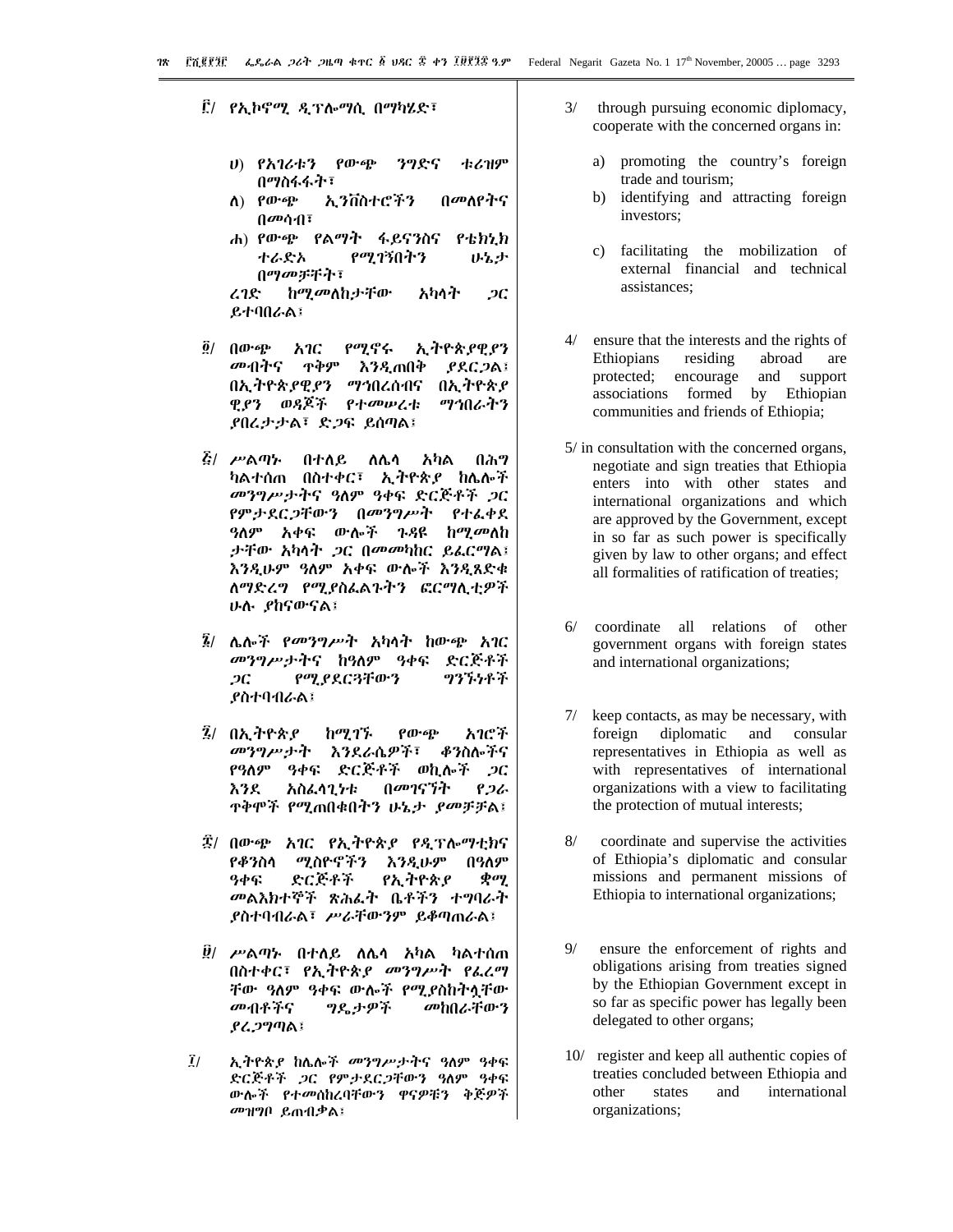፫/ *የኢኮኖሚ ዲ*ፕሎማሲ በማካሄድ፣

- ሀ) የአገሪቱን የውጭ ንግድና すんオダ በማስፋፋት፣
- $\Lambda$ ) የውጭ አ ንቨስተሮችን በመለየትና በመሳብ፣
- ሐ) የውጭ የልማት ፋይናንስና  $P$   $thh$ የሚገኝበትን ተራድአ いっと በማመቻቸት፣ ከ*ሚመ*ለከታቸው ረገድ  $2C$ አካላት

ይተባበራል፤

- $\vec{g}/\theta$   $(10 \cdot 6)^5$ አገር የሚኖሩ ኢትዮጵያዊያን መብትና ዋቅም እንዲጠበቅ  $PRCDA$ በኢትዮጵያ በኢትዮጵያዊያን ማኅበረሰብና ማኅበራትን ዊያን ወዳጆች የተመሠረቱ ያበረታታል፣ ድጋፍ ይሰጣል፤
- *ξι ሥ*ልጣኍ በተለይ ለሴሳ አካል በሕግ ካልተሰጠ በስተቀር፣ ኢትዮጵያ ከሌሎች መንግሥታትና ዓለም ዓቀፍ ድርጅቶች ጋር *የምታደርጋቸውን በመንግሥት የተልቀደ ዓ*ለም አቀፍ ውሎች ጉዳዩ ከሚመለከ ታቸው አካላት ጋር በመመካከር ይፈርማል፤ እንዲሁም ዓለም አቀፍ ውሎች እንዲጸድቁ ለማድረግ የሚያስፌልጉትን ፎርማሲተዎች ሁሉ ያከናውናል፤
- *፤ ሌሎች የመንግሥት አካ*ላት ከውጭ *አገ*ር መንግሥታትና ከዓለም ዓቀፍ ድርጅቶች የሚያደርጓቸውን ツንኙነቶች  $2C$ ያስተባብራል፤
- ፯/ በኢትዮጵያ ከሚገኙ  $\rho_0 \cdot \rho_0$ አገሮች መንግሥታት እንደራሴዎች፣ ቆንስሎችና የዓለም ዓቀፍ ድርጅቶች ወኪሎች ጋር የጋራ አስፌሳጊንቱ በመገናኘት እንደ ዋቅሞች የሚጠበቁበትን ሁኔታ *ያመቻቻ*ል፤
- ፰/ በውጭ አገር የኢትዮጵያ የዲፕሎማቲክና የቆንስሳ ሚስዮኖችን እንዲሁም በዓለም ዓቀፍ ድርጅቶች የኢትዮጵያ  $\phi$ ay መልእክተኞች ጽሕፌት ቤቶችን ተግባራት ያስተባብራል፣ ሥራቸውንም ይቆጣጠራል፤
- *፱/ ሥ*ልጣ፦ በተለይ ለሌሳ አካል ካልተሰጠ በስተቀር፣ የኢትዮጵያ መንግሥት የፌረማ ቸው ዓለም ዓቀፍ ውሎች የሚያስከትላቸው መብቶችና *ግ*ዴታዎች መከበራቸውን ያሬጋግጣል፤
- $\tilde{l}$ ኢትዮጵያ ከሌሎች መንግሥታትና ዓለም ዓቀፍ ድርጅቶች ጋር የምታደርጋቸውን ዓለም ዓቀፍ ውሎች የተመሰከረባቸውን ዋናዎቹን ቅጅዎች መዝግቦ ይጠብቃል፤
- $3/$ through pursuing economic diplomacy, cooperate with the concerned organs in:
	- promoting the country's foreign a) trade and tourism;
	- $b)$ identifying and attracting foreign investors;
	- facilitating the mobilization of  $c)$ external financial and technical assistances:
- $\Delta/$ ensure that the interests and the rights of Ethiopians residing abroad are protected; encourage and support associations formed by Ethiopian communities and friends of Ethiopia;
- 5/ in consultation with the concerned organs, negotiate and sign treaties that Ethiopia enters into with other states and international organizations and which are approved by the Government, except in so far as such power is specifically given by law to other organs; and effect all formalities of ratification of treaties;
- $6/$ coordinate all relations of other government organs with foreign states and international organizations;
- $7/$ keep contacts, as may be necessary, with foreign diplomatic and consular representatives in Ethiopia as well as with representatives of international organizations with a view to facilitating the protection of mutual interests;
- $8/$ coordinate and supervise the activities of Ethiopia's diplomatic and consular missions and permanent missions of Ethiopia to international organizations;
- $9/$ ensure the enforcement of rights and obligations arising from treaties signed by the Ethiopian Government except in so far as specific power has legally been delegated to other organs;
- 10/ register and keep all authentic copies of treaties concluded between Ethiopia and international other states and organizations;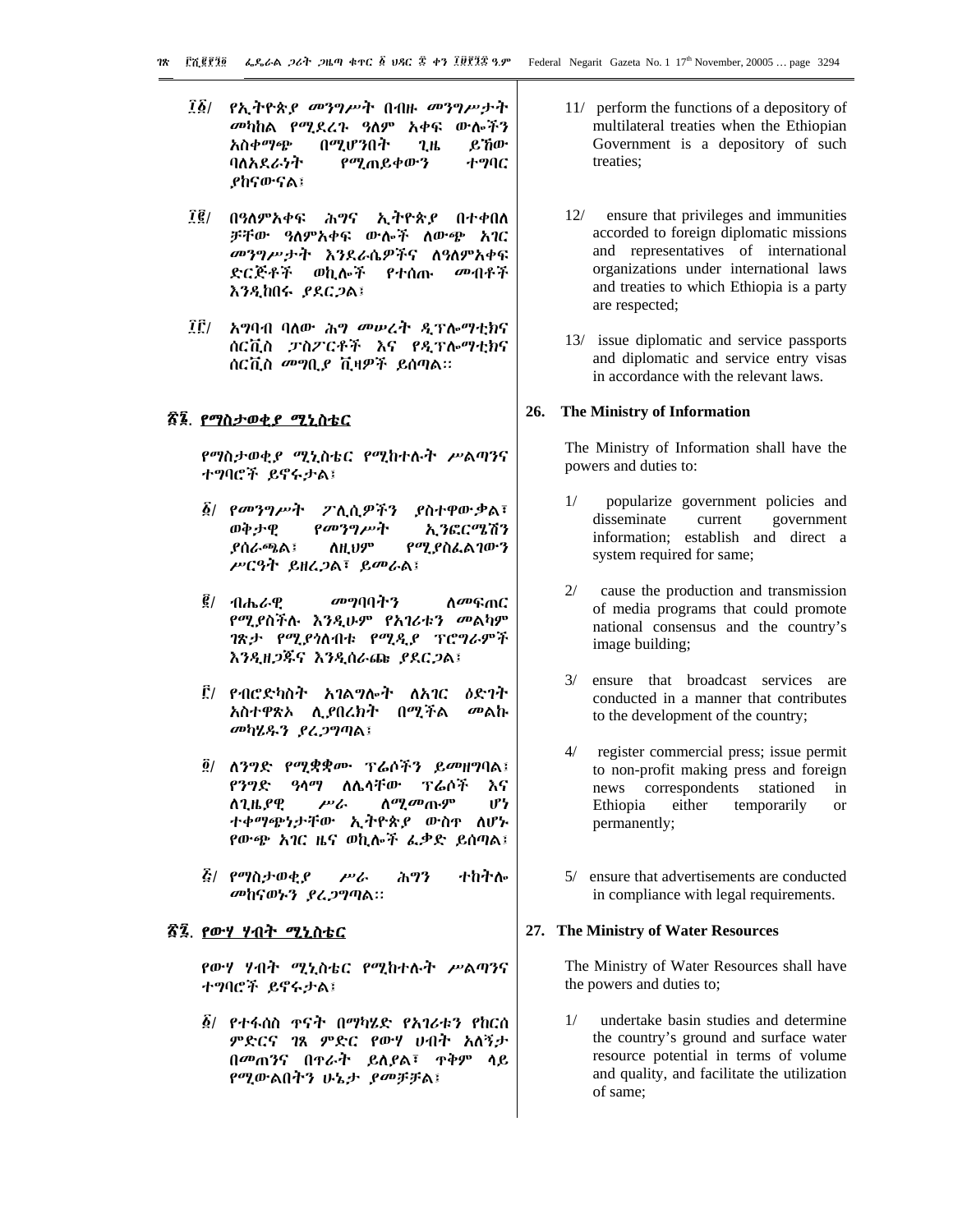- *፲፩/ የኢት*ዮጵ*ያ መንግሥት* በብዙ *መንግሥታት* መካከል የሚደረጉ ዓለም አቀፍ ውሎችን አስቀማጭ በሚሆንበት  $2<sub>h</sub>$ ይኸው ባለአደራነት ተግባር የሚጠይቀውን ያከናውናል፤
- *፲፪/ በዓለምአቀፍ ሕግና ኢትዮጵያ በተቀበለ* ቻቸው ዓለምአቀፍ ውሎች ለውጭ አገር መንግሥታት እንደራሴዎችና ለዓለምአቀፍ ድርጅቶች ወኪሎች የተሰጡ መብቶች እንዲከበሩ ያደርጋል፤
- IF/ አግባብ ባለው ሕግ መሠረት ዲፕሎማቲክና ሰርቪስ ፓስፖርቶች እና የዲፕሎማቲክና ሰርቪስ መግቢያ ቪዛዎች ይሰጣል።

# <u>ኛ፮. የማስታወቂያ ሚኒስቴር</u>

የማስታወቂያ ሚኒስቴር የሚከተሉት ሥልጣንና ተግባሮች ይኖሩታል፤

- $\hat{\underline{\delta}}$ / የመንግሥት ፖሊሲዎችን **ያስተዋው** ቃል፣ ወቅታዊ የመንግሥት አ.ንፎርሜሽን ስዚህም **ያሰራጫል፤** የሚያስፌልገውን ሥርዓት ይዘረ*ጋ*ል፣ ይመራል፤
- $\vec{g}/4$ ሐራዊ መግባባትን <u>ለመፍጠር</u> የሚያስችሉ እንዲሁም የአገሪቱን መልካም ገጽታ የሚያሳለብቱ የሚዲያ ፕሮግራምች እንዲዘጋጁና እንዲሰራጩ ያደርጋል፤
- ፫/ የብሮድካስት አገል*ግ*ሎት ለአገር *ዕ*ድገት አስተዋጽኦ ሊያበረክት በሚችል መልኩ መካሂዱን ያረጋግጣል፤
- ፬/ ለንግድ የሚቋቋሙ ፕሬሶችን ይመዘግባል፤ የንግድ ዓላማ ለሌላቸው ፕሬሶች እና ለጊዜ የዊ ሥራ ለ*ሚመ*ጡም ぴ ተቀማጭነታቸው ኢትዮጵያ ውስዋ ለሆኑ የውጭ አገር ዜና ወኪሎች ፌቃድ ይሰጣል፤
- *ξι የማ*ስታወቂ*ያ* ナカネか  $PL<sub>c</sub>$ ሕግን መከናወኑን ያረጋግጣል።

#### <u>ኛ፯. የውሃ ሃብት ሚኒስቴር</u>

የውሃ ሃብት ሚኒስቴር የሚከተሉት ሥልጣንና ተግባሮች ይኖሩታል፤

 $\delta$ / የተፋሰስ ተናት በማካሄድ የአገራቱን የከርሰ ምድርና ገጸ ምድር የውሃ ሀብት አለኝታ በመጠንና በዋራት ይለያል፣ ዋቅም ሳይ የሚውልበትን ሁኔታ ያመቻቻል፤

- 11/ perform the functions of a depository of multilateral treaties when the Ethiopian Government is a depository of such treaties;
- $12/$ ensure that privileges and immunities accorded to foreign diplomatic missions and representatives of international organizations under international laws and treaties to which Ethiopia is a party are respected;
- 13/ issue diplomatic and service passports and diplomatic and service entry visas in accordance with the relevant laws.

#### 26. **The Ministry of Information**

The Ministry of Information shall have the powers and duties to:

- popularize government policies and  $1/$ disseminate current government information; establish and direct a system required for same;
- $2/$ cause the production and transmission of media programs that could promote national consensus and the country's image building;
- ensure that broadcast services are  $3/$ conducted in a manner that contributes to the development of the country;
- $4/$ register commercial press; issue permit to non-profit making press and foreign news correspondents stationed  $in$ either Ethiopia temporarily  $\alpha$ permanently;
- 5/ ensure that advertisements are conducted in compliance with legal requirements.

#### 27. The Ministry of Water Resources

The Ministry of Water Resources shall have the powers and duties to;

 $1/$ undertake basin studies and determine the country's ground and surface water resource potential in terms of volume and quality, and facilitate the utilization of same: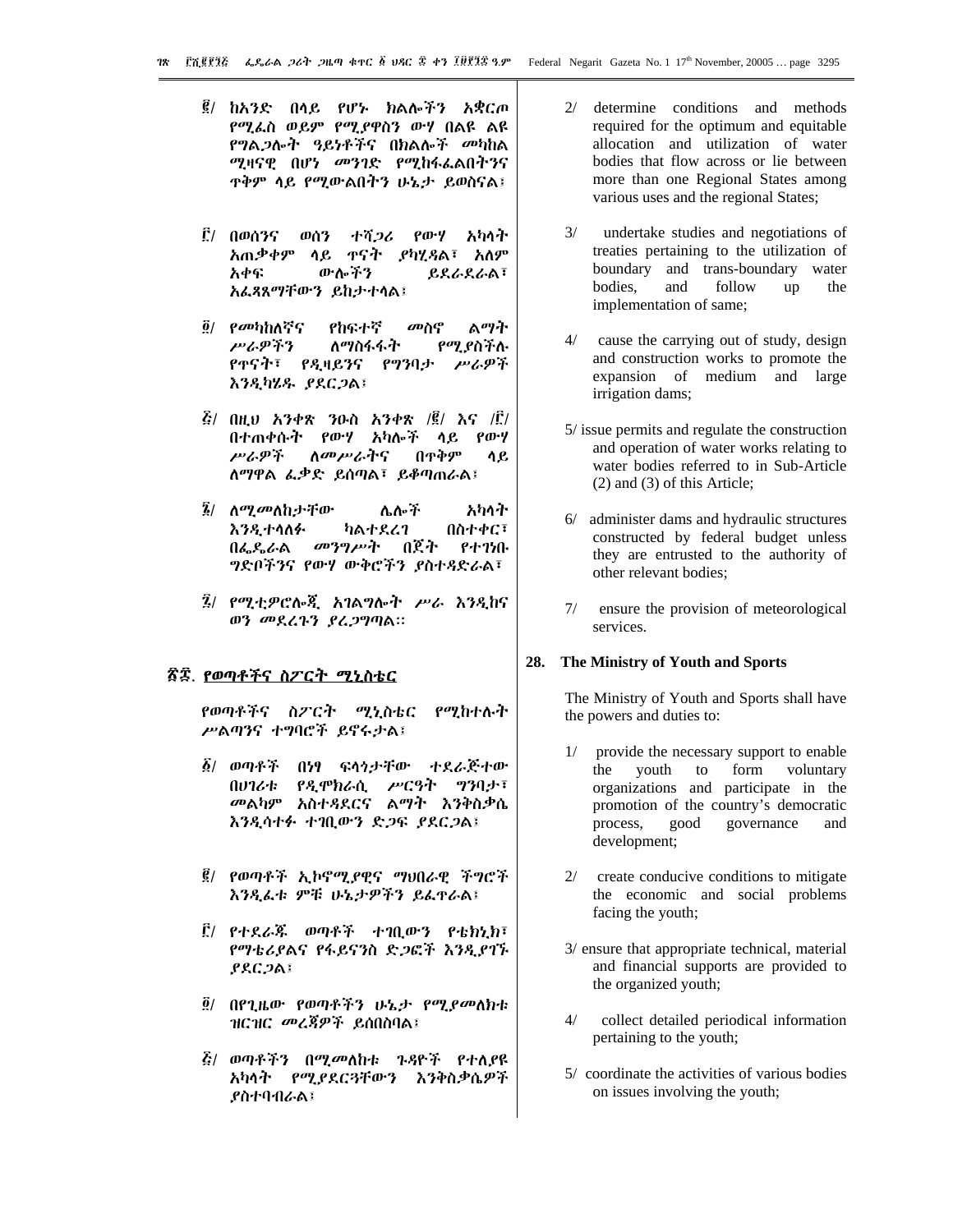- ፪/ ከአንድ በላይ የሆኑ ክልሎችን አቋርጦ የሚፌስ ወይም የሚያዋስን ውሃ በልዩ ልዩ *የግ*ል*ጋ*ሎት ዓይነቶችና በክልሎች መካከል ሚዛናዊ በሆነ መንገድ የሚከፋፌልበትንና **ዋቅም ሳይ የሚውልበትን ሁኔታ ይወስናል፤**
- **! በወሰንና** ወሰን ተሻ*ጋሪ* የውሃ አካሳት አጠቃቀም ላይ ዋናት ያካሂዳል፣ አለም አቀፍ ውሎችን ይደራደራል፣ አፌጻጸማቸውን ይከታተሳል፤
- $\tilde{g}/$  የመካከለኛና የከፍተኛ መስኖ ልማት ለማስፋፋት የሚያስችሉ アムዎችን ሥራዎች የተናት፣ የዲዛይንና የማንባታ እንዲካሄዱ ያደርጋል፤
- $\vec{E}$ / በዚህ አንቀጽ ንዑስ አንቀጽ /፪/ እና /፫/ በተጠቀሱት የውሃ አካሎች ላይ የውሃ ሥራዎች <u>ለመሥራትና</u> በዋቅም ሳይ ለማዋል ፌቃድ ይሰጣል፣ ይቆጣጠራል፤
- ሌሎች *፮/ ለሚመ*ለከታቸው አካላት እንዳ ተሳለፉ ካልተደረገ በስተቀር፣ መንግሥት በጀት በፌዴራል **P+750.** ግድቦችንና የውሃ ውቅሮችን ያስተዳድራል፣
- *፯*/ *የሚቲዎሮ*ሎጂ አገልግሎት ሥራ እንዲከና ወን መደረጉን ያረጋግጣል።

# <u>ኛ፰. የወጣቶችና ስፖርት ሚኒስቴር</u>

የወጣቶችና ስፖርት ሚኒስቴር የሚከተሉት ሥልጣንና ተግባሮች ይኖሩታል፤

- $\delta$ / ወጣቶች በነፃ ፍላጎታቸው ተደራጅተው የዲሞክራሲ ሥርዓት ግንባታ፣ のりりんま መልካም አስተዳደርና ልማት እንቅስቃሴ እንዲሳተፉ ተገቢውን ድጋፍ ያደርጋል፤
- ፪/ የወጣቶች ኢኮኖሚያዊና ማህበራዊ ችግሮች እንዲፌቱ ምቹ ሁኔታዎችን ይፌኖራል፤
- ፫/ የተደራጁ ወጣቶች ተገቢውን የቴክኒክ፣ የማቴሪያልና የፋይናንስ ድጋፎች እንዲያገኙ **PRC ጋል፤**
- ፬/ በየጊዜው የወጣቶችን ሁኔ*ታ የሚያመ*ለክቱ ዝርዝር *መረጃዎች* ይሰበስባል፤
- *ξ/ ወጣቶችን በሚመ*ለከቱ ጉዳዮች የተለ*ያ*ዩ አካላት የሚያደርጓቸውን እንቅስቃሴዎች **ያስተባብራል፤**
- $2/$ determine conditions and methods required for the optimum and equitable allocation and utilization of water bodies that flow across or lie between more than one Regional States among various uses and the regional States;
- $3/$ undertake studies and negotiations of treaties pertaining to the utilization of boundary and trans-boundary water follow bodies. and  $\mathbf{u}$ the implementation of same;
- $4/$ cause the carrying out of study, design and construction works to promote the expansion of medium and large irrigation dams;
- 5/ issue permits and regulate the construction and operation of water works relating to water bodies referred to in Sub-Article  $(2)$  and  $(3)$  of this Article;
- 6/ administer dams and hydraulic structures constructed by federal budget unless they are entrusted to the authority of other relevant bodies;
- $7/$ ensure the provision of meteorological services.

#### The Ministry of Youth and Sports 28.

The Ministry of Youth and Sports shall have the powers and duties to:

- $1/$ provide the necessary support to enable the youth to form voluntary organizations and participate in the promotion of the country's democratic governance good process, and development;
- create conducive conditions to mitigate  $2/$ the economic and social problems facing the youth;
- 3/ ensure that appropriate technical, material and financial supports are provided to the organized youth;
- $4/$ collect detailed periodical information pertaining to the youth;
- 5/ coordinate the activities of various bodies on issues involving the youth;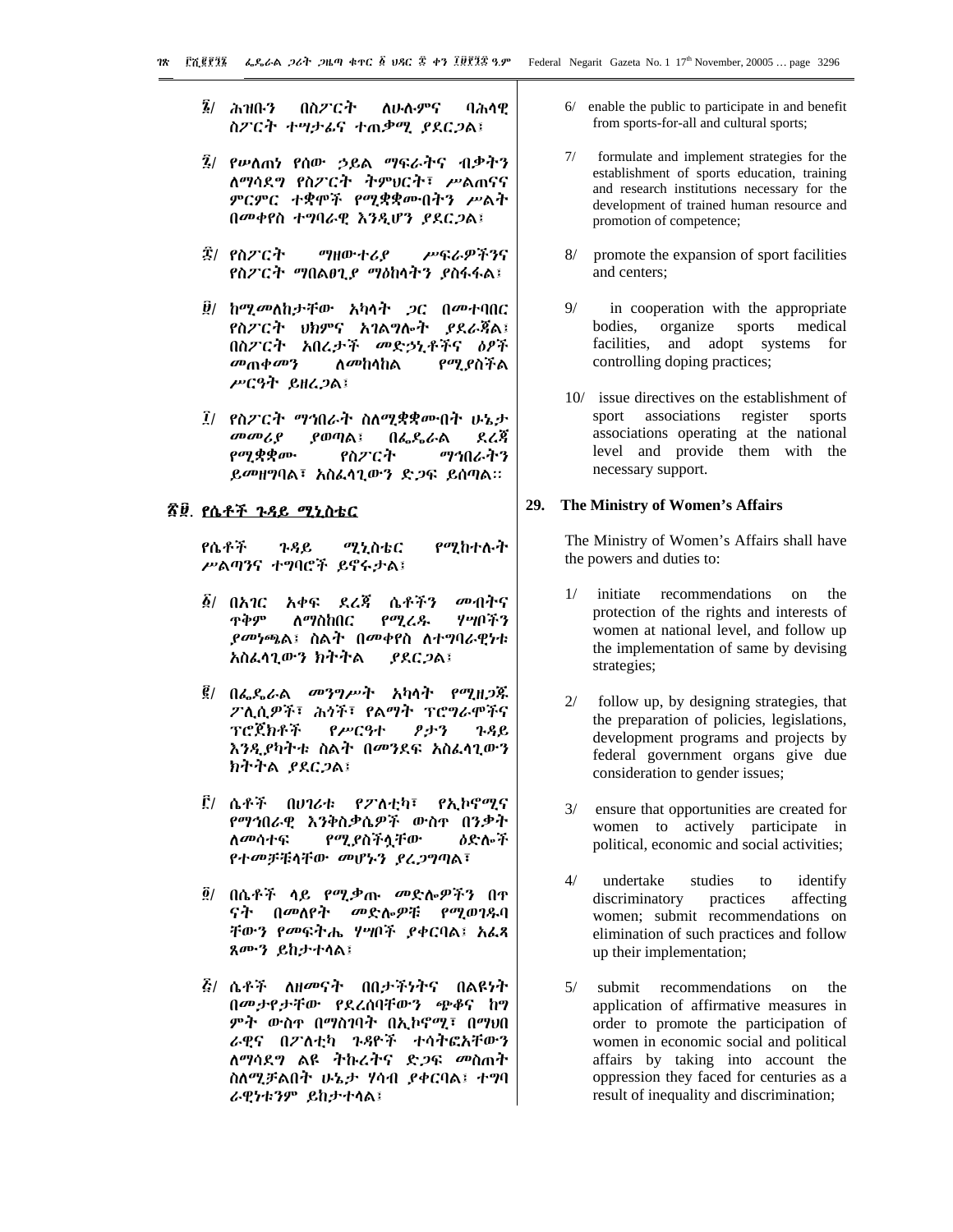- $\bar{\mathbf{z}}$ / ሕዝቡን በስፖርት ለሁሉምና ባሕሳዊ ስፖርት ተሣታፊና ተጠቃሚ *ያ*ደር*ጋ*ል፤
- ፯/ የሥለጠነ የሰው ኃይል ማፍራትና ብቃትን ለማሳደግ የስፖርት ትምህርት፣ ሥልጠናና ምርምር ተቋሞች የሚቋቋሙበትን ሥልት በመቀየስ ተግባራዊ እንዲሆን ያደርጋል፤
- ፰/ የስፖርት ማዘውተሪያ ሥፍራዎችንና የስፖርት ማበልፀጊያ ማዕከሳትን ያስፋፋል፤
- ፱/ ከሚመለከታቸው አካላት ጋር በመተባበር የስፖርት ህክምና አገልግሎት ያደራጃል፤ በስፖርት አበረታች መድኃኒቶችና ዕፆች መጠቀመን ለመከላከል የሚያስችል ሥርዓት ይዘረጋል፤
- *፤*/ የስፖርት *ማኅ*በራት ስለሚቋቋሙበት ሁኔታ  $\omega$   $\omega$ ያወጣል፤ በፌዴራል ደረጃ *የሚቋቋ*ሙ የስፖርት ማኅበራትን ይመዘግባል፣ አስፌሳጊውን ድጋፍ ይሰጣል።

## <u>ኛጀ. የሴቶች ጉዳይ ሚኒስቴር</u>

የሴቶች  $3.9C$ ሚኒስቴር የሚከተሉት ሥልጣንና ተግባሮች ይኖሩታል፤

- *፩/ በአገር አቀፍ ደሬጃ ሴቶችን* መብትና ጥቅም  $P^{q}Z_{r}$ ሃሣበችን ለማስከበር *ያመነጫ*ል፤ ስልት በመቀየስ ለተግባራዊነቱ አስፈላጊውን ክትትል  $PACDA$
- *፪/ በፌ*ዴራል *መንግሥት* አካላት የሚዘ*ጋ*ጁ ፖሊሲዎች፣ ሕጎች፣ የልማት ፕሮግራሞችና ፕሮጀክቶች የሥርዓተ タナツ ጉዳይ እንዲያካትቱ ስልት በመንደፍ አስፌሳጊውን ክትትል ያደርጋል፤
- ፫/ ሴቶች በሀገሪቱ የፖለቲካ፣ የኢኮኖሚና የማኅበራዊ እንቅስቃሴዎች ውስዋ በንቃት ለ*መ*ሳተፍ የሚያስችሏቸው **ዕድሎች** የተመቻቹሳቸው መሆኑን ያረጋግጣል፣
- ፬/ በሴቶች ሳይ የሚቃጡ *መ*ድሎዎችን በዋ *ናት በመ*ለየት መድሎዎቹ የሚወገዱባ ቸውን የመፍትሔ ሃሣቦች ያቀርባል፤ አፌጻ ጸሙን ይከታተሳል፤
- *ξ/* ሴቶች ለዘመናት በበታችነትና በልዩነት በመታየታቸው የደረሰባቸውን ጭቆና ከግ ምት ውስዯ በማስገባት በኢኮኖሚ፣ በማህበ ራዊና በፖለቲካ ጉዳዮች ተሳትፎአቸውን ለማሳደግ ልዩ ትኩረትና ድ*ጋ*ፍ መስጠት ስለሚቻልበት ሁኔታ ሃሳብ ያቀርባል፤ ተግባ ራዊነቱንም ይከታተሳል፤
- $6/$  enable the public to participate in and benefit from sports-for-all and cultural sports;
- $7/$ formulate and implement strategies for the establishment of sports education, training and research institutions necessary for the development of trained human resource and promotion of competence;
- $8/$ promote the expansion of sport facilities and centers:
- $\mathbf{Q}/$ in cooperation with the appropriate bodies, organize sports medical facilities, and adopt systems for controlling doping practices;
- 10/ issue directives on the establishment of sport associations register sports associations operating at the national level and provide them with the necessary support.

#### 29. The Ministry of Women's Affairs

The Ministry of Women's Affairs shall have the powers and duties to:

- initiate recommendations on the  $1/$ protection of the rights and interests of women at national level, and follow up the implementation of same by devising strategies;
- $2/$ follow up, by designing strategies, that the preparation of policies, legislations, development programs and projects by federal government organs give due consideration to gender issues;
- ensure that opportunities are created for women to actively participate in political, economic and social activities;
- $4/$ undertake studies to identify discriminatory affecting practices women; submit recommendations on elimination of such practices and follow up their implementation;
- $5/$ submit recommendations on the application of affirmative measures in order to promote the participation of women in economic social and political affairs by taking into account the oppression they faced for centuries as a result of inequality and discrimination;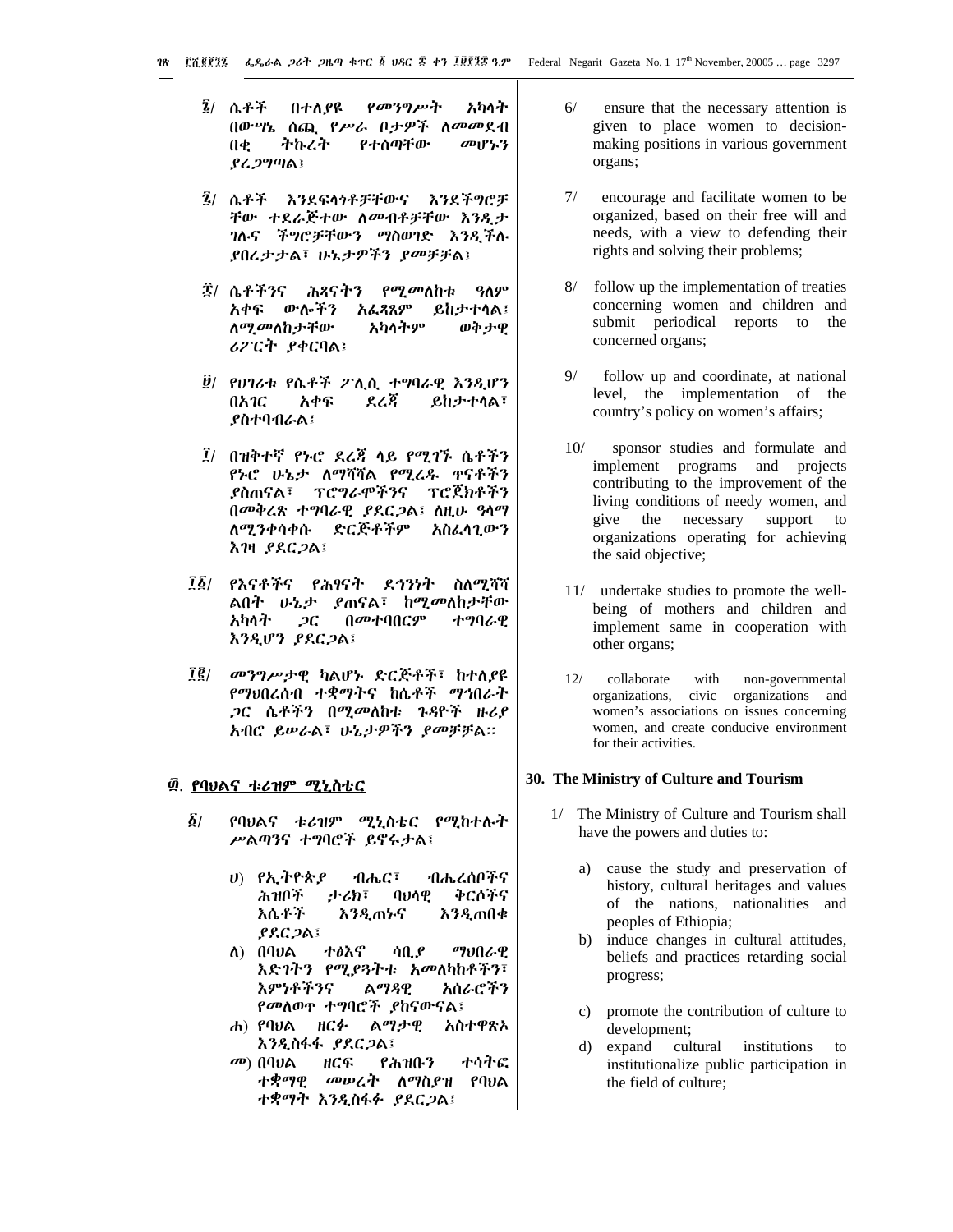- ፮/ ሴቶች የመንግሥት በተለያዩ አካላት በውሣኔ ሰጪ የሥራ ቦታዎች ለመመደብ Л¢ ትኩረት የተሰጣቸው መሆኑን ያሬጋግጣል፤
- *፯*/ ሴቶች እንደፍላኅቶቻቸውና እንደችግሮቻ ቸው ተደራጅተው ስመብቶቻቸው እንዷታ ገሉና ችግሮቻቸውን ማስወገድ እንዲችሉ ያበረታታል፣ ሁኔታዎችን ያመቻቻል፤
- *፰/* ሴቶችንና ሕጻናትን *የሚመ*ለከቱ ዓለም አቀፍ ውሎችን አፌጻጸም ይከታተሳል፤ ለ*ሚመ*ለከታቸው አካላትም ወቅታዊ ሪፖርት ያቀርባል፤
- ፱/ የሀገሪቱ የሴቶች ፖሊሲ ተግባራዊ እንዲሆን በአገር አቀፍ ደረጃ **ይከታተሳል፣** ያስተባብራል፤
- *፲/ በዝቅተኛ የኑሮ ደረጃ ላይ የሚገኙ ሴቶችን* የኑሮ ሁኔታ ለማሻሻል የሚረዱ ዋናቶችን ያስጠናል፣ ፕሮግራሞችንና ፕሮጀክቶችን በመቅረጽ ተግባራዊ ያደርጋል፤ ስዚሁ ዓሳማ ለሚንቀሳቀሱ ድርጅቶችም አስፌሳጊውን **እገዛ ያደርጋል፤**
- ፲፩/ የእናቶችና የሕፃናት ደኅንነት ስለሚሻሻ ልበት ሁኔታ ያጠናል፣ ከሚመለከታቸው አካላት  $2C$ በመተባበርም ተግባራዋ እንዲሆን ያደርጋል፤
- $\vec{l}$  (  $\vec{l}$ መንግሥታዊ ካልሆኑ ድርጅቶች፣ ከተለያዩ *የማህ*በረሰብ ተቋማትና ከሴቶች *ማኅ*በራት ጋር ሴቶችን በሚመለከቱ ጉዳዮች ዙሪያ አብሮ ይሥራል፣ ሁኔታዎችን ያመቻቻል።

#### ፴. <u>የባህልና ቱሪዝም ሚኒስቴር</u>

- $\delta/$ የባህልና ቱሪዝም ሚኒስቴር የሚከተሉት ሥልጣንና ተግባሮች ይኖሩታል፤
	- ሀ) የኢትዮጵያ ብሔር፣ ብሔረሰቦችና ሕዝቦች ナびぼ  $Q<sub>U</sub>Q<sub>Q</sub>$ ቅርሶችና እሴቶች እንዲጠኑና እንዲጠበቁ  $PACDAI$
	- ተፅእኖ ማህበራዊ ለ) በባ $\nu$ ል ሳቢያ እድገትን የሚያጓትቱ አመለካከቶችን፣ እምነቶችንና ልማዳዊ አሰራሮችን *የመ*ለወዋ ተግባሮች *ያ*ከናውናል፤
	- ሐ) የባህል ዘርፉ ልማታዊ አስተዋጽኦ እንዲስፋፋ ያደርጋል፤
	- $\omega$ ) በባህል ዘርፍ የሕዝቡን ተሳትፎ *ተቋማዊ መሠረት ለማስያዝ የባህ*ል ተቋማት እንዲስፋፉ ያደርጋል፤
- $6/$ ensure that the necessary attention is given to place women to decisionmaking positions in various government organs;
- $7/$ encourage and facilitate women to be organized, based on their free will and needs, with a view to defending their rights and solving their problems;
- $8/$ follow up the implementation of treaties concerning women and children and submit periodical reports to the concerned organs;
- $9/$ follow up and coordinate, at national level, the implementation of the country's policy on women's affairs;
- $10/$ sponsor studies and formulate and implement programs and projects contributing to the improvement of the living conditions of needy women, and give the necessary support  $\overline{t}$ organizations operating for achieving the said objective;
- 11/ undertake studies to promote the wellbeing of mothers and children and implement same in cooperation with other organs;
- $12/$ collaborate with non-governmental organizations, civic organizations and women's associations on issues concerning women, and create conducive environment for their activities.

# 30. The Ministry of Culture and Tourism

- 1/ The Ministry of Culture and Tourism shall have the powers and duties to:
	- a) cause the study and preservation of history, cultural heritages and values of the nations, nationalities and peoples of Ethiopia;
	- induce changes in cultural attitudes,  $b)$ beliefs and practices retarding social progress;
	- c) promote the contribution of culture to development;
	- expand cultural institutions to  $\rm d$ institutionalize public participation in the field of culture;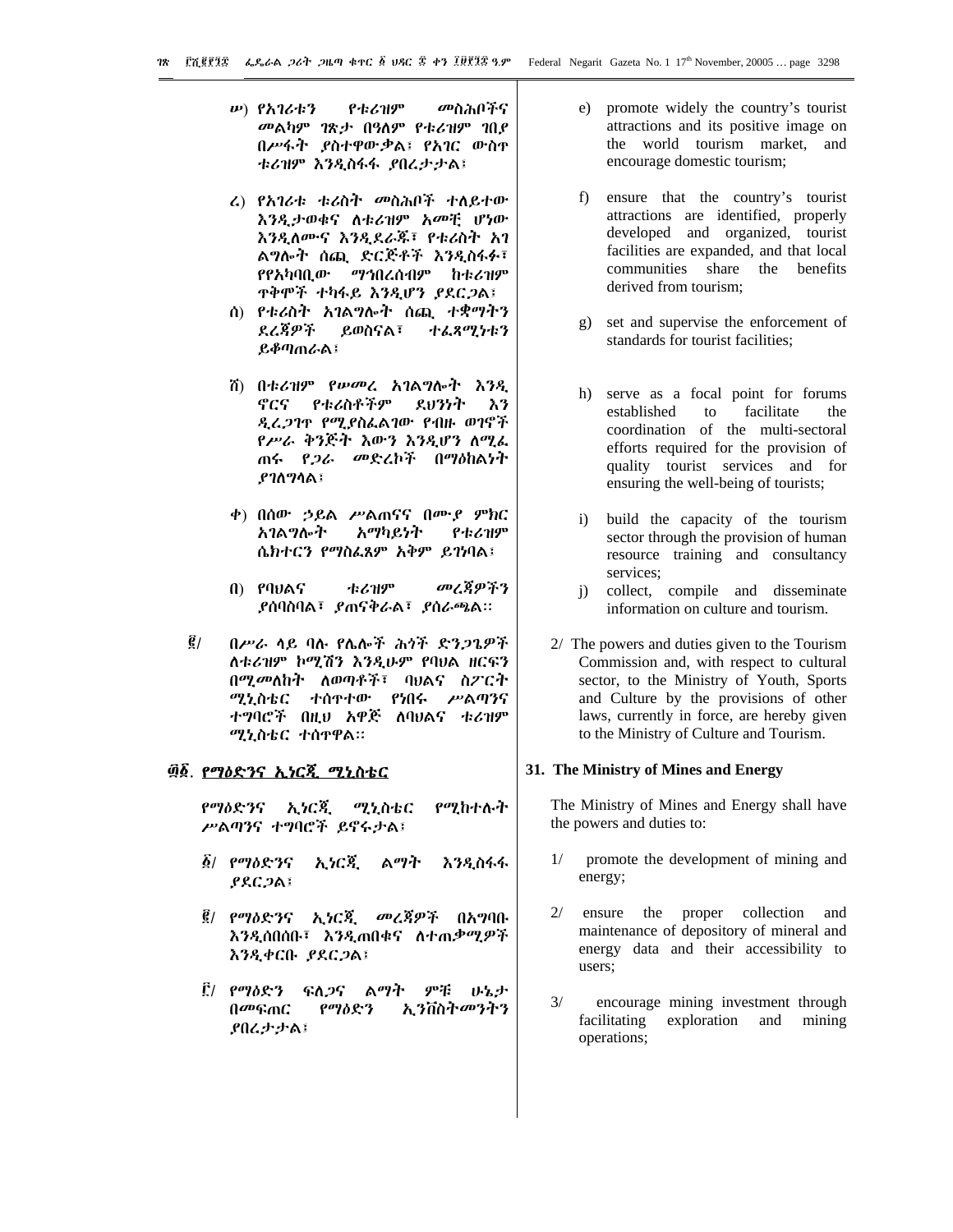- *w*) የአገሪቱን የቱሪዝም መስሕቦችና መልካም ገጽታ በዓለም የቱሪዝም ገበደ በሥፋት ያስተዋውቃል፤ የአገር ውስዋ ቱሪዝም እንዲስፋፋ ያበረታታል፤
- ሬ) የአገሪቱ ቱሪስት መስሕቦች ተለይተው እንዲታወቁና ለቱሪዝም አመቺ ሆነው እንዲለሙና እንዲደራጁ፣ የቱሪስት አገ ልግሎት ሰጪ ድርጅቶች እንዲስፋፉ፣ የየአካባቢው *ማኅ*በረሰብም ከቱሪዝም **ዋቅሞች ተካፋይ እንዲሆን ያደርጋል፤**
- ሰ) የቱሪስት አገልግሎት ሰጪ ተቋማትን ደረጃዎች ይወስናል፣ ተፌጸሚነቱን ይቆጣጠራል፤
- ሽ) በቱሪዝም የሥመረ አገልግሎት እንዲ ኖርና የቱሪስቶችም ደህንነት እን ዲረ*ጋገ*ዋ የሚያስፌልገው የብዙ ወገኖች የሥራ ቅንጅት እውን እንዲሆን ለሚፌ ጠሩ *የጋራ መ*ድረኮች በማዕከልነት  $P1$ ስግሳል፤
- ቀ) በሰው ኃይል ሥልጠናና በሙያ ምክር አገልግሎት አማካይነት የቱሪዝም ሴክተርን የማስፈጸም አቅም ይገነባል፤
- በ) የባህልና **七乙丑の** መረጀዎችን **ያሰባስባል፣ ያጠናቅራል፣ ያሰራጫል።**
- $\vec{e}$  / በሥራ ሳይ ባሉ የሌሎች ሕጎች ድንጋጌዎች ለቱሪዝም ኮሚሽን እንዲሁም የባህል ዘርፍን በሚመለከት ለወጣቶች፣ ባህልና ስፖርት ሚኒስቴር ተሰዋተው የነበሩ ሥልጣንና ተግባሮች በዚህ አዋጅ ለባህልና ቱሪዝም ሚኒስቴር ተሰዋዋል።

# ፴፩. የማዕድንና ኢነርጂ ሚኒስቴር

የማዕድንና ኢነርጂ ሚኒስቴር የሚከተሉት ሥልጣንና ተግባሮች ይኖሩታል፤

- $\tilde{g}$ / የማዕድንና ኢነርጂ ልማት **እንዲስፋፋ**  $PACDA$
- ፪/ የማዕድንና ኢነርጂ መረጃዎች በአግባቡ እንዲሰበሰቡ፣ እንዲጠበቁና ለተጠቃሚዎች እንዲቀርቡ ያደርጋል፤
- ፫/ *የማ*ስድን ፍለ*ጋ*ና ልማት デギ みねず በመፍጠር የማዕድን ኢንቨስት*መን*ትን **ያበረታታል፤**
- e) promote widely the country's tourist attractions and its positive image on the world tourism market, and encourage domestic tourism;
- $f$ ) ensure that the country's tourist attractions are identified, properly developed and organized, tourist facilities are expanded, and that local communities share the benefits derived from tourism:
- g) set and supervise the enforcement of standards for tourist facilities:
- h) serve as a focal point for forums established  $\mathbf{t}$ facilitate the coordination of the multi-sectoral efforts required for the provision of quality tourist services and for ensuring the well-being of tourists;
- build the capacity of the tourism  $i)$ sector through the provision of human resource training and consultancy services:
- collect, compile and disseminate  $i)$ information on culture and tourism.
- 2/ The powers and duties given to the Tourism Commission and, with respect to cultural sector, to the Ministry of Youth, Sports and Culture by the provisions of other laws, currently in force, are hereby given to the Ministry of Culture and Tourism.

# 31. The Ministry of Mines and Energy

The Ministry of Mines and Energy shall have the powers and duties to:

- promote the development of mining and  $1/$ energy;
- $2/$ ensure the proper collection and maintenance of depository of mineral and energy data and their accessibility to users;
- $3/$ encourage mining investment through facilitating exploration and mining operations;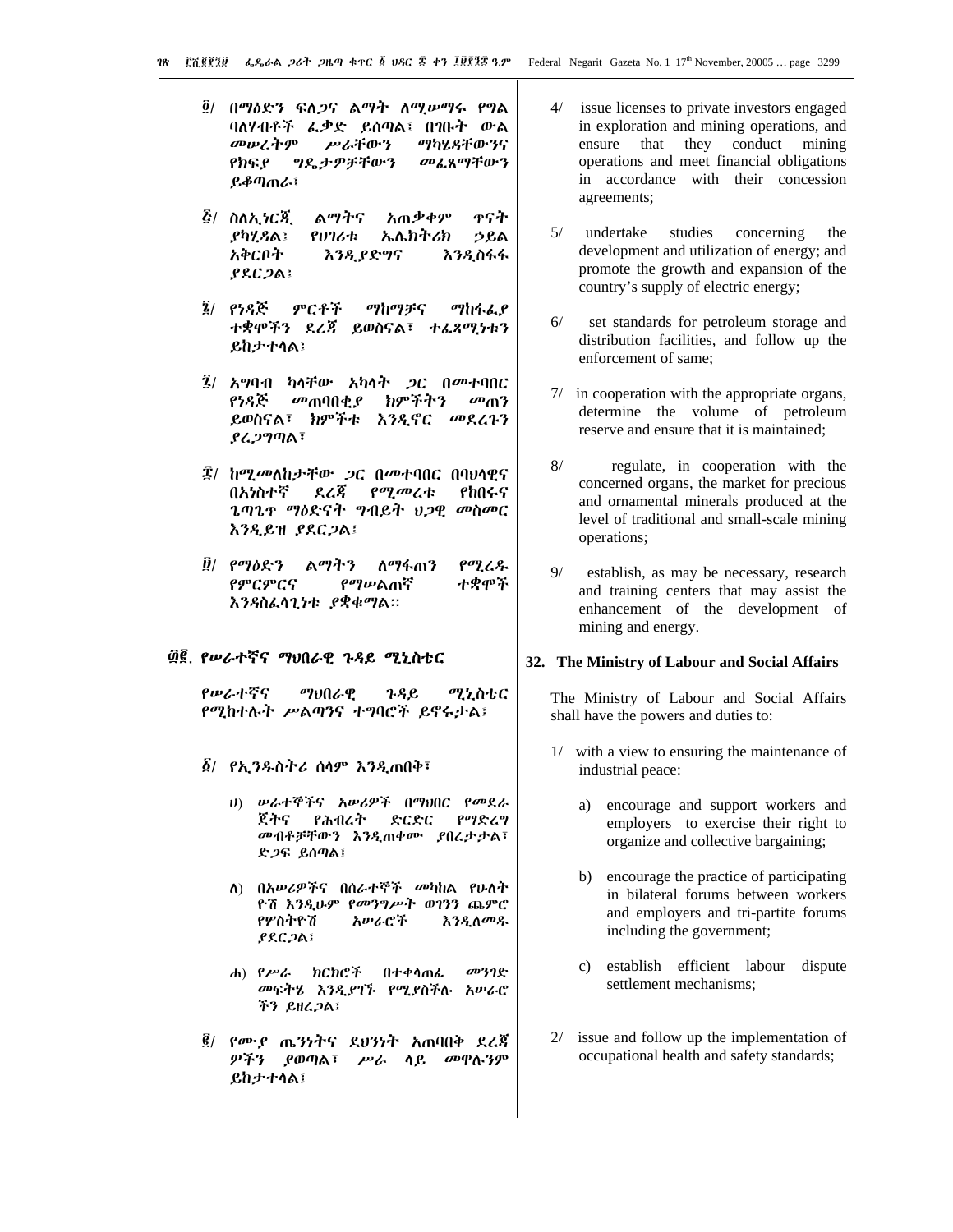- ፬/ በማዕድን ፍለ*ጋ*ና ልማት ለሚሥማሩ የግል ባለሃብቶች ፌቃድ ይሰጣል፤ በገቡት ውል መሠረትም **ሥራቸውን** ማካሄዳቸውንና የክፍያ ግዴታዎቻቸውን መፈጸማቸውን ይቆጣጠራ፤
- *፩/ ስለአ ነርጃ* ልማትና አጠቃቀም ጥናት ያካሂ ያል፤ የሀገሪቱ <u>ኤሌክትሪክ</u> ኃይል አቅርቦት እንዲያድግና እንዲስፋፋ **PRC ጋል፤**
- ምርቶች  $\tilde{z}$  eyse ማከማቻና ማከፋፈ የ ተቋሞችን ደረጃ ይወስናል፣ ተፈጻሚነቱን **ይከታተሳል፤**
- $\bar{2}$ / አማባብ ካላቸው አካላት ጋር በመተባበር የነዳጅ ክምችትን *መ*ጠባበቂ ያ  $\omega_0$ ይወስናል፣ ክምችቱ እንዲኖር መደረጉን ያሬ ጋግጣል፣
- ፰/ ከሚመለከታቸው ጋር በመተባበር በባህሳዊና ደረጃ *የሚመረቱ*፡ በአሃስተኛ የከበሩና ጌጣጌጥ ማዕድናት ግብይት ህጋዊ መስመር እንዲይዝ ያደርጋል፤
- $\ddot{\theta}$ /  $\rho$ <sup>o</sup> $\eta$ <sub> $\delta$ </sub> $\chi$ <sup>-</sup> $\gamma$ ልማትን ለማፋጠን የሚረዱ ተቋሞች የምርምርና የማሥልጠኛ እንዳስፌሳጊነቱ ያቋቁማል።

# ፴፪. <u>የሥራተኛና ማህበራዊ ጉዳይ ሚኒስቴር</u>

የሥራተኛና ግህበራዊ  $3.9e$ ሚኒስቴር የማከተሉት ሥልጣንና ተግባሮች ይኖሩታል፤

- ፩/ *የኢንዱ*ስትሪ ሰሳም እንዲጠበቅ፣
	- ሀ) ሥራተኞችና አሥሪዎች በማህበር የመደራ ጀትና የሕብረት  $\rho$ ማድረግ ድርድር መብቶቻቸውን እንዲጠቀሙ ያበረታታል፣ ድ*ጋ*ፍ ይሰጣል፤
	- ለ) በአሥሪዎችና በሰራተኞች መካከል የሁለት ዮሽ እንዳሁም የመንግሥት ወገንን ጨምሮ የሦስትዮሽ አሥራሮች **እንዲለመ**ዱ  $PACDA$
	- ሐ) የሥራ ክርክሮች በተቀሳጠፌ መንገዮ መፍትሄ እንዲያገኙ የሚያስችሉ አሥራሮ ችን ይዘረ*ጋ*ል፤
- ፪/ የሙያ ጤንነትና ደህንነት አጠባበቅ ደረጃ ዎችን ያወጣል፣ ሥራ ሳይ መዋሉንም ይከታተሳል፤
- issue licenses to private investors engaged  $\Delta/$ in exploration and mining operations, and ensure that they conduct mining operations and meet financial obligations in accordance with their concession agreements;
- $5/$ studies undertake concerning the development and utilization of energy; and promote the growth and expansion of the country's supply of electric energy;
- $6/$ set standards for petroleum storage and distribution facilities, and follow up the enforcement of same:
- 7/ in cooperation with the appropriate organs, determine the volume of petroleum reserve and ensure that it is maintained:
- $8/$ regulate, in cooperation with the concerned organs, the market for precious and ornamental minerals produced at the level of traditional and small-scale mining operations;
- $Q/$ establish, as may be necessary, research and training centers that may assist the enhancement of the development of mining and energy.

#### 32. The Ministry of Labour and Social Affairs

The Ministry of Labour and Social Affairs shall have the powers and duties to:

- $1/$ with a view to ensuring the maintenance of industrial peace:
	- encourage and support workers and a) employers to exercise their right to organize and collective bargaining;
	- b) encourage the practice of participating in bilateral forums between workers and employers and tri-partite forums including the government;
	- $c)$ establish efficient labour dispute settlement mechanisms;
- $2/$  issue and follow up the implementation of occupational health and safety standards;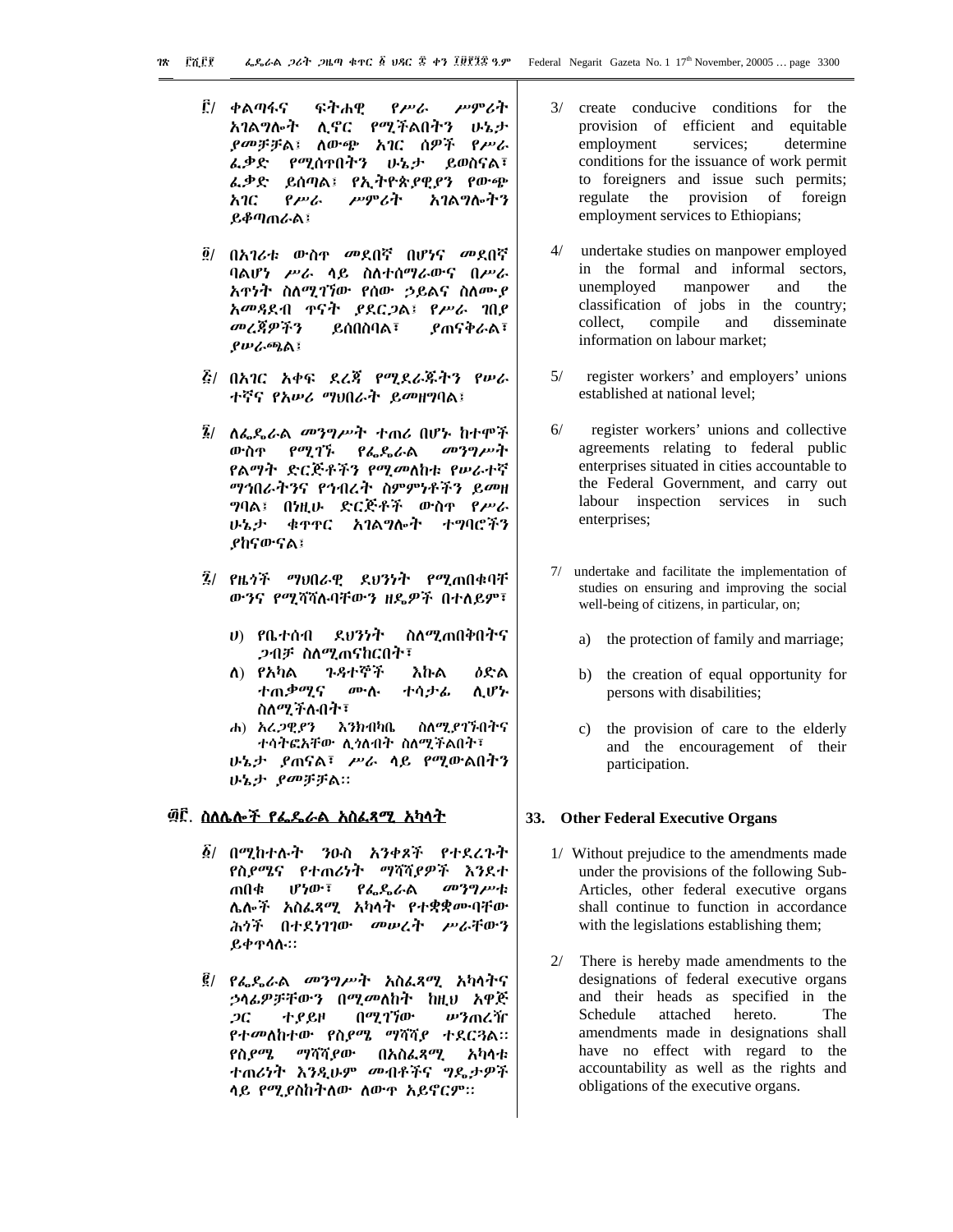- ፫/ ቀልጣፋና ፍትሐዊ ሥምራት  $\rho_{\mu\nu}$ አገልግሎት ሊኖር የሚችልበትን ሁኔታ *ያመቻቻ*ል፤ ለውጭ አገር ሰዎች የሥራ ፌቃድ የሚሰዋበትን ሁኔታ ይወስናል፣ ፌቃድ ይሰጣል፤ የኢትዮጵያዊያን የውጭ ሥምሪት አገልግሎትን አገር የሥራ **ይቆጣጠራል፤**
- ፬/ በ*አገሪቱ ውስ*ዮ *መ*ደበኛ በሆ*ነ*ና *መ*ደበኛ ባልሆነ ሥራ ሳይ ስለተሰማራውና በሥራ አዋነት ስለሚገኘው የሰው ኃይልና ስለሙያ አመጻደብ ዋናት ያደርጋል፤ የሥራ ገበያ መረጃዎችን **ያ**ጠናቅራል፣ ይሰበስባል፣  $\ell \nu_{\alpha}$ ጫል፤
- *ξι* በአገር አቀፍ ደረጃ የሚደራጁትን የሥራ ተኛና የአሥሪ ማህበራት ይመዘግባል፤
- *፞፟፤*/ ለፌዴራል *መንግሥት* ተጠሪ በሆኑ ከተሞች ውስዋ የሚገኙ  $P_{\alpha} \ell_{\alpha} C_{\alpha}$ መንግሥት የልማት ድርጅቶችን የሚመለከቱ የ**ሥራ**ተኛ ማኅበራትንና የኅብረት ስምምነቶችን ይመዘ *ግ*ባል፤ በነዚሁ ድርጅቶች ውስዋ የሥራ ሁኔታ ቁዋዋር አገልግሎት ተግባሮችን የከናውናል፣
- $\tilde{R}$ / የዜጎች ማህበራዊ ደህንነት የሚጠበቁባቸ ውንና የሚሻሻሉባቸውን ዘዴዎች በተለይም፣
	- $U$ )  $P$ ቤ $+$ ሰ $-$ ብ ደህንነት ስለሚጠበቅበትና *ጋብቻ ስለማ* ሐናከርበት፣
	- ጉዳተኞች ለ) የአካል **ዕድል** እኩል ተጠቃሚና  $\boldsymbol{\theta}$ ው ስ 小小よん ሲሆኍ ስለሚችሉበት፣
	- ሐ) አረ*ጋ*ዊያን እንክብካቤ ስለሚያገኙበትና ተሳትፎአቸው ሊኅለብት ስለሚችልበት፣ ሁኔታ ያጠናል፣ ሥራ ሳይ የሚውልበትን ሁኔታ ያመቻቻል።

# <u>፴፫. ስለሌሎች የፌዴራል አስፌጻሚ አካላት</u>

- *፩/ በሚከተሉት ን*ዑስ *አንቀጾች የተደረጉት* የስያሜና የተጠሪነት ማሻሻያዎች እንደተ መንግሥቱ ጠበቁ  $0.50 \cdot 1$ የፌዴራል ሌሎች አስፌጻሚ አካሳት የተቋቋሙባቸው ሕሳች በተደነገገው መሠረት ሥራቸውን ይቀዋሳሉ።
- *፪/ የፌ*ዴራል *መንግሥ*ተ አስፌጻሚ አካሳተና *ኃላፊዎቻቸውን በሚመ*ለከት ከዚህ አዋጅ  $2C$ ተያይዞ በሚገኘው ሥንጠረዥ የተመለከተው የስ*ያሜ ማ*ሻሻ*ያ* ተደር*ጓ*ል። የስያሜ ማሻሻ *ያ*ው በአስፌጻሚ አካላቱ ተጠሪነት እንዲሁም መብቶችና ግዴታዎች ሳይ የሚያስከትለው ለውዋ አይኖርም።
- 3/ create conducive conditions for the provision of efficient and equitable employment services: determine conditions for the issuance of work permit to foreigners and issue such permits; regulate the provision of foreign employment services to Ethiopians;
- $4/$ undertake studies on manpower employed in the formal and informal sectors. unemploved manpower and the classification of jobs in the country; collect, compile and disseminate information on labour market;
- $5/$ register workers' and employers' unions established at national level;
- $6/$ register workers' unions and collective agreements relating to federal public enterprises situated in cities accountable to the Federal Government, and carry out labour inspection services in such enterprises;
- 7/ undertake and facilitate the implementation of studies on ensuring and improving the social well-being of citizens, in particular, on;
	- the protection of family and marriage; a)
	- $h$ ) the creation of equal opportunity for persons with disabilities;
	- c) the provision of care to the elderly and the encouragement of their participation.

#### 33. Other Federal Executive Organs

- 1/ Without prejudice to the amendments made under the provisions of the following Sub-Articles, other federal executive organs shall continue to function in accordance with the legislations establishing them;
- $2/$ There is hereby made amendments to the designations of federal executive organs and their heads as specified in the Schedule attached hereto. The amendments made in designations shall have no effect with regard to the accountability as well as the rights and obligations of the executive organs.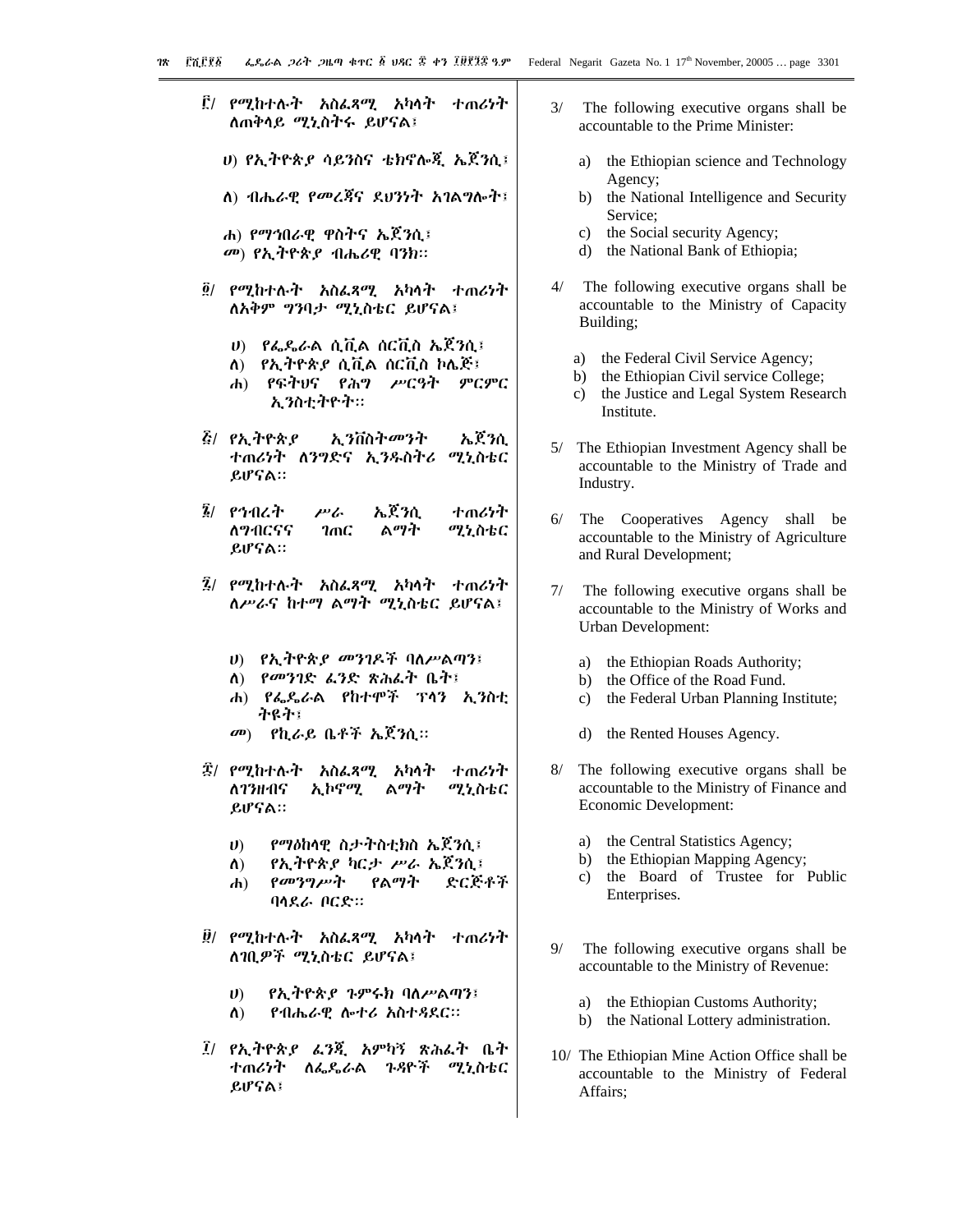- ፫/ *የሚ*ከተሉት አስፌጻሚ አካላት ተጠሪነት ለጠቅሳይ ሚኒስትሩ ይሆናል፤
	- υ) የኢትዮጵ*ያ* ሳይንስና ቴክኖሎጂ ኤጀንሲ፤
	- ለ) ብሔራዊ የመረጃና ደህንነት አገልግሎት፤
	- ሐ) የማኅበራዊ ዋስትና ኤጀንሲ፤ መ) የኢትዮጵያ ብሔሪዊ ባንክ።
- ፬/ የሚከተሉት አስፌጻሚ አካላት ተጠሪነት ለአቅም ግንባታ ሚኒስቴር ይሆናል፤
	- $\psi$ ) በፌዴራል ሲቪል ሰርቪስ ኤጀንሲ፤
	- ለ) የኢትዮጵያ ሲቪል ሰርቪስ ኮሌጅ፤
	- ሐ) የፍትህና የሕግ ሥርዓት ምርምር ኢንስቲትዮት።
- **፭/ የኢትዮጵያ** ኢንቨስት*መን*ት ኤጀንሲ ተጠሪነት ለንግድና ኢንዱስትሪ ሚኒስቴር ይሆናል።
- ፮/ የኅብረት ሥራ ኤጀንሲ ተጠሪነት ለማብርናና  $2mC$ ልማት ሚኒስቴር ይሆናል።
- ፯/ የሚከተሉት አስፌጻሚ አካላት ተጠሪነት ለሥራና ከተማ ልማት ሚኒስቴር ይሆናል፤
	- ሀ) የኢትዮጵ*ያ መንገ*ዶች ባለሥልጣን፤
	- ለ) የመንገድ ፌንድ ጽሕፌት ቤት፤
	- ሐ) የፌዴራል የከተሞች ፕሳን ኢንስቲ ትዩት፤
	- *መ*) *የኪራይ* ቤቶች ኤጀንሲ።
- ፰/ የሚከተሉት አስፌጻሚ አካሳት すのんけや አ ኮኖሚ ለ*ገን*ዘብና ልማት ሚኒስቴር ይሆናል።
	- $\boldsymbol{\theta}$ የማዕከላዊ ስታትስቲክስ ኤጀንሲ፤
	- የኢትዮጵያ ካርታ ሥራ ኤጀንሲ፤  $\Lambda$ )
	- የመንግሥት የልማት ድርጅቶች  $\mathbf{d}$ ባሳደራ ቦርድ።
- ፱/ የሚከተሉት አስፌጻሚ አካላት ተጠሪነት ለገቢዎች ሚኒስቴር ይሆናል፤
	- የኢትዮጵያ ጉምሩክ ባለሥልጣን፤  $\boldsymbol{v}$
	- $\Lambda$ የብሔራዊ ሎተሪ አስተዳደር።
- ፲/ የኢትዮጵያ ፌንጂ አምካኝ ጽሕፌት ቤት ተጠሪነት ለፌዴራል ጉዳዮች ሚኒስቴር ይሆናል፤
- $3/$ The following executive organs shall be accountable to the Prime Minister:
	- a) the Ethiopian science and Technology Agency;
	- $b)$ the National Intelligence and Security Service;
	- the Social security Agency;  $c)$
	- d) the National Bank of Ethiopia;
- $4/$ The following executive organs shall be accountable to the Ministry of Capacity Building;
	- the Federal Civil Service Agency;  $a)$
	- b) the Ethiopian Civil service College;
	- the Justice and Legal System Research  $c)$ Institute.
- 5/ The Ethiopian Investment Agency shall be accountable to the Ministry of Trade and Industry.
- $6/$ The Cooperatives Agency shall be accountable to the Ministry of Agriculture and Rural Development;
- $7/$ The following executive organs shall be accountable to the Ministry of Works and **Urban Development:** 
	- a) the Ethiopian Roads Authority;
	- $h$ ) the Office of the Road Fund.
	- $c)$ the Federal Urban Planning Institute;
	- $\rm d$ the Rented Houses Agency.
- $8/$ The following executive organs shall be accountable to the Ministry of Finance and Economic Development:
	- the Central Statistics Agency; a)
	- b) the Ethiopian Mapping Agency;
	- the Board of Trustee for Public  $c)$ Enterprises.
- $9/$ The following executive organs shall be accountable to the Ministry of Revenue:
	- a) the Ethiopian Customs Authority;
	- b) the National Lottery administration.
- 10/ The Ethiopian Mine Action Office shall be accountable to the Ministry of Federal Affairs;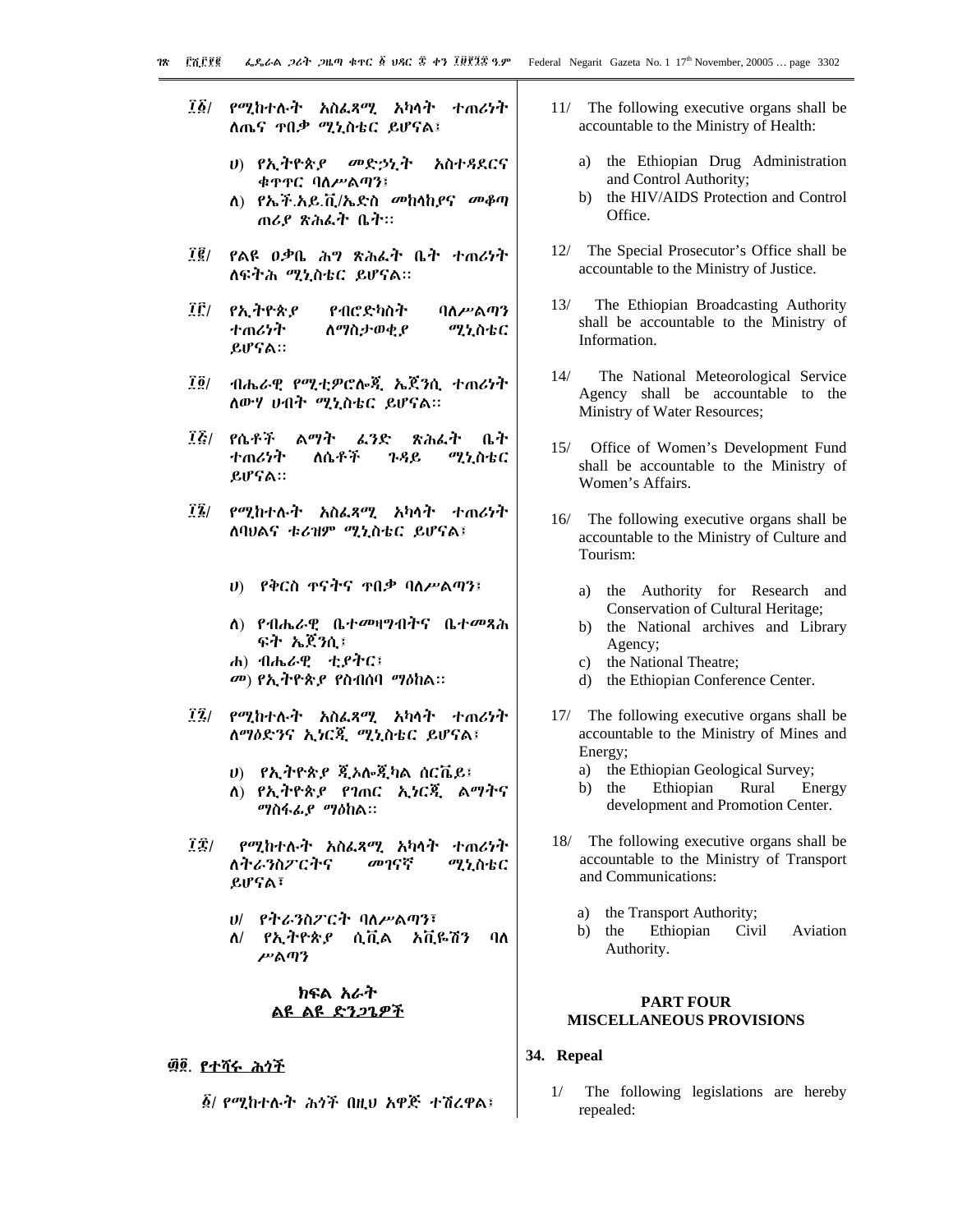- ፲፩/ የሚከተሉት አስፌጻሚ አካሳት ተጠሪነት ለጤና **ዋበ**ቃ ሚኒስቴር ይሆናል፤
	- ሀ) የኢትዮጵያ መድኃኒት አስተዳደርና ቁዋዋር ባለሥልጣን፤
	- ለ) የኤች.አይ.ቪ/ኤድስ መከሳከያና መቆጣ ጠሪያ ጽሕፉት ቤት።
- $\vec{I} \vec{g}/\vec{g}$ የልዩ ዐቃቤ *ሕግ ጽሕ*ፌት ቤት ተጠሪነት ለፍትሕ ሚኒስቴር ይሆናል።
- ÎË/ የኢትዮጵያ የብሮድካስት ባለሥልጣን ተጠሪሃት ስማስታወቂያ ሚኒስቴር ይሆናል።
- $\overline{1}\,\overline{0}/$ ብሔራዊ የሚቲዎሮሎጂ ኤጀንሲ ተጠሪነት ለውሃ ሀብት ሚኒስቴር ይሆናል።
- ፲፩/ የሴቶች ልማት ፈንድ ጽሕፌት ቤት ለሴቶች すのびか ሚኒስቴር ጉዳይ ይሆናል።
- $\mathbf{r}$ *የሚከተሉት አስፌጻሚ አካ*ሳት ተጠሪነት ለባህልና ቱሪዝም ሚኒስቴር ይሆናል፤
	- ሀ) የቅርስ ዋናትና ዋበቃ ባለሥልጣን፤
	- ለ) የብሔራዊ ቤተመዛግብትና ቤተመጻሕ ፍት ኤጀንሲ፤
	- ሐ) ብሔራዊ ቲያትር፤ *መ*) የኢትዮጵ*ያ* የስብሰባ ማዕከል።
- ፲፯/ የሚከተሉት አስፌጻሚ አካላት ተጠሪነት ለማዕድንና ኢነርጂ ሚኒስቴር ይሆናል፤
	- υ) = የኢትዮጵ*ያ* ጂኦሎጂካል ሰርቬይ፤
	- ለ) የኢትዮጵያ የገጠር ኢነርጂ ልማትና *ግ*ስፋፊ*ያ ግ*ዕከል።
- TË/ የሚከተሉት አስፌጻሚ አካላት ተጠሪነት ለትራንስፖርትና መገናኛ ሚኒስቴር ይሆናል፣
	- ሀ/ የትራንስፖርት ባለሥልጣን፣
	- $\Lambda$ / የኢትዮጵያ ሲቪል አቪዬሽን  $\mathbf{a}$ ሥልጣን

# ክፍል አራት ልዩ ልዩ ድንጋጌዎች

# ፴፬, <u>የተሻሩ ሕሳች</u>

፩/ የሚከተሉት ሕጎች በዚህ አዋጅ ተሽረዋል፤

- 11/ The following executive organs shall be accountable to the Ministry of Health:
	- the Ethiopian Drug Administration a) and Control Authority;
	- $h)$ the HIV/AIDS Protection and Control Office
- 12/ The Special Prosecutor's Office shall be accountable to the Ministry of Justice.
- The Ethiopian Broadcasting Authority  $13/$ shall be accountable to the Ministry of Information.
- $14/$ The National Meteorological Service Agency shall be accountable to the Ministry of Water Resources;
- 15/ Office of Women's Development Fund shall be accountable to the Ministry of Women's Affairs.
- 16/ The following executive organs shall be accountable to the Ministry of Culture and Tourism:
	- the Authority for Research and a) Conservation of Cultural Heritage;
	- b) the National archives and Library Agency:
	- c) the National Theatre:
	- d) the Ethiopian Conference Center.
- 17/ The following executive organs shall be accountable to the Ministry of Mines and Energy;
	- a) the Ethiopian Geological Survey;
	- Ethiopian Rural b) the Energy development and Promotion Center.
- 18/ The following executive organs shall be accountable to the Ministry of Transport and Communications:
	- the Transport Authority; a)
	- Ethiopian  $h$ ) the Civil Aviation Authority.

# **PART FOUR MISCELLANEOUS PROVISIONS**

- 34. Repeal
	- $1/$ The following legislations are hereby repealed: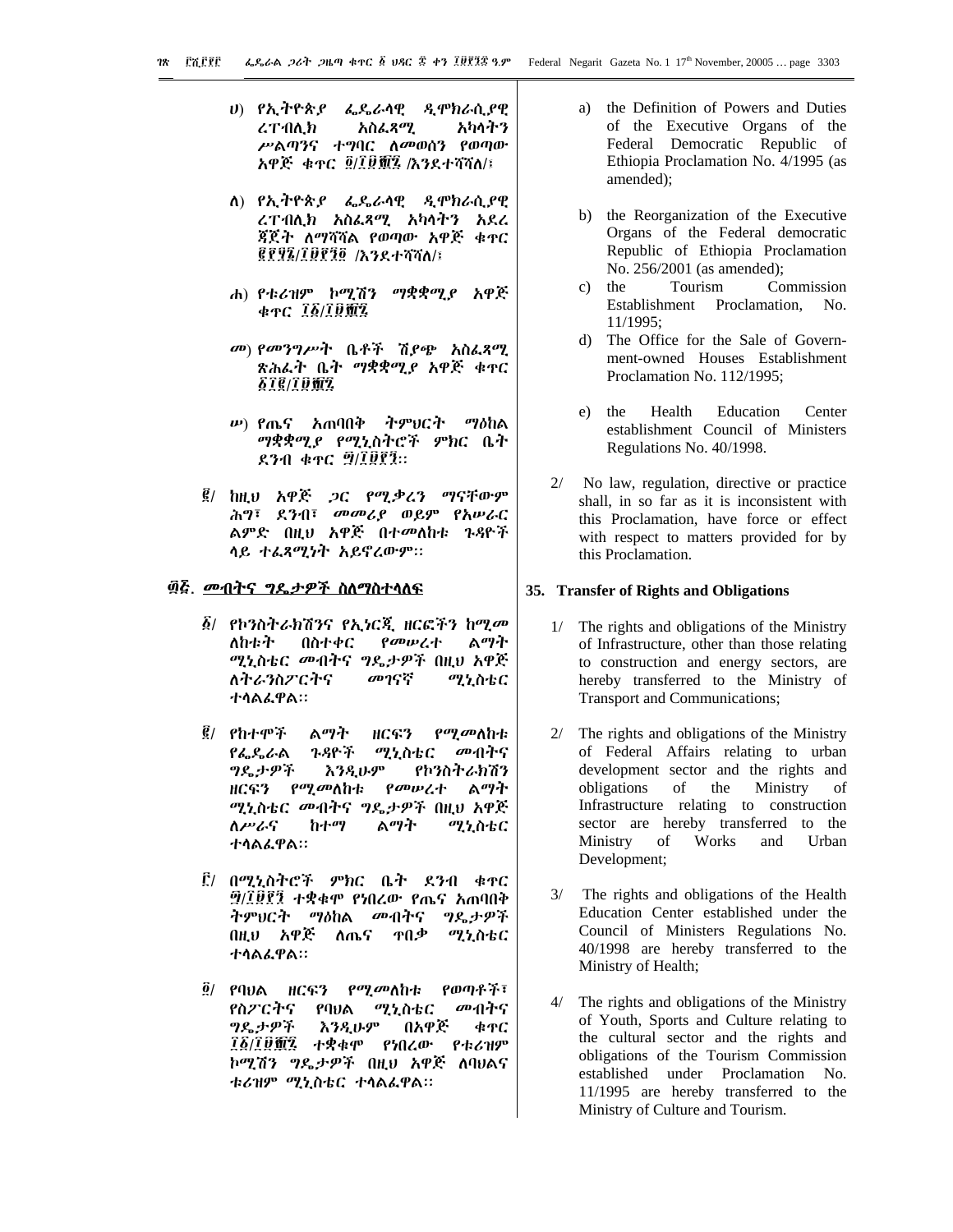- ሀ) የኢትዮጵያ ፌዴራሳዊ ዲሞክራሲያዊ **ሪፐ**ብሊክ አስፌጻሚ አካላትን ሥልጣንና ተግባር ለመወሰን የወጣው አዋጅ ቁዯር ፬/፲፱፹፯ /እንደተሻሻለ/፤
- ለ) የኢትዮጵያ ፌዴራሳዊ ዲሞክራሲያዊ ረፐብሊክ አስፌጻሚ አካላትን አደረ ጃጀት ለማሻሻል የወጣው አዋጅ ቁጥር **GRAZ/IDRAG / A3R+YYN/E**
- ሐ) የቱሪዝም ኮሚሽን ማቋቋሚያ አዋጅ  $*_{TC}$   $\frac{75}{10}$   $\frac{6}{10}$   $\frac{67}{10}$
- መ) የመንግሥት ቤቶች ሽያጭ አስፈጻሚ ጽሕራት ቤት ማቋቋሚያ አዋጅ ቁዋር *FIQIDEL*
- ሥ) የጤና አጠባበቅ ትምህርት ማዕከል ማቋቋሚያ የሚኒስትሮች ምክር ቤት  $830$   $47$   $9/19$ ?
- ፪/ ከዚህ አዋጅ ጋር የሚቃረን ማናቸውም ሕግ፣ ደንብ፣ መመሪያ ወይም የአሥራር ልምድ በዚህ አዋጅ በተመለከቱ ጉዳዮች ሳይ ተፈጻሚነት አይኖረውም።

#### ፴፭. <u>መብትና ግዴታዎች ስለማስተሳለፍ</u>

- ፩/ የኮንስትራክሽንና የኢነርጂ ዘርፎችን ከሚመ ልማት ለከቱት በስተቀር የመሠረተ ሚኒስቴር መብትና ግዴታዎች በዚህ አዋጅ ለትራንስፖርትና መገናኛ ሚኒስቴር ተሳልፌዋል።
- $\vec{g}$ / የከተሞች ልማት ዘርፍን *የሚመ*ለከቱ የፌዴራል ጉዳዮች ሚኒስቴር መብትና *ግ*ዴታዎች እንዲሁም የኮንስትራክሽን *የሚመ*ለከቱ የመሠረተ ዘርፍን ልማት ሚኒስቴር መብትና ግዴታዎች በዚህ አዋጅ ስሥራና ከተማ ልማት ሚኒስቴር ተሳልፌዋል።
- ፫/ በሚኒስትሮች ምክር ቤት ደንብ ቁጥር ፵/፲፱፻፺ ተቋቁሞ የነበረው የጤና አጠባበቅ ትምህርት ማዕከል *መብ*ትና ግዴታዎች በዚህ አዋጅ ለጤና ዋበቃ ሚኒስቴር ተሳልፌዋል።
- $\tilde{g}$ / የባህል ዘርፍን *የሚመ*ለከቱ የወጣቶች፣ የስፖርትና የባህል ሚኒስቴር መብትና ግዴታዎች **እንዲሁም** በአዋጅ ቁዋር ፲፩/፲፱፻፯ ተቋቁሞ የነበረው የቱሪዝም ኮሚሽን ግዴታዎች በዚህ አዋጅ ለባህልና ቱሪዝም ሚኒስቴር ተሳልፌዋል።
- the Definition of Powers and Duties a) of the Executive Organs of the Federal Democratic Republic of Ethiopia Proclamation No. 4/1995 (as amended);
- the Reorganization of the Executive  $b)$ Organs of the Federal democratic Republic of Ethiopia Proclamation No. 256/2001 (as amended);
- $c)$ the Tourism Commission Establishment Proclamation. No. 11/1995:
- d) The Office for the Sale of Government-owned Houses Establishment Proclamation No. 112/1995;
- $e)$ the Health Education Center establishment Council of Ministers Regulations No. 40/1998.
- $2/$ No law, regulation, directive or practice. shall, in so far as it is inconsistent with this Proclamation, have force or effect with respect to matters provided for by this Proclamation.

#### 35. Transfer of Rights and Obligations

- 1/ The rights and obligations of the Ministry of Infrastructure, other than those relating to construction and energy sectors, are hereby transferred to the Ministry of Transport and Communications;
- 2/ The rights and obligations of the Ministry of Federal Affairs relating to urban development sector and the rights and the Ministry obligations of of Infrastructure relating to construction sector are hereby transferred to the Works Ministry of and Urban Development;
- $3/$ The rights and obligations of the Health Education Center established under the Council of Ministers Regulations No. 40/1998 are hereby transferred to the Ministry of Health;
- $4/$ The rights and obligations of the Ministry of Youth, Sports and Culture relating to the cultural sector and the rights and obligations of the Tourism Commission established under Proclamation No. 11/1995 are hereby transferred to the Ministry of Culture and Tourism.